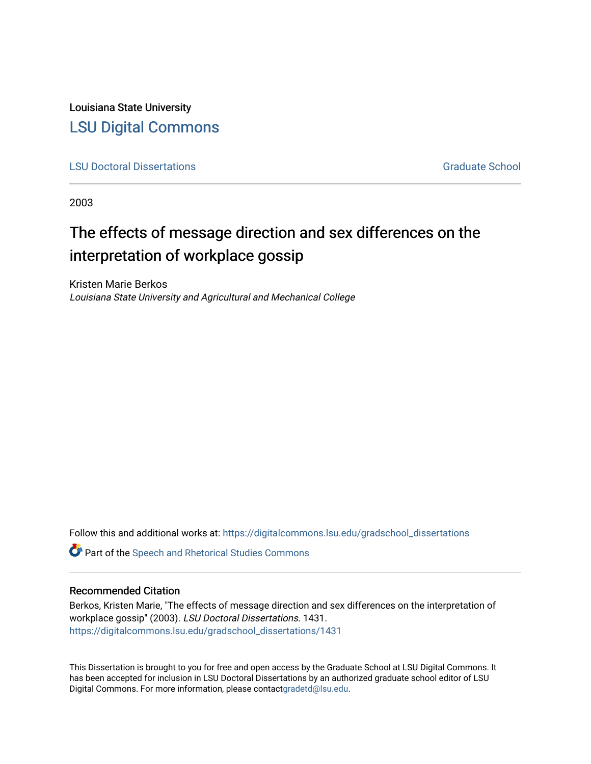Louisiana State University [LSU Digital Commons](https://digitalcommons.lsu.edu/)

**[LSU Doctoral Dissertations](https://digitalcommons.lsu.edu/gradschool_dissertations) Graduate School** Controller Controller Controller Controller Controller Controller Controller Controller Controller Controller Controller Controller Controller Controller Controller Controller C

2003

# The effects of message direction and sex differences on the interpretation of workplace gossip

Kristen Marie Berkos Louisiana State University and Agricultural and Mechanical College

Follow this and additional works at: [https://digitalcommons.lsu.edu/gradschool\\_dissertations](https://digitalcommons.lsu.edu/gradschool_dissertations?utm_source=digitalcommons.lsu.edu%2Fgradschool_dissertations%2F1431&utm_medium=PDF&utm_campaign=PDFCoverPages)

**C** Part of the Speech and Rhetorical Studies Commons

# Recommended Citation

Berkos, Kristen Marie, "The effects of message direction and sex differences on the interpretation of workplace gossip" (2003). LSU Doctoral Dissertations. 1431. [https://digitalcommons.lsu.edu/gradschool\\_dissertations/1431](https://digitalcommons.lsu.edu/gradschool_dissertations/1431?utm_source=digitalcommons.lsu.edu%2Fgradschool_dissertations%2F1431&utm_medium=PDF&utm_campaign=PDFCoverPages)

This Dissertation is brought to you for free and open access by the Graduate School at LSU Digital Commons. It has been accepted for inclusion in LSU Doctoral Dissertations by an authorized graduate school editor of LSU Digital Commons. For more information, please contac[tgradetd@lsu.edu.](mailto:gradetd@lsu.edu)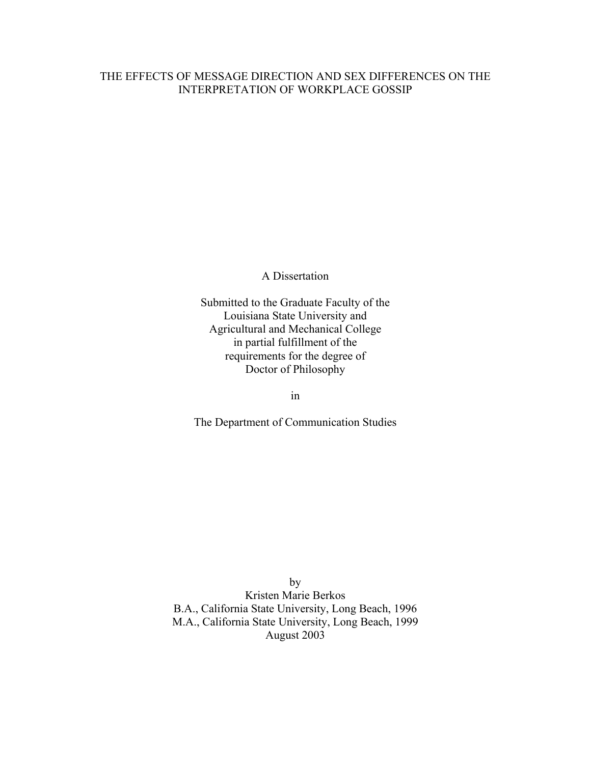# THE EFFECTS OF MESSAGE DIRECTION AND SEX DIFFERENCES ON THE INTERPRETATION OF WORKPLACE GOSSIP

A Dissertation

Submitted to the Graduate Faculty of the Louisiana State University and Agricultural and Mechanical College in partial fulfillment of the requirements for the degree of Doctor of Philosophy

in

The Department of Communication Studies

by Kristen Marie Berkos B.A., California State University, Long Beach, 1996 M.A., California State University, Long Beach, 1999 August 2003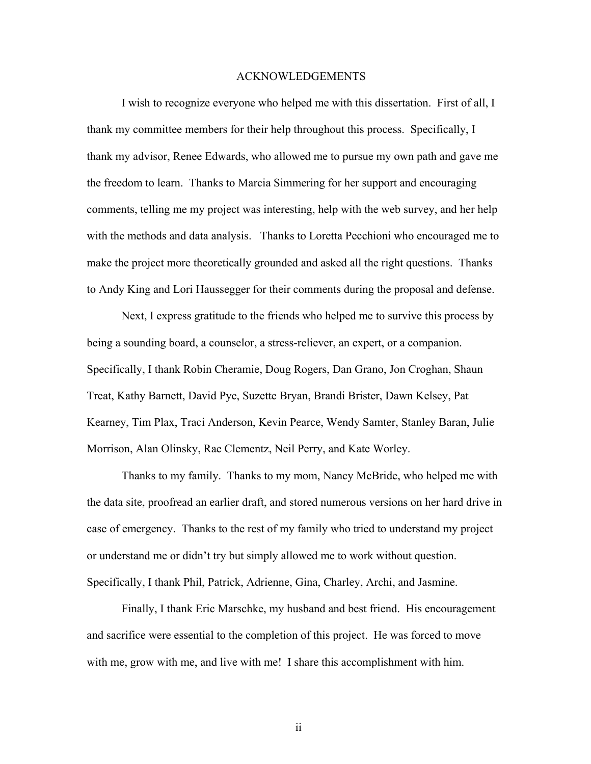## ACKNOWLEDGEMENTS

I wish to recognize everyone who helped me with this dissertation. First of all, I thank my committee members for their help throughout this process. Specifically, I thank my advisor, Renee Edwards, who allowed me to pursue my own path and gave me the freedom to learn. Thanks to Marcia Simmering for her support and encouraging comments, telling me my project was interesting, help with the web survey, and her help with the methods and data analysis. Thanks to Loretta Pecchioni who encouraged me to make the project more theoretically grounded and asked all the right questions. Thanks to Andy King and Lori Haussegger for their comments during the proposal and defense.

 Next, I express gratitude to the friends who helped me to survive this process by being a sounding board, a counselor, a stress-reliever, an expert, or a companion. Specifically, I thank Robin Cheramie, Doug Rogers, Dan Grano, Jon Croghan, Shaun Treat, Kathy Barnett, David Pye, Suzette Bryan, Brandi Brister, Dawn Kelsey, Pat Kearney, Tim Plax, Traci Anderson, Kevin Pearce, Wendy Samter, Stanley Baran, Julie Morrison, Alan Olinsky, Rae Clementz, Neil Perry, and Kate Worley.

 Thanks to my family. Thanks to my mom, Nancy McBride, who helped me with the data site, proofread an earlier draft, and stored numerous versions on her hard drive in case of emergency. Thanks to the rest of my family who tried to understand my project or understand me or didn't try but simply allowed me to work without question. Specifically, I thank Phil, Patrick, Adrienne, Gina, Charley, Archi, and Jasmine.

 Finally, I thank Eric Marschke, my husband and best friend. His encouragement and sacrifice were essential to the completion of this project. He was forced to move with me, grow with me, and live with me! I share this accomplishment with him.

ii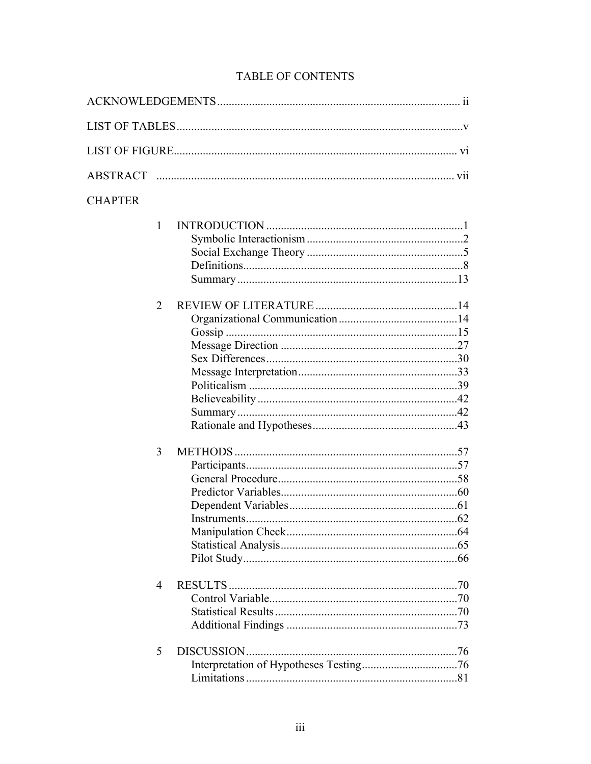| <b>CHAPTER</b> |             |  |
|----------------|-------------|--|
| 1              |             |  |
|                |             |  |
|                |             |  |
|                |             |  |
|                |             |  |
|                |             |  |
| $\overline{2}$ |             |  |
|                |             |  |
|                |             |  |
|                |             |  |
|                |             |  |
|                |             |  |
|                |             |  |
|                |             |  |
|                |             |  |
|                |             |  |
| 3              |             |  |
|                |             |  |
|                |             |  |
|                |             |  |
|                |             |  |
|                |             |  |
|                |             |  |
|                |             |  |
|                |             |  |
|                |             |  |
| 4              |             |  |
|                |             |  |
|                |             |  |
|                |             |  |
| 5              | DISCUSSION. |  |
|                |             |  |
|                |             |  |
|                |             |  |

# TABLE OF CONTENTS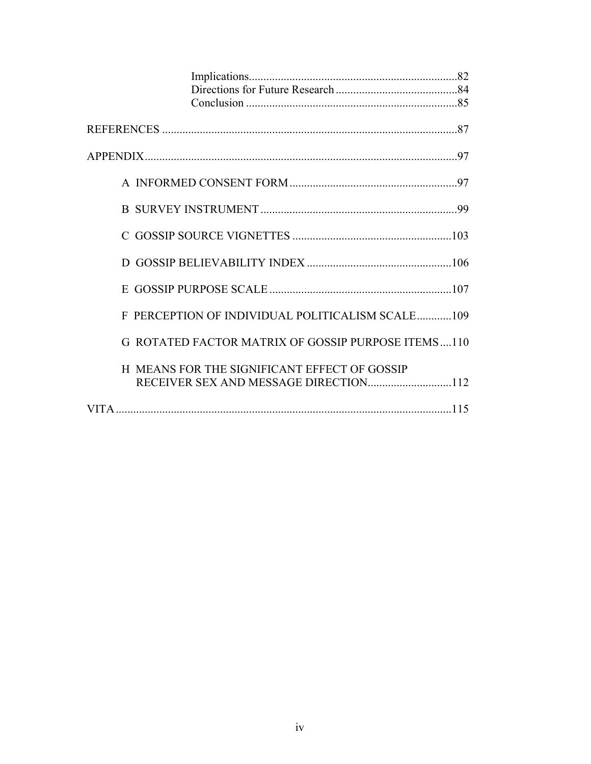| PERCEPTION OF INDIVIDUAL POLITICALISM SCALE109     |
|----------------------------------------------------|
| G ROTATED FACTOR MATRIX OF GOSSIP PURPOSE ITEMS110 |
| H MEANS FOR THE SIGNIFICANT EFFECT OF GOSSIP       |
|                                                    |
|                                                    |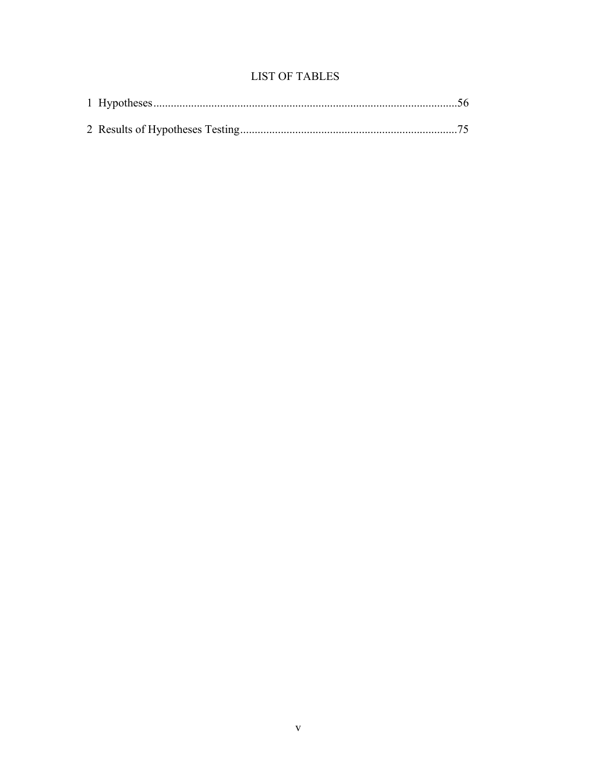# **LIST OF TABLES**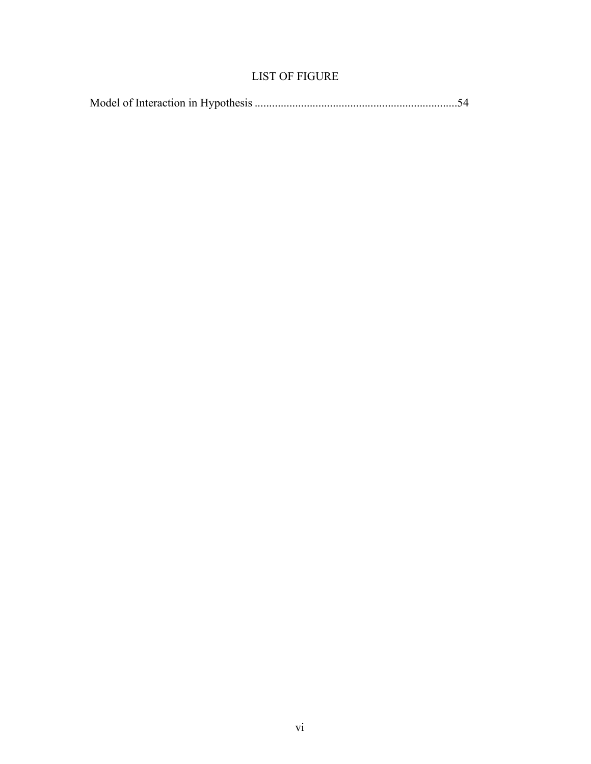# LIST OF FIGURE

|--|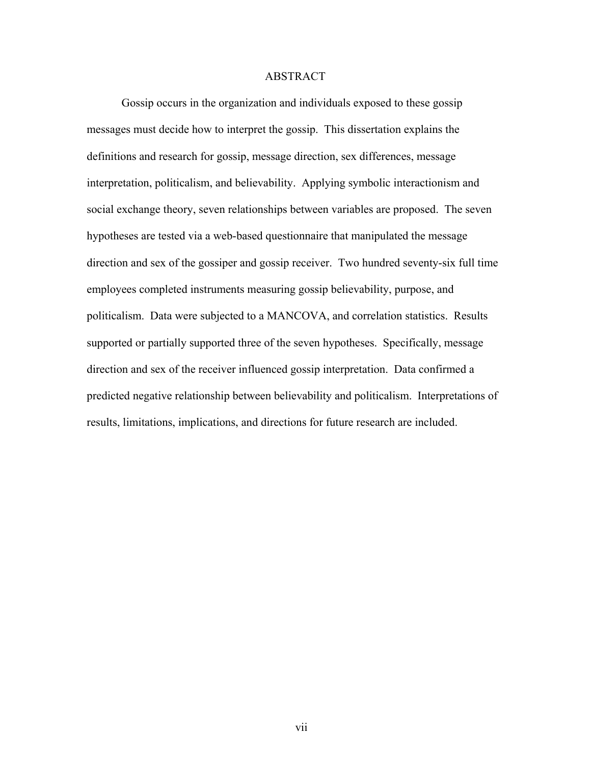## ABSTRACT

 Gossip occurs in the organization and individuals exposed to these gossip messages must decide how to interpret the gossip. This dissertation explains the definitions and research for gossip, message direction, sex differences, message interpretation, politicalism, and believability. Applying symbolic interactionism and social exchange theory, seven relationships between variables are proposed. The seven hypotheses are tested via a web-based questionnaire that manipulated the message direction and sex of the gossiper and gossip receiver. Two hundred seventy-six full time employees completed instruments measuring gossip believability, purpose, and politicalism. Data were subjected to a MANCOVA, and correlation statistics. Results supported or partially supported three of the seven hypotheses. Specifically, message direction and sex of the receiver influenced gossip interpretation. Data confirmed a predicted negative relationship between believability and politicalism. Interpretations of results, limitations, implications, and directions for future research are included.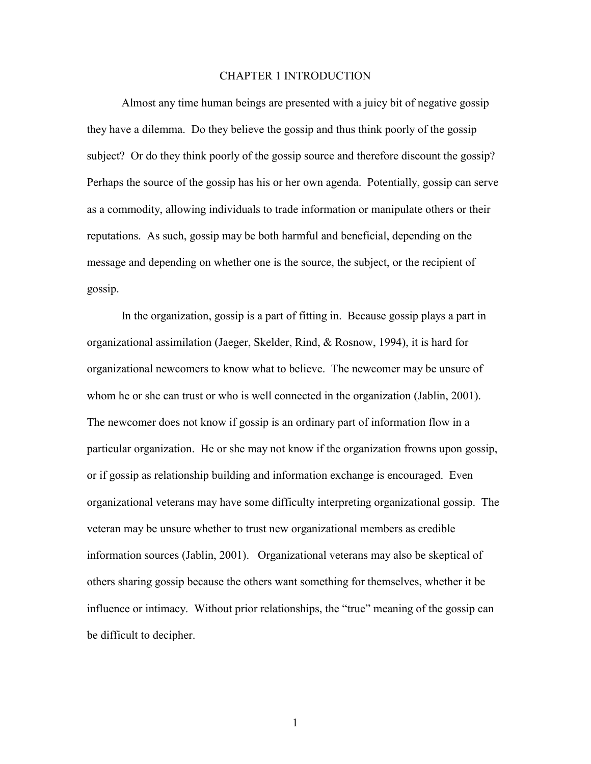# CHAPTER 1 INTRODUCTION

Almost any time human beings are presented with a juicy bit of negative gossip they have a dilemma. Do they believe the gossip and thus think poorly of the gossip subject? Or do they think poorly of the gossip source and therefore discount the gossip? Perhaps the source of the gossip has his or her own agenda. Potentially, gossip can serve as a commodity, allowing individuals to trade information or manipulate others or their reputations. As such, gossip may be both harmful and beneficial, depending on the message and depending on whether one is the source, the subject, or the recipient of gossip.

In the organization, gossip is a part of fitting in. Because gossip plays a part in organizational assimilation (Jaeger, Skelder, Rind, & Rosnow, 1994), it is hard for organizational newcomers to know what to believe. The newcomer may be unsure of whom he or she can trust or who is well connected in the organization (Jablin, 2001). The newcomer does not know if gossip is an ordinary part of information flow in a particular organization. He or she may not know if the organization frowns upon gossip, or if gossip as relationship building and information exchange is encouraged. Even organizational veterans may have some difficulty interpreting organizational gossip. The veteran may be unsure whether to trust new organizational members as credible information sources (Jablin, 2001). Organizational veterans may also be skeptical of others sharing gossip because the others want something for themselves, whether it be influence or intimacy. Without prior relationships, the "true" meaning of the gossip can be difficult to decipher.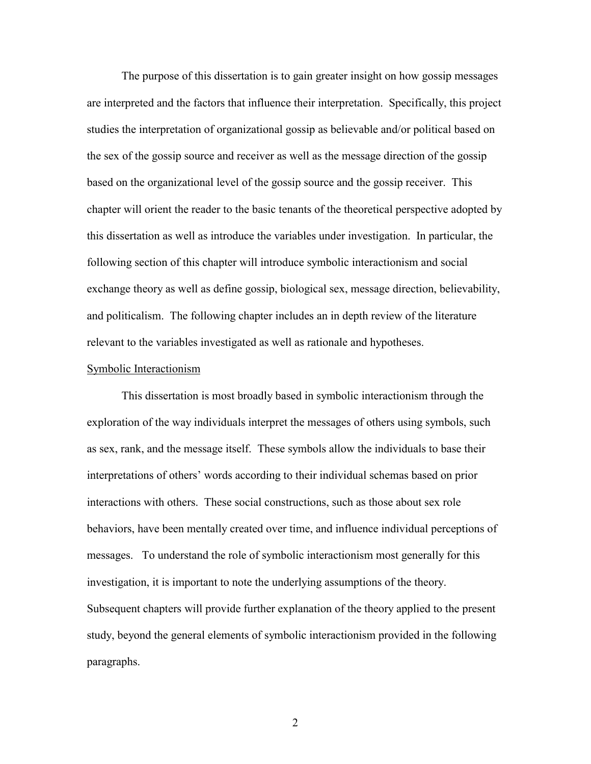The purpose of this dissertation is to gain greater insight on how gossip messages are interpreted and the factors that influence their interpretation. Specifically, this project studies the interpretation of organizational gossip as believable and/or political based on the sex of the gossip source and receiver as well as the message direction of the gossip based on the organizational level of the gossip source and the gossip receiver. This chapter will orient the reader to the basic tenants of the theoretical perspective adopted by this dissertation as well as introduce the variables under investigation. In particular, the following section of this chapter will introduce symbolic interactionism and social exchange theory as well as define gossip, biological sex, message direction, believability, and politicalism. The following chapter includes an in depth review of the literature relevant to the variables investigated as well as rationale and hypotheses.

#### Symbolic Interactionism

This dissertation is most broadly based in symbolic interactionism through the exploration of the way individuals interpret the messages of others using symbols, such as sex, rank, and the message itself. These symbols allow the individuals to base their interpretations of others' words according to their individual schemas based on prior interactions with others. These social constructions, such as those about sex role behaviors, have been mentally created over time, and influence individual perceptions of messages. To understand the role of symbolic interactionism most generally for this investigation, it is important to note the underlying assumptions of the theory. Subsequent chapters will provide further explanation of the theory applied to the present study, beyond the general elements of symbolic interactionism provided in the following paragraphs.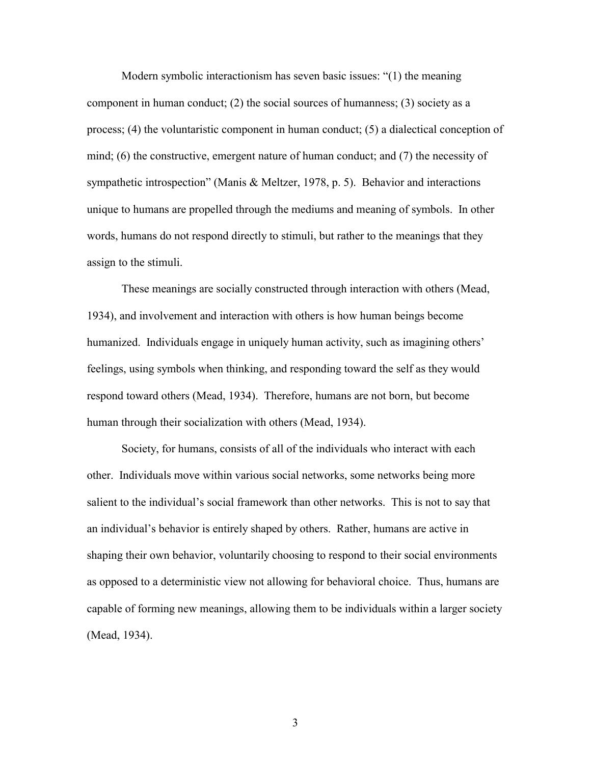Modern symbolic interactionism has seven basic issues: "(1) the meaning component in human conduct; (2) the social sources of humanness; (3) society as a process; (4) the voluntaristic component in human conduct; (5) a dialectical conception of mind; (6) the constructive, emergent nature of human conduct; and (7) the necessity of sympathetic introspection" (Manis & Meltzer, 1978, p. 5). Behavior and interactions unique to humans are propelled through the mediums and meaning of symbols. In other words, humans do not respond directly to stimuli, but rather to the meanings that they assign to the stimuli.

These meanings are socially constructed through interaction with others (Mead, 1934), and involvement and interaction with others is how human beings become humanized. Individuals engage in uniquely human activity, such as imagining others' feelings, using symbols when thinking, and responding toward the self as they would respond toward others (Mead, 1934). Therefore, humans are not born, but become human through their socialization with others (Mead, 1934).

Society, for humans, consists of all of the individuals who interact with each other. Individuals move within various social networks, some networks being more salient to the individual's social framework than other networks. This is not to say that an individual's behavior is entirely shaped by others. Rather, humans are active in shaping their own behavior, voluntarily choosing to respond to their social environments as opposed to a deterministic view not allowing for behavioral choice. Thus, humans are capable of forming new meanings, allowing them to be individuals within a larger society (Mead, 1934).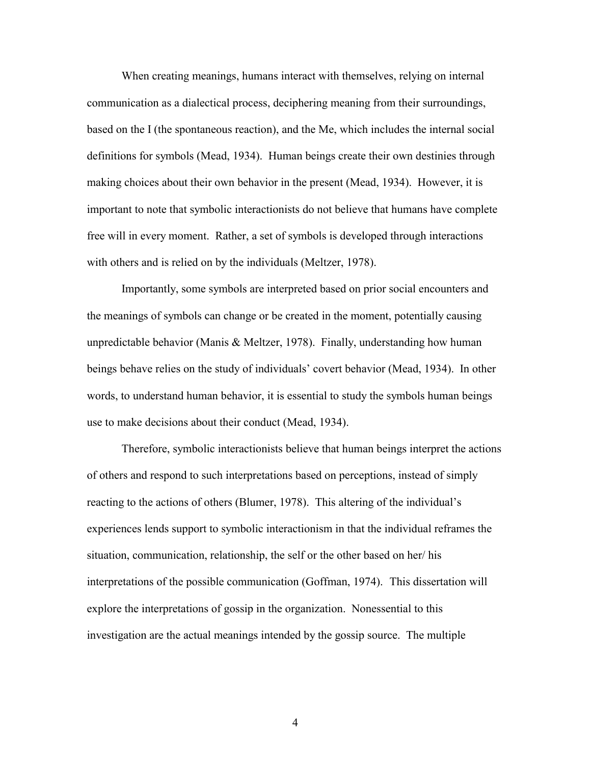When creating meanings, humans interact with themselves, relying on internal communication as a dialectical process, deciphering meaning from their surroundings, based on the I (the spontaneous reaction), and the Me, which includes the internal social definitions for symbols (Mead, 1934). Human beings create their own destinies through making choices about their own behavior in the present (Mead, 1934). However, it is important to note that symbolic interactionists do not believe that humans have complete free will in every moment. Rather, a set of symbols is developed through interactions with others and is relied on by the individuals (Meltzer, 1978).

Importantly, some symbols are interpreted based on prior social encounters and the meanings of symbols can change or be created in the moment, potentially causing unpredictable behavior (Manis & Meltzer, 1978). Finally, understanding how human beings behave relies on the study of individuals' covert behavior (Mead, 1934). In other words, to understand human behavior, it is essential to study the symbols human beings use to make decisions about their conduct (Mead, 1934).

Therefore, symbolic interactionists believe that human beings interpret the actions of others and respond to such interpretations based on perceptions, instead of simply reacting to the actions of others (Blumer, 1978). This altering of the individual's experiences lends support to symbolic interactionism in that the individual reframes the situation, communication, relationship, the self or the other based on her/ his interpretations of the possible communication (Goffman, 1974). This dissertation will explore the interpretations of gossip in the organization. Nonessential to this investigation are the actual meanings intended by the gossip source. The multiple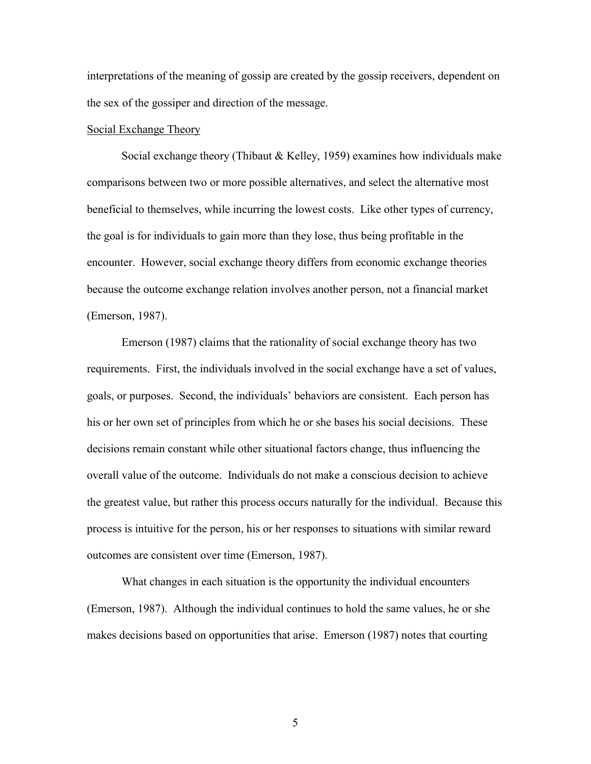interpretations of the meaning of gossip are created by the gossip receivers, dependent on the sex of the gossiper and direction of the message.

## Social Exchange Theory

Social exchange theory (Thibaut & Kelley, 1959) examines how individuals make comparisons between two or more possible alternatives, and select the alternative most beneficial to themselves, while incurring the lowest costs. Like other types of currency, the goal is for individuals to gain more than they lose, thus being profitable in the encounter. However, social exchange theory differs from economic exchange theories because the outcome exchange relation involves another person, not a financial market (Emerson, 1987).

Emerson (1987) claims that the rationality of social exchange theory has two requirements. First, the individuals involved in the social exchange have a set of values, goals, or purposes. Second, the individuals' behaviors are consistent. Each person has his or her own set of principles from which he or she bases his social decisions. These decisions remain constant while other situational factors change, thus influencing the overall value of the outcome. Individuals do not make a conscious decision to achieve the greatest value, but rather this process occurs naturally for the individual. Because this process is intuitive for the person, his or her responses to situations with similar reward outcomes are consistent over time (Emerson, 1987).

What changes in each situation is the opportunity the individual encounters (Emerson, 1987). Although the individual continues to hold the same values, he or she makes decisions based on opportunities that arise. Emerson (1987) notes that courting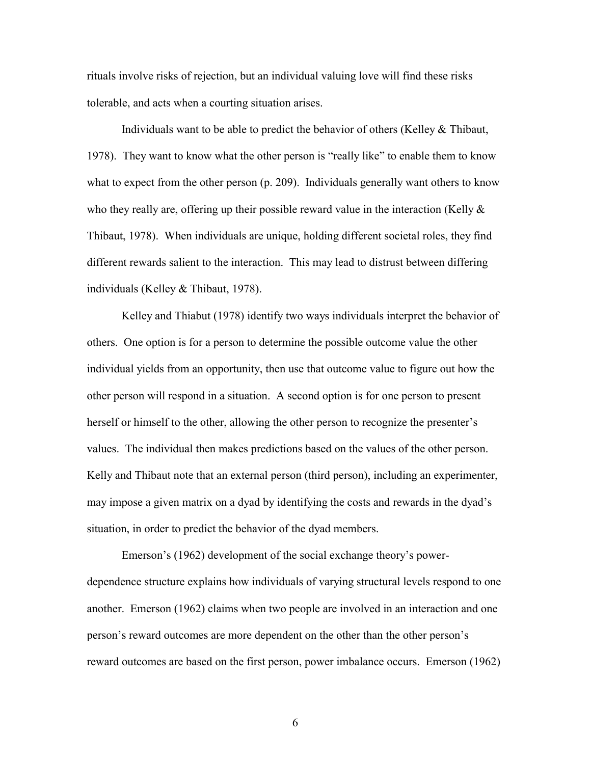rituals involve risks of rejection, but an individual valuing love will find these risks tolerable, and acts when a courting situation arises.

Individuals want to be able to predict the behavior of others (Kelley & Thibaut, 1978). They want to know what the other person is "really like" to enable them to know what to expect from the other person (p. 209). Individuals generally want others to know who they really are, offering up their possible reward value in the interaction (Kelly  $\&$ Thibaut, 1978). When individuals are unique, holding different societal roles, they find different rewards salient to the interaction. This may lead to distrust between differing individuals (Kelley & Thibaut, 1978).

Kelley and Thiabut (1978) identify two ways individuals interpret the behavior of others. One option is for a person to determine the possible outcome value the other individual yields from an opportunity, then use that outcome value to figure out how the other person will respond in a situation. A second option is for one person to present herself or himself to the other, allowing the other person to recognize the presenter's values. The individual then makes predictions based on the values of the other person. Kelly and Thibaut note that an external person (third person), including an experimenter, may impose a given matrix on a dyad by identifying the costs and rewards in the dyad's situation, in order to predict the behavior of the dyad members.

Emerson's (1962) development of the social exchange theory's powerdependence structure explains how individuals of varying structural levels respond to one another. Emerson (1962) claims when two people are involved in an interaction and one person's reward outcomes are more dependent on the other than the other person's reward outcomes are based on the first person, power imbalance occurs. Emerson (1962)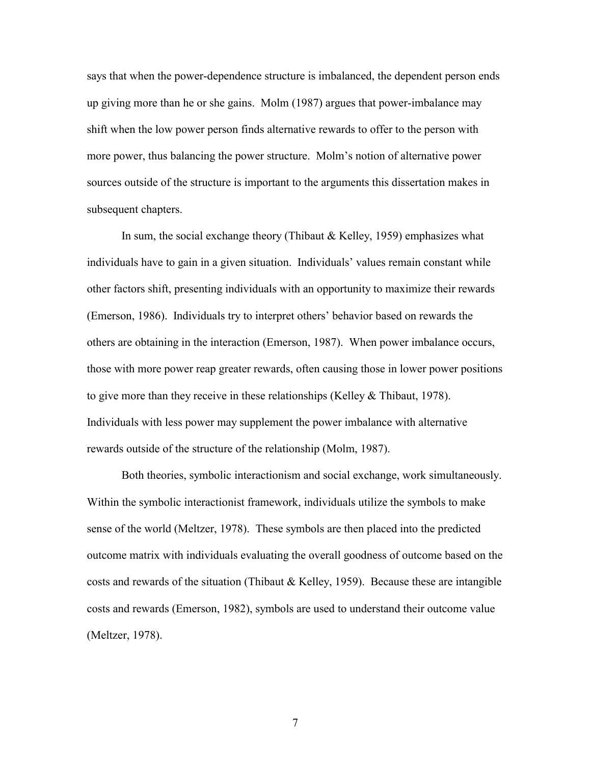says that when the power-dependence structure is imbalanced, the dependent person ends up giving more than he or she gains. Molm (1987) argues that power-imbalance may shift when the low power person finds alternative rewards to offer to the person with more power, thus balancing the power structure. Molm's notion of alternative power sources outside of the structure is important to the arguments this dissertation makes in subsequent chapters.

In sum, the social exchange theory (Thibaut & Kelley, 1959) emphasizes what individuals have to gain in a given situation. Individuals' values remain constant while other factors shift, presenting individuals with an opportunity to maximize their rewards (Emerson, 1986). Individuals try to interpret others' behavior based on rewards the others are obtaining in the interaction (Emerson, 1987). When power imbalance occurs, those with more power reap greater rewards, often causing those in lower power positions to give more than they receive in these relationships (Kelley & Thibaut, 1978). Individuals with less power may supplement the power imbalance with alternative rewards outside of the structure of the relationship (Molm, 1987).

Both theories, symbolic interactionism and social exchange, work simultaneously. Within the symbolic interactionist framework, individuals utilize the symbols to make sense of the world (Meltzer, 1978). These symbols are then placed into the predicted outcome matrix with individuals evaluating the overall goodness of outcome based on the costs and rewards of the situation (Thibaut & Kelley, 1959). Because these are intangible costs and rewards (Emerson, 1982), symbols are used to understand their outcome value (Meltzer, 1978).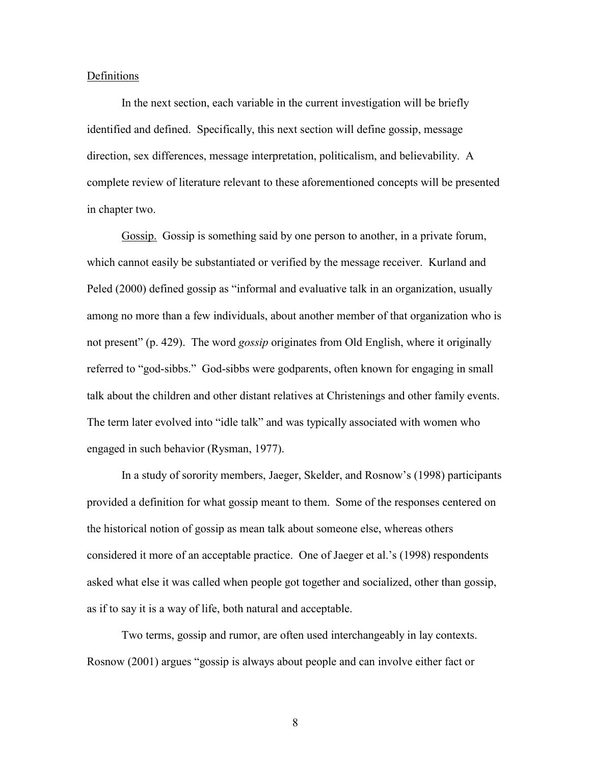#### Definitions

In the next section, each variable in the current investigation will be briefly identified and defined. Specifically, this next section will define gossip, message direction, sex differences, message interpretation, politicalism, and believability. A complete review of literature relevant to these aforementioned concepts will be presented in chapter two.

Gossip. Gossip is something said by one person to another, in a private forum, which cannot easily be substantiated or verified by the message receiver. Kurland and Peled (2000) defined gossip as "informal and evaluative talk in an organization, usually among no more than a few individuals, about another member of that organization who is not present" (p. 429). The word *gossip* originates from Old English, where it originally referred to "god-sibbs." God-sibbs were godparents, often known for engaging in small talk about the children and other distant relatives at Christenings and other family events. The term later evolved into "idle talk" and was typically associated with women who engaged in such behavior (Rysman, 1977).

In a study of sorority members, Jaeger, Skelder, and Rosnow's (1998) participants provided a definition for what gossip meant to them. Some of the responses centered on the historical notion of gossip as mean talk about someone else, whereas others considered it more of an acceptable practice. One of Jaeger et al.'s (1998) respondents asked what else it was called when people got together and socialized, other than gossip, as if to say it is a way of life, both natural and acceptable.

Two terms, gossip and rumor, are often used interchangeably in lay contexts. Rosnow (2001) argues "gossip is always about people and can involve either fact or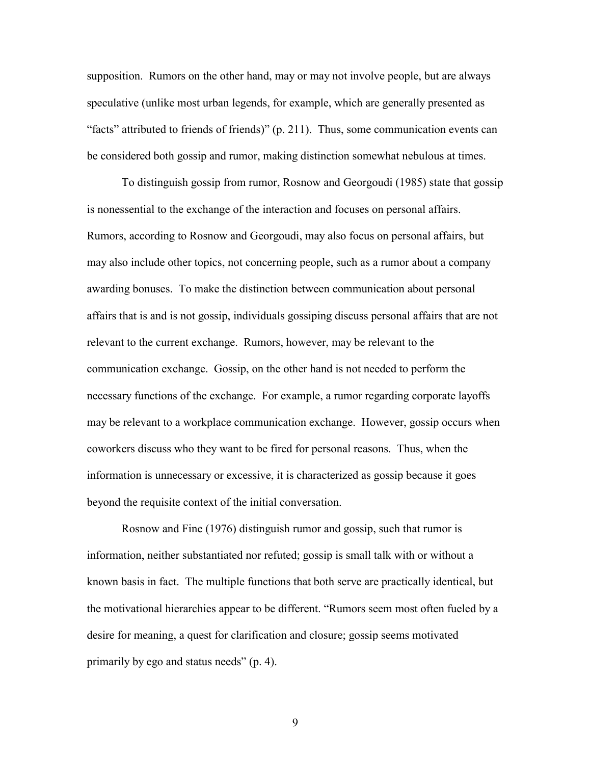supposition. Rumors on the other hand, may or may not involve people, but are always speculative (unlike most urban legends, for example, which are generally presented as "facts" attributed to friends of friends)" (p. 211). Thus, some communication events can be considered both gossip and rumor, making distinction somewhat nebulous at times.

To distinguish gossip from rumor, Rosnow and Georgoudi (1985) state that gossip is nonessential to the exchange of the interaction and focuses on personal affairs. Rumors, according to Rosnow and Georgoudi, may also focus on personal affairs, but may also include other topics, not concerning people, such as a rumor about a company awarding bonuses. To make the distinction between communication about personal affairs that is and is not gossip, individuals gossiping discuss personal affairs that are not relevant to the current exchange. Rumors, however, may be relevant to the communication exchange. Gossip, on the other hand is not needed to perform the necessary functions of the exchange. For example, a rumor regarding corporate layoffs may be relevant to a workplace communication exchange. However, gossip occurs when coworkers discuss who they want to be fired for personal reasons. Thus, when the information is unnecessary or excessive, it is characterized as gossip because it goes beyond the requisite context of the initial conversation.

Rosnow and Fine (1976) distinguish rumor and gossip, such that rumor is information, neither substantiated nor refuted; gossip is small talk with or without a known basis in fact. The multiple functions that both serve are practically identical, but the motivational hierarchies appear to be different. "Rumors seem most often fueled by a desire for meaning, a quest for clarification and closure; gossip seems motivated primarily by ego and status needs" (p. 4).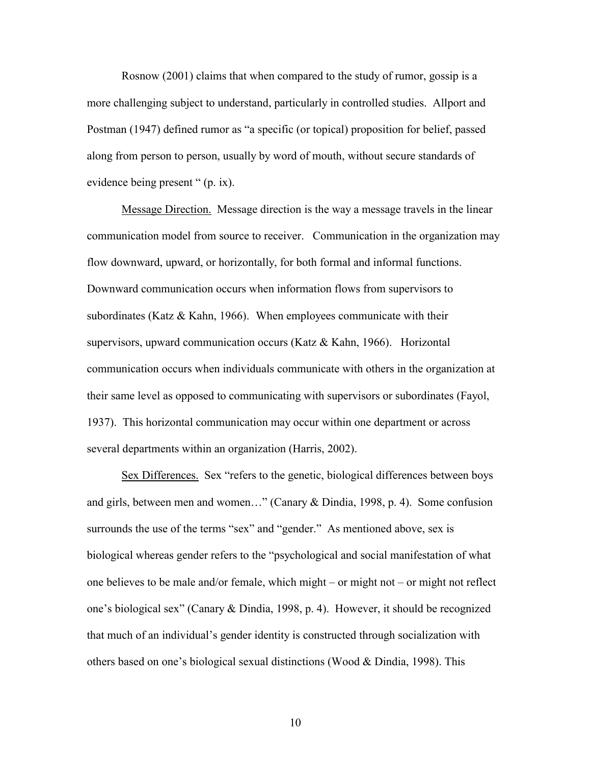Rosnow (2001) claims that when compared to the study of rumor, gossip is a more challenging subject to understand, particularly in controlled studies. Allport and Postman (1947) defined rumor as "a specific (or topical) proposition for belief, passed along from person to person, usually by word of mouth, without secure standards of evidence being present " (p. ix).

Message Direction. Message direction is the way a message travels in the linear communication model from source to receiver. Communication in the organization may flow downward, upward, or horizontally, for both formal and informal functions. Downward communication occurs when information flows from supervisors to subordinates (Katz  $&$  Kahn, 1966). When employees communicate with their supervisors, upward communication occurs (Katz & Kahn, 1966). Horizontal communication occurs when individuals communicate with others in the organization at their same level as opposed to communicating with supervisors or subordinates (Fayol, 1937). This horizontal communication may occur within one department or across several departments within an organization (Harris, 2002).

Sex Differences. Sex "refers to the genetic, biological differences between boys and girls, between men and women…" (Canary & Dindia, 1998, p. 4). Some confusion surrounds the use of the terms "sex" and "gender." As mentioned above, sex is biological whereas gender refers to the "psychological and social manifestation of what one believes to be male and/or female, which might – or might not – or might not reflect one's biological sex" (Canary & Dindia, 1998, p. 4). However, it should be recognized that much of an individual's gender identity is constructed through socialization with others based on one's biological sexual distinctions (Wood & Dindia, 1998). This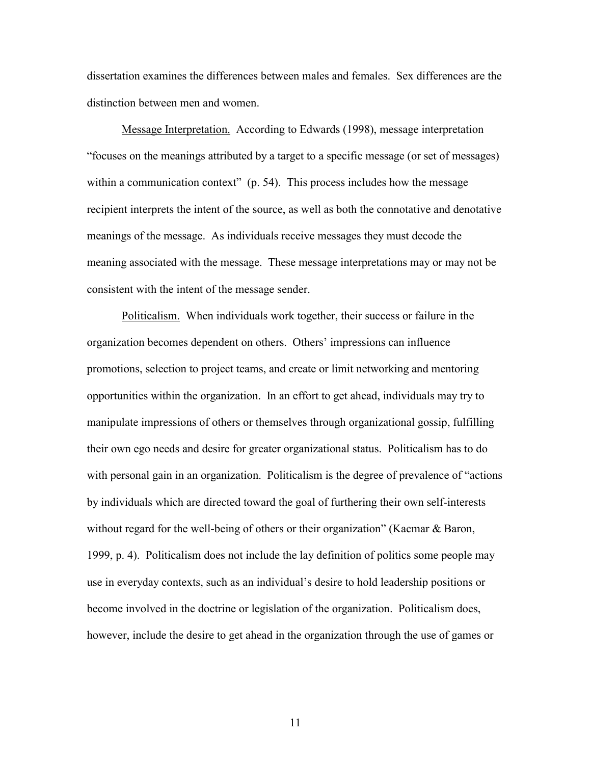dissertation examines the differences between males and females. Sex differences are the distinction between men and women.

Message Interpretation. According to Edwards (1998), message interpretation "focuses on the meanings attributed by a target to a specific message (or set of messages) within a communication context" (p. 54). This process includes how the message recipient interprets the intent of the source, as well as both the connotative and denotative meanings of the message. As individuals receive messages they must decode the meaning associated with the message. These message interpretations may or may not be consistent with the intent of the message sender.

Politicalism. When individuals work together, their success or failure in the organization becomes dependent on others. Others' impressions can influence promotions, selection to project teams, and create or limit networking and mentoring opportunities within the organization. In an effort to get ahead, individuals may try to manipulate impressions of others or themselves through organizational gossip, fulfilling their own ego needs and desire for greater organizational status. Politicalism has to do with personal gain in an organization. Politicalism is the degree of prevalence of "actions by individuals which are directed toward the goal of furthering their own self-interests without regard for the well-being of others or their organization" (Kacmar & Baron, 1999, p. 4). Politicalism does not include the lay definition of politics some people may use in everyday contexts, such as an individual's desire to hold leadership positions or become involved in the doctrine or legislation of the organization. Politicalism does, however, include the desire to get ahead in the organization through the use of games or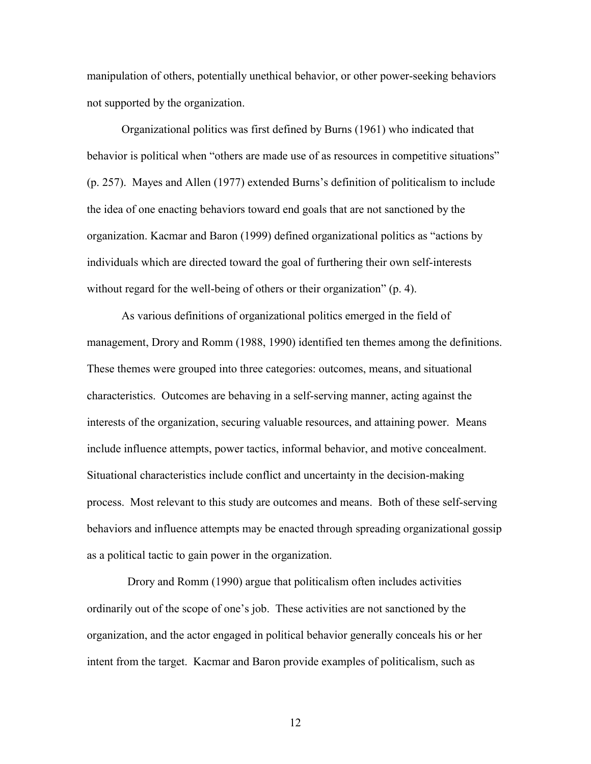manipulation of others, potentially unethical behavior, or other power-seeking behaviors not supported by the organization.

Organizational politics was first defined by Burns (1961) who indicated that behavior is political when "others are made use of as resources in competitive situations" (p. 257). Mayes and Allen (1977) extended Burns's definition of politicalism to include the idea of one enacting behaviors toward end goals that are not sanctioned by the organization. Kacmar and Baron (1999) defined organizational politics as "actions by individuals which are directed toward the goal of furthering their own self-interests without regard for the well-being of others or their organization" (p. 4).

As various definitions of organizational politics emerged in the field of management, Drory and Romm (1988, 1990) identified ten themes among the definitions. These themes were grouped into three categories: outcomes, means, and situational characteristics. Outcomes are behaving in a self-serving manner, acting against the interests of the organization, securing valuable resources, and attaining power. Means include influence attempts, power tactics, informal behavior, and motive concealment. Situational characteristics include conflict and uncertainty in the decision-making process. Most relevant to this study are outcomes and means. Both of these self-serving behaviors and influence attempts may be enacted through spreading organizational gossip as a political tactic to gain power in the organization.

 Drory and Romm (1990) argue that politicalism often includes activities ordinarily out of the scope of one's job. These activities are not sanctioned by the organization, and the actor engaged in political behavior generally conceals his or her intent from the target. Kacmar and Baron provide examples of politicalism, such as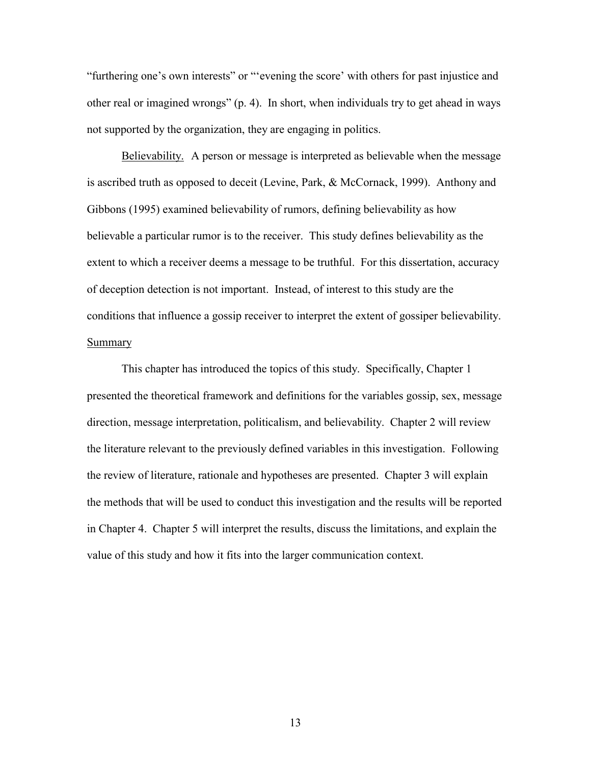"furthering one's own interests" or "'evening the score' with others for past injustice and other real or imagined wrongs" (p. 4). In short, when individuals try to get ahead in ways not supported by the organization, they are engaging in politics.

Believability. A person or message is interpreted as believable when the message is ascribed truth as opposed to deceit (Levine, Park, & McCornack, 1999). Anthony and Gibbons (1995) examined believability of rumors, defining believability as how believable a particular rumor is to the receiver. This study defines believability as the extent to which a receiver deems a message to be truthful. For this dissertation, accuracy of deception detection is not important. Instead, of interest to this study are the conditions that influence a gossip receiver to interpret the extent of gossiper believability. Summary

This chapter has introduced the topics of this study. Specifically, Chapter 1 presented the theoretical framework and definitions for the variables gossip, sex, message direction, message interpretation, politicalism, and believability. Chapter 2 will review the literature relevant to the previously defined variables in this investigation. Following the review of literature, rationale and hypotheses are presented. Chapter 3 will explain the methods that will be used to conduct this investigation and the results will be reported in Chapter 4. Chapter 5 will interpret the results, discuss the limitations, and explain the value of this study and how it fits into the larger communication context.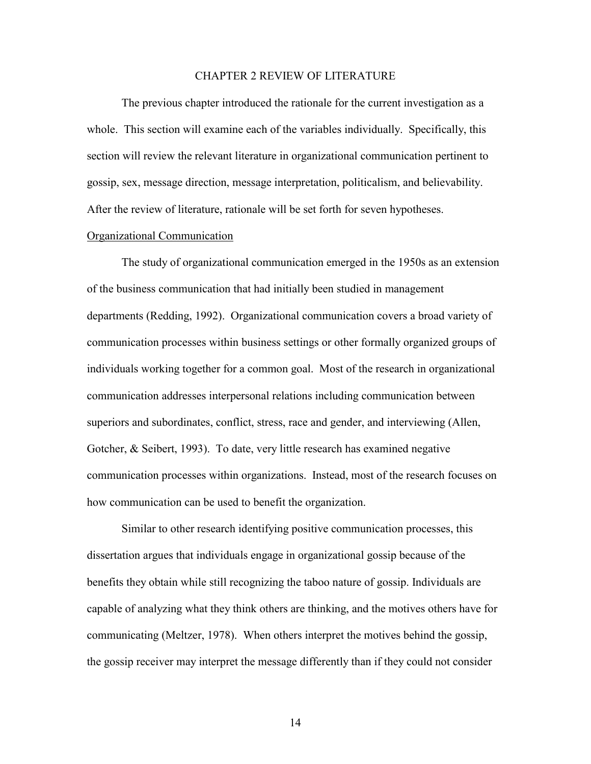#### CHAPTER 2 REVIEW OF LITERATURE

 The previous chapter introduced the rationale for the current investigation as a whole. This section will examine each of the variables individually. Specifically, this section will review the relevant literature in organizational communication pertinent to gossip, sex, message direction, message interpretation, politicalism, and believability. After the review of literature, rationale will be set forth for seven hypotheses.

## Organizational Communication

 The study of organizational communication emerged in the 1950s as an extension of the business communication that had initially been studied in management departments (Redding, 1992). Organizational communication covers a broad variety of communication processes within business settings or other formally organized groups of individuals working together for a common goal. Most of the research in organizational communication addresses interpersonal relations including communication between superiors and subordinates, conflict, stress, race and gender, and interviewing (Allen, Gotcher, & Seibert, 1993). To date, very little research has examined negative communication processes within organizations. Instead, most of the research focuses on how communication can be used to benefit the organization.

Similar to other research identifying positive communication processes, this dissertation argues that individuals engage in organizational gossip because of the benefits they obtain while still recognizing the taboo nature of gossip. Individuals are capable of analyzing what they think others are thinking, and the motives others have for communicating (Meltzer, 1978). When others interpret the motives behind the gossip, the gossip receiver may interpret the message differently than if they could not consider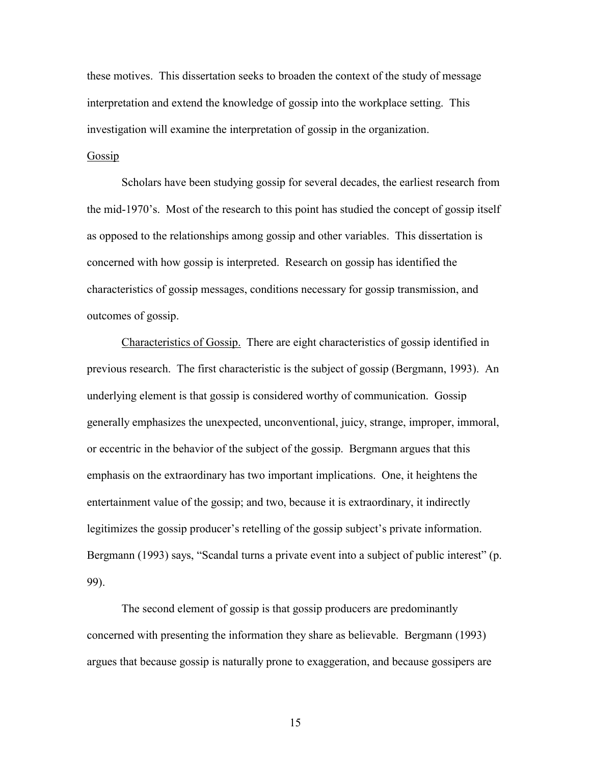these motives. This dissertation seeks to broaden the context of the study of message interpretation and extend the knowledge of gossip into the workplace setting. This investigation will examine the interpretation of gossip in the organization.

# Gossip

 Scholars have been studying gossip for several decades, the earliest research from the mid-1970's. Most of the research to this point has studied the concept of gossip itself as opposed to the relationships among gossip and other variables. This dissertation is concerned with how gossip is interpreted. Research on gossip has identified the characteristics of gossip messages, conditions necessary for gossip transmission, and outcomes of gossip.

Characteristics of Gossip. There are eight characteristics of gossip identified in previous research. The first characteristic is the subject of gossip (Bergmann, 1993). An underlying element is that gossip is considered worthy of communication. Gossip generally emphasizes the unexpected, unconventional, juicy, strange, improper, immoral, or eccentric in the behavior of the subject of the gossip. Bergmann argues that this emphasis on the extraordinary has two important implications. One, it heightens the entertainment value of the gossip; and two, because it is extraordinary, it indirectly legitimizes the gossip producer's retelling of the gossip subject's private information. Bergmann (1993) says, "Scandal turns a private event into a subject of public interest" (p. 99).

The second element of gossip is that gossip producers are predominantly concerned with presenting the information they share as believable. Bergmann (1993) argues that because gossip is naturally prone to exaggeration, and because gossipers are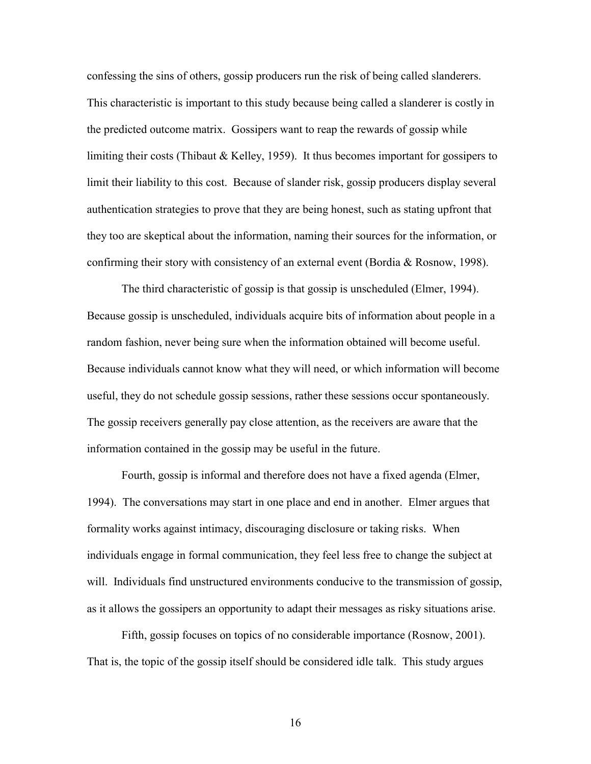confessing the sins of others, gossip producers run the risk of being called slanderers. This characteristic is important to this study because being called a slanderer is costly in the predicted outcome matrix. Gossipers want to reap the rewards of gossip while limiting their costs (Thibaut & Kelley, 1959). It thus becomes important for gossipers to limit their liability to this cost. Because of slander risk, gossip producers display several authentication strategies to prove that they are being honest, such as stating upfront that they too are skeptical about the information, naming their sources for the information, or confirming their story with consistency of an external event (Bordia & Rosnow, 1998).

The third characteristic of gossip is that gossip is unscheduled (Elmer, 1994). Because gossip is unscheduled, individuals acquire bits of information about people in a random fashion, never being sure when the information obtained will become useful. Because individuals cannot know what they will need, or which information will become useful, they do not schedule gossip sessions, rather these sessions occur spontaneously. The gossip receivers generally pay close attention, as the receivers are aware that the information contained in the gossip may be useful in the future.

Fourth, gossip is informal and therefore does not have a fixed agenda (Elmer, 1994). The conversations may start in one place and end in another. Elmer argues that formality works against intimacy, discouraging disclosure or taking risks. When individuals engage in formal communication, they feel less free to change the subject at will. Individuals find unstructured environments conducive to the transmission of gossip, as it allows the gossipers an opportunity to adapt their messages as risky situations arise.

Fifth, gossip focuses on topics of no considerable importance (Rosnow, 2001). That is, the topic of the gossip itself should be considered idle talk. This study argues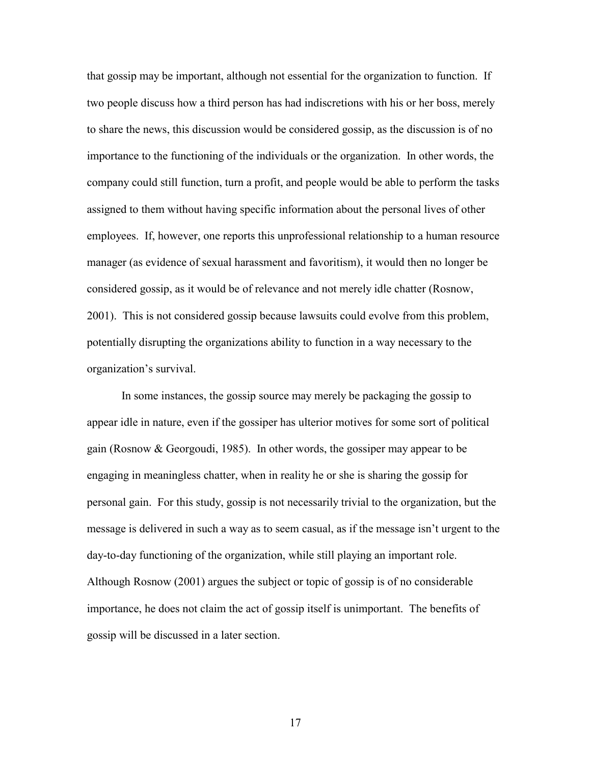that gossip may be important, although not essential for the organization to function. If two people discuss how a third person has had indiscretions with his or her boss, merely to share the news, this discussion would be considered gossip, as the discussion is of no importance to the functioning of the individuals or the organization. In other words, the company could still function, turn a profit, and people would be able to perform the tasks assigned to them without having specific information about the personal lives of other employees. If, however, one reports this unprofessional relationship to a human resource manager (as evidence of sexual harassment and favoritism), it would then no longer be considered gossip, as it would be of relevance and not merely idle chatter (Rosnow, 2001). This is not considered gossip because lawsuits could evolve from this problem, potentially disrupting the organizations ability to function in a way necessary to the organization's survival.

In some instances, the gossip source may merely be packaging the gossip to appear idle in nature, even if the gossiper has ulterior motives for some sort of political gain (Rosnow & Georgoudi, 1985). In other words, the gossiper may appear to be engaging in meaningless chatter, when in reality he or she is sharing the gossip for personal gain. For this study, gossip is not necessarily trivial to the organization, but the message is delivered in such a way as to seem casual, as if the message isn't urgent to the day-to-day functioning of the organization, while still playing an important role. Although Rosnow (2001) argues the subject or topic of gossip is of no considerable importance, he does not claim the act of gossip itself is unimportant. The benefits of gossip will be discussed in a later section.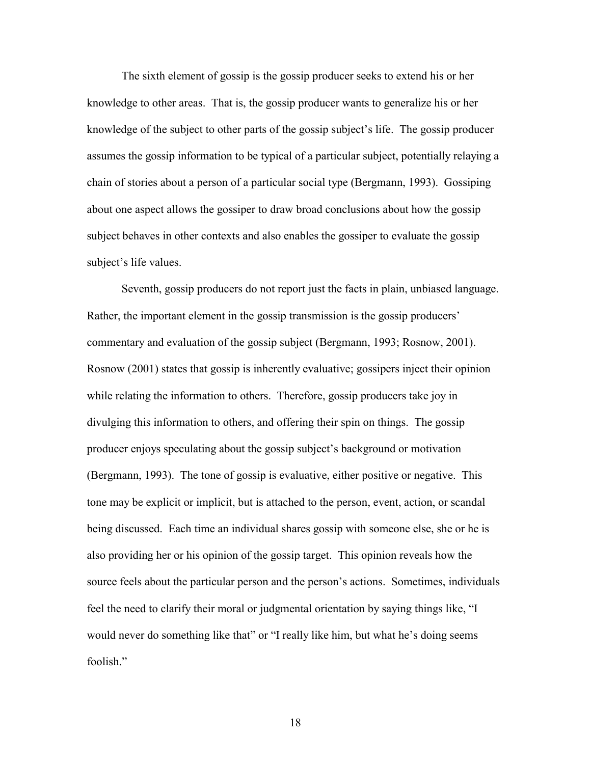The sixth element of gossip is the gossip producer seeks to extend his or her knowledge to other areas. That is, the gossip producer wants to generalize his or her knowledge of the subject to other parts of the gossip subject's life. The gossip producer assumes the gossip information to be typical of a particular subject, potentially relaying a chain of stories about a person of a particular social type (Bergmann, 1993). Gossiping about one aspect allows the gossiper to draw broad conclusions about how the gossip subject behaves in other contexts and also enables the gossiper to evaluate the gossip subject's life values.

Seventh, gossip producers do not report just the facts in plain, unbiased language. Rather, the important element in the gossip transmission is the gossip producers' commentary and evaluation of the gossip subject (Bergmann, 1993; Rosnow, 2001). Rosnow (2001) states that gossip is inherently evaluative; gossipers inject their opinion while relating the information to others. Therefore, gossip producers take joy in divulging this information to others, and offering their spin on things. The gossip producer enjoys speculating about the gossip subject's background or motivation (Bergmann, 1993). The tone of gossip is evaluative, either positive or negative. This tone may be explicit or implicit, but is attached to the person, event, action, or scandal being discussed. Each time an individual shares gossip with someone else, she or he is also providing her or his opinion of the gossip target. This opinion reveals how the source feels about the particular person and the person's actions. Sometimes, individuals feel the need to clarify their moral or judgmental orientation by saying things like, "I would never do something like that" or "I really like him, but what he's doing seems foolish."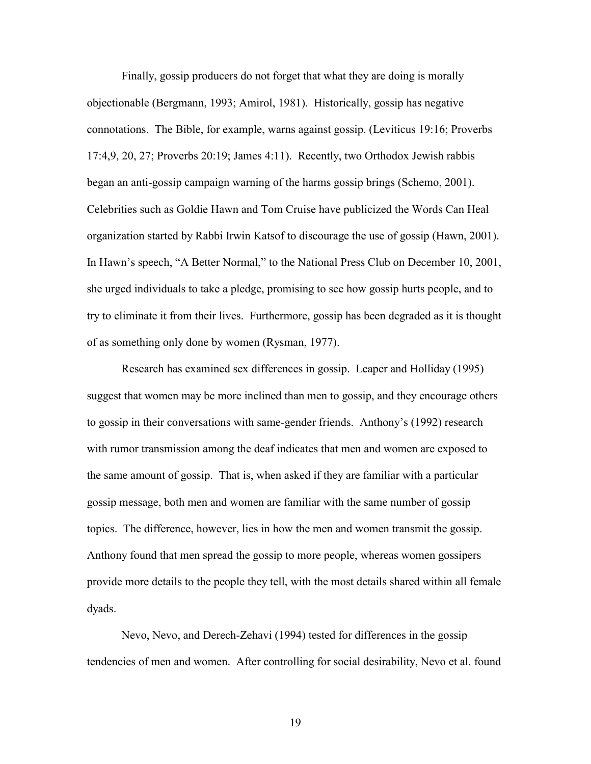Finally, gossip producers do not forget that what they are doing is morally objectionable (Bergmann, 1993; Amirol, 1981). Historically, gossip has negative connotations. The Bible, for example, warns against gossip. (Leviticus 19:16; Proverbs 17:4,9, 20, 27; Proverbs 20:19; James 4:11). Recently, two Orthodox Jewish rabbis began an anti-gossip campaign warning of the harms gossip brings (Schemo, 2001). Celebrities such as Goldie Hawn and Tom Cruise have publicized the Words Can Heal organization started by Rabbi Irwin Katsof to discourage the use of gossip (Hawn, 2001). In Hawn's speech, "A Better Normal," to the National Press Club on December 10, 2001, she urged individuals to take a pledge, promising to see how gossip hurts people, and to try to eliminate it from their lives. Furthermore, gossip has been degraded as it is thought of as something only done by women (Rysman, 1977).

Research has examined sex differences in gossip. Leaper and Holliday (1995) suggest that women may be more inclined than men to gossip, and they encourage others to gossip in their conversations with same-gender friends. Anthony's (1992) research with rumor transmission among the deaf indicates that men and women are exposed to the same amount of gossip. That is, when asked if they are familiar with a particular gossip message, both men and women are familiar with the same number of gossip topics. The difference, however, lies in how the men and women transmit the gossip. Anthony found that men spread the gossip to more people, whereas women gossipers provide more details to the people they tell, with the most details shared within all female dyads.

Nevo, Nevo, and Derech-Zehavi (1994) tested for differences in the gossip tendencies of men and women. After controlling for social desirability, Nevo et al. found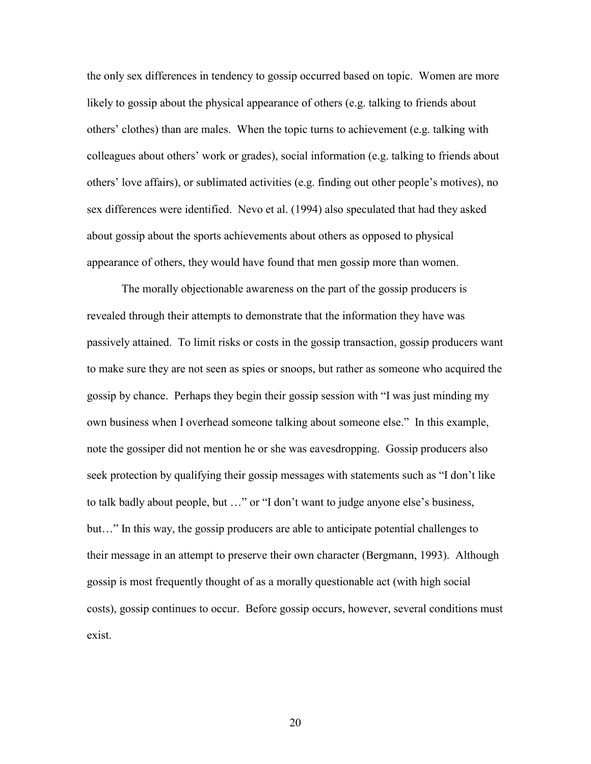the only sex differences in tendency to gossip occurred based on topic. Women are more likely to gossip about the physical appearance of others (e.g. talking to friends about others' clothes) than are males. When the topic turns to achievement (e.g. talking with colleagues about others' work or grades), social information (e.g. talking to friends about others' love affairs), or sublimated activities (e.g. finding out other people's motives), no sex differences were identified. Nevo et al. (1994) also speculated that had they asked about gossip about the sports achievements about others as opposed to physical appearance of others, they would have found that men gossip more than women.

The morally objectionable awareness on the part of the gossip producers is revealed through their attempts to demonstrate that the information they have was passively attained. To limit risks or costs in the gossip transaction, gossip producers want to make sure they are not seen as spies or snoops, but rather as someone who acquired the gossip by chance. Perhaps they begin their gossip session with "I was just minding my own business when I overhead someone talking about someone else." In this example, note the gossiper did not mention he or she was eavesdropping. Gossip producers also seek protection by qualifying their gossip messages with statements such as "I don't like to talk badly about people, but …" or "I don't want to judge anyone else's business, but…" In this way, the gossip producers are able to anticipate potential challenges to their message in an attempt to preserve their own character (Bergmann, 1993). Although gossip is most frequently thought of as a morally questionable act (with high social costs), gossip continues to occur. Before gossip occurs, however, several conditions must exist.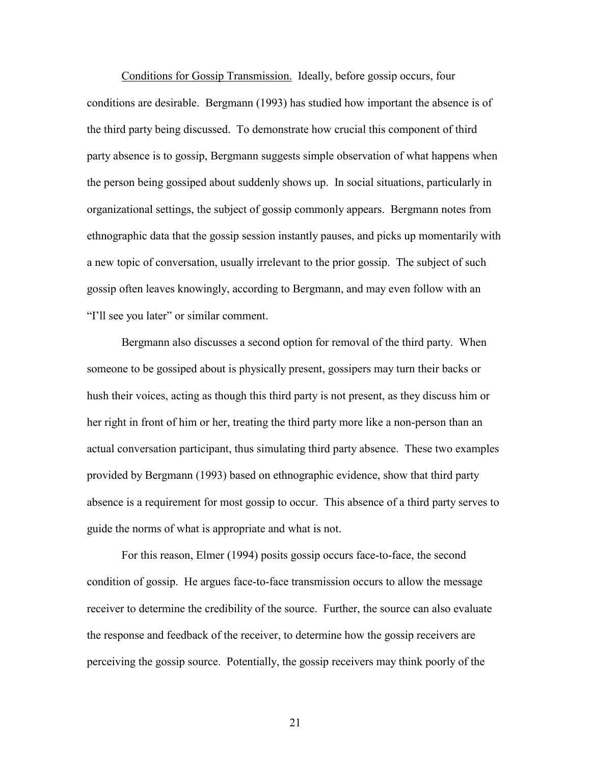Conditions for Gossip Transmission. Ideally, before gossip occurs, four conditions are desirable. Bergmann (1993) has studied how important the absence is of the third party being discussed. To demonstrate how crucial this component of third party absence is to gossip, Bergmann suggests simple observation of what happens when the person being gossiped about suddenly shows up. In social situations, particularly in organizational settings, the subject of gossip commonly appears. Bergmann notes from ethnographic data that the gossip session instantly pauses, and picks up momentarily with a new topic of conversation, usually irrelevant to the prior gossip. The subject of such gossip often leaves knowingly, according to Bergmann, and may even follow with an "I'll see you later" or similar comment.

Bergmann also discusses a second option for removal of the third party. When someone to be gossiped about is physically present, gossipers may turn their backs or hush their voices, acting as though this third party is not present, as they discuss him or her right in front of him or her, treating the third party more like a non-person than an actual conversation participant, thus simulating third party absence. These two examples provided by Bergmann (1993) based on ethnographic evidence, show that third party absence is a requirement for most gossip to occur. This absence of a third party serves to guide the norms of what is appropriate and what is not.

For this reason, Elmer (1994) posits gossip occurs face-to-face, the second condition of gossip. He argues face-to-face transmission occurs to allow the message receiver to determine the credibility of the source. Further, the source can also evaluate the response and feedback of the receiver, to determine how the gossip receivers are perceiving the gossip source. Potentially, the gossip receivers may think poorly of the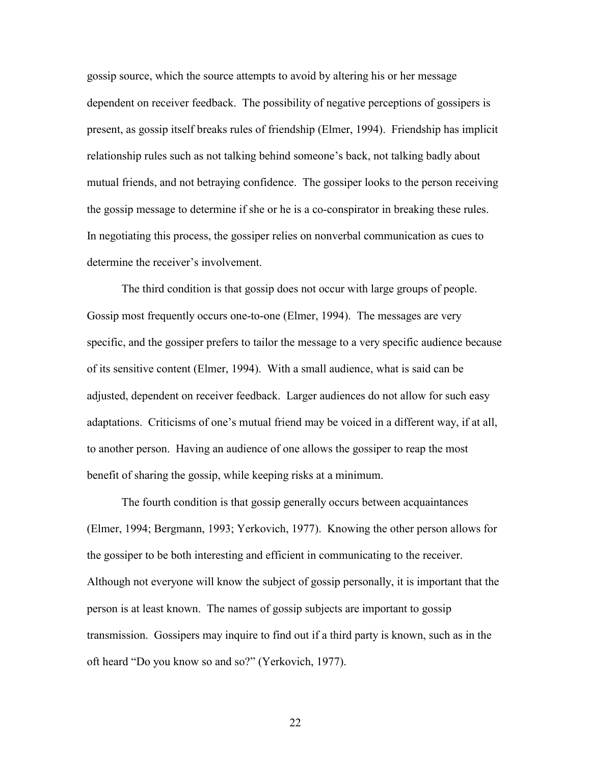gossip source, which the source attempts to avoid by altering his or her message dependent on receiver feedback. The possibility of negative perceptions of gossipers is present, as gossip itself breaks rules of friendship (Elmer, 1994). Friendship has implicit relationship rules such as not talking behind someone's back, not talking badly about mutual friends, and not betraying confidence. The gossiper looks to the person receiving the gossip message to determine if she or he is a co-conspirator in breaking these rules. In negotiating this process, the gossiper relies on nonverbal communication as cues to determine the receiver's involvement.

The third condition is that gossip does not occur with large groups of people. Gossip most frequently occurs one-to-one (Elmer, 1994). The messages are very specific, and the gossiper prefers to tailor the message to a very specific audience because of its sensitive content (Elmer, 1994). With a small audience, what is said can be adjusted, dependent on receiver feedback. Larger audiences do not allow for such easy adaptations. Criticisms of one's mutual friend may be voiced in a different way, if at all, to another person. Having an audience of one allows the gossiper to reap the most benefit of sharing the gossip, while keeping risks at a minimum.

The fourth condition is that gossip generally occurs between acquaintances (Elmer, 1994; Bergmann, 1993; Yerkovich, 1977). Knowing the other person allows for the gossiper to be both interesting and efficient in communicating to the receiver. Although not everyone will know the subject of gossip personally, it is important that the person is at least known. The names of gossip subjects are important to gossip transmission. Gossipers may inquire to find out if a third party is known, such as in the oft heard "Do you know so and so?" (Yerkovich, 1977).

<u>22</u>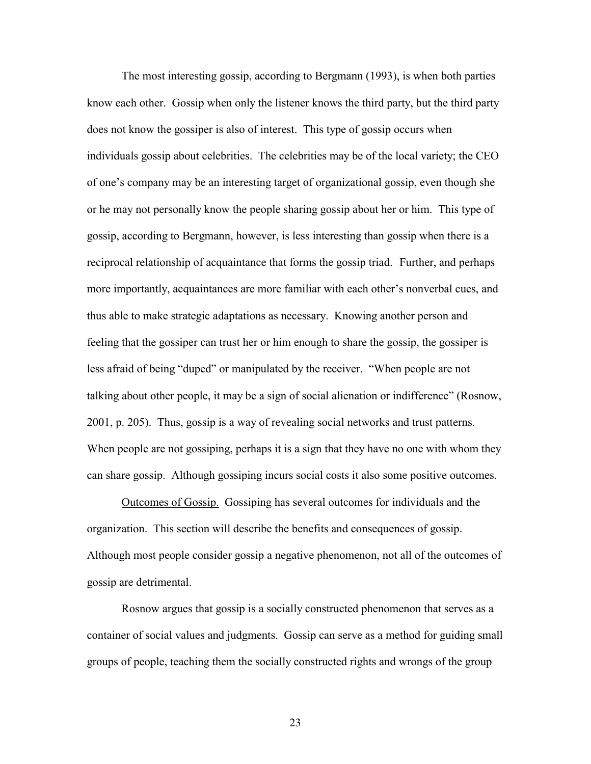The most interesting gossip, according to Bergmann (1993), is when both parties know each other. Gossip when only the listener knows the third party, but the third party does not know the gossiper is also of interest. This type of gossip occurs when individuals gossip about celebrities. The celebrities may be of the local variety; the CEO of one's company may be an interesting target of organizational gossip, even though she or he may not personally know the people sharing gossip about her or him. This type of gossip, according to Bergmann, however, is less interesting than gossip when there is a reciprocal relationship of acquaintance that forms the gossip triad. Further, and perhaps more importantly, acquaintances are more familiar with each other's nonverbal cues, and thus able to make strategic adaptations as necessary. Knowing another person and feeling that the gossiper can trust her or him enough to share the gossip, the gossiper is less afraid of being "duped" or manipulated by the receiver. "When people are not talking about other people, it may be a sign of social alienation or indifference" (Rosnow, 2001, p. 205). Thus, gossip is a way of revealing social networks and trust patterns. When people are not gossiping, perhaps it is a sign that they have no one with whom they can share gossip. Although gossiping incurs social costs it also some positive outcomes.

Outcomes of Gossip. Gossiping has several outcomes for individuals and the organization. This section will describe the benefits and consequences of gossip. Although most people consider gossip a negative phenomenon, not all of the outcomes of gossip are detrimental.

Rosnow argues that gossip is a socially constructed phenomenon that serves as a container of social values and judgments. Gossip can serve as a method for guiding small groups of people, teaching them the socially constructed rights and wrongs of the group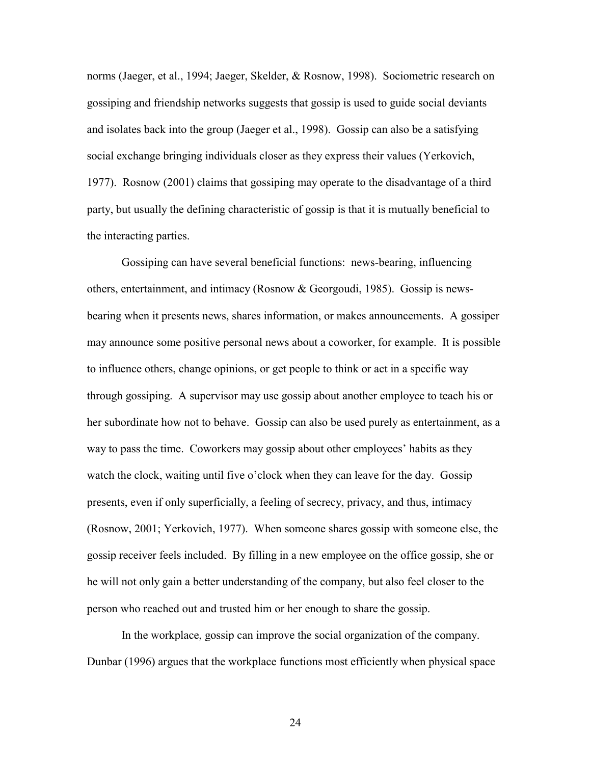norms (Jaeger, et al., 1994; Jaeger, Skelder, & Rosnow, 1998). Sociometric research on gossiping and friendship networks suggests that gossip is used to guide social deviants and isolates back into the group (Jaeger et al., 1998). Gossip can also be a satisfying social exchange bringing individuals closer as they express their values (Yerkovich, 1977). Rosnow (2001) claims that gossiping may operate to the disadvantage of a third party, but usually the defining characteristic of gossip is that it is mutually beneficial to the interacting parties.

Gossiping can have several beneficial functions: news-bearing, influencing others, entertainment, and intimacy (Rosnow & Georgoudi, 1985). Gossip is newsbearing when it presents news, shares information, or makes announcements. A gossiper may announce some positive personal news about a coworker, for example. It is possible to influence others, change opinions, or get people to think or act in a specific way through gossiping. A supervisor may use gossip about another employee to teach his or her subordinate how not to behave. Gossip can also be used purely as entertainment, as a way to pass the time. Coworkers may gossip about other employees' habits as they watch the clock, waiting until five o'clock when they can leave for the day. Gossip presents, even if only superficially, a feeling of secrecy, privacy, and thus, intimacy (Rosnow, 2001; Yerkovich, 1977). When someone shares gossip with someone else, the gossip receiver feels included. By filling in a new employee on the office gossip, she or he will not only gain a better understanding of the company, but also feel closer to the person who reached out and trusted him or her enough to share the gossip.

In the workplace, gossip can improve the social organization of the company. Dunbar (1996) argues that the workplace functions most efficiently when physical space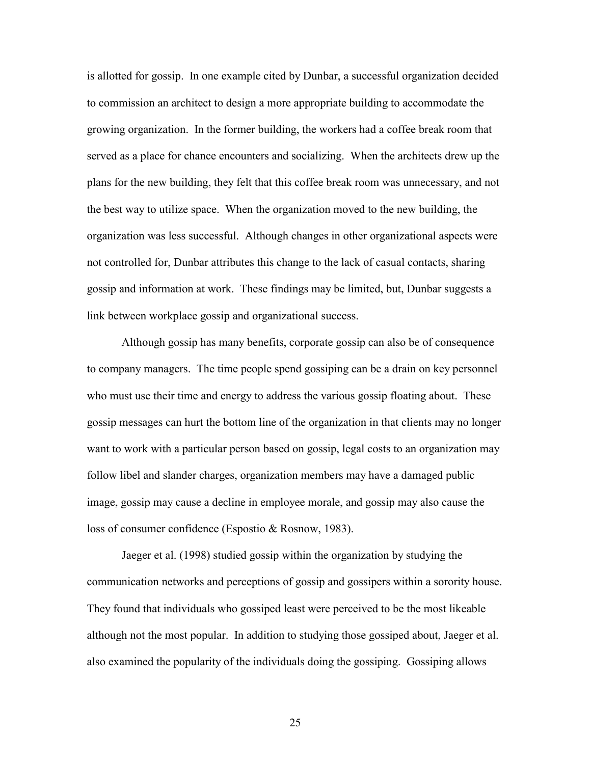is allotted for gossip. In one example cited by Dunbar, a successful organization decided to commission an architect to design a more appropriate building to accommodate the growing organization. In the former building, the workers had a coffee break room that served as a place for chance encounters and socializing. When the architects drew up the plans for the new building, they felt that this coffee break room was unnecessary, and not the best way to utilize space. When the organization moved to the new building, the organization was less successful. Although changes in other organizational aspects were not controlled for, Dunbar attributes this change to the lack of casual contacts, sharing gossip and information at work. These findings may be limited, but, Dunbar suggests a link between workplace gossip and organizational success.

Although gossip has many benefits, corporate gossip can also be of consequence to company managers. The time people spend gossiping can be a drain on key personnel who must use their time and energy to address the various gossip floating about. These gossip messages can hurt the bottom line of the organization in that clients may no longer want to work with a particular person based on gossip, legal costs to an organization may follow libel and slander charges, organization members may have a damaged public image, gossip may cause a decline in employee morale, and gossip may also cause the loss of consumer confidence (Espostio & Rosnow, 1983).

 Jaeger et al. (1998) studied gossip within the organization by studying the communication networks and perceptions of gossip and gossipers within a sorority house. They found that individuals who gossiped least were perceived to be the most likeable although not the most popular. In addition to studying those gossiped about, Jaeger et al. also examined the popularity of the individuals doing the gossiping. Gossiping allows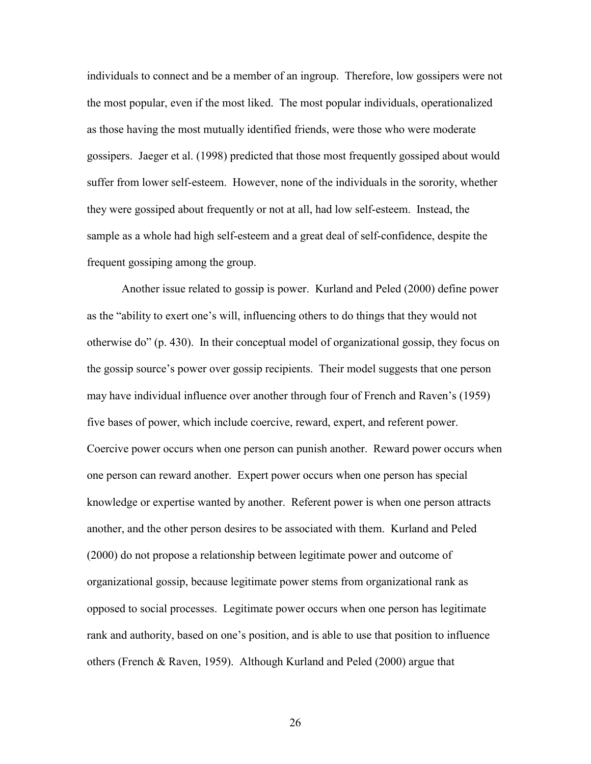individuals to connect and be a member of an ingroup. Therefore, low gossipers were not the most popular, even if the most liked. The most popular individuals, operationalized as those having the most mutually identified friends, were those who were moderate gossipers. Jaeger et al. (1998) predicted that those most frequently gossiped about would suffer from lower self-esteem. However, none of the individuals in the sorority, whether they were gossiped about frequently or not at all, had low self-esteem. Instead, the sample as a whole had high self-esteem and a great deal of self-confidence, despite the frequent gossiping among the group.

Another issue related to gossip is power. Kurland and Peled (2000) define power as the "ability to exert one's will, influencing others to do things that they would not otherwise do" (p. 430). In their conceptual model of organizational gossip, they focus on the gossip source's power over gossip recipients. Their model suggests that one person may have individual influence over another through four of French and Raven's (1959) five bases of power, which include coercive, reward, expert, and referent power. Coercive power occurs when one person can punish another. Reward power occurs when one person can reward another. Expert power occurs when one person has special knowledge or expertise wanted by another. Referent power is when one person attracts another, and the other person desires to be associated with them. Kurland and Peled (2000) do not propose a relationship between legitimate power and outcome of organizational gossip, because legitimate power stems from organizational rank as opposed to social processes. Legitimate power occurs when one person has legitimate rank and authority, based on one's position, and is able to use that position to influence others (French & Raven, 1959). Although Kurland and Peled (2000) argue that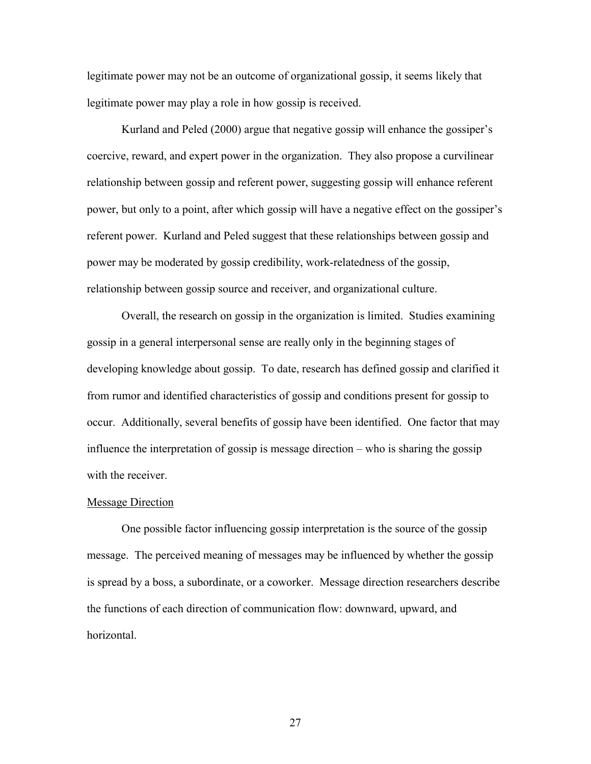legitimate power may not be an outcome of organizational gossip, it seems likely that legitimate power may play a role in how gossip is received.

Kurland and Peled (2000) argue that negative gossip will enhance the gossiper's coercive, reward, and expert power in the organization. They also propose a curvilinear relationship between gossip and referent power, suggesting gossip will enhance referent power, but only to a point, after which gossip will have a negative effect on the gossiper's referent power. Kurland and Peled suggest that these relationships between gossip and power may be moderated by gossip credibility, work-relatedness of the gossip, relationship between gossip source and receiver, and organizational culture.

 Overall, the research on gossip in the organization is limited. Studies examining gossip in a general interpersonal sense are really only in the beginning stages of developing knowledge about gossip. To date, research has defined gossip and clarified it from rumor and identified characteristics of gossip and conditions present for gossip to occur. Additionally, several benefits of gossip have been identified. One factor that may influence the interpretation of gossip is message direction – who is sharing the gossip with the receiver.

#### Message Direction

 One possible factor influencing gossip interpretation is the source of the gossip message. The perceived meaning of messages may be influenced by whether the gossip is spread by a boss, a subordinate, or a coworker. Message direction researchers describe the functions of each direction of communication flow: downward, upward, and horizontal.

<u>27</u>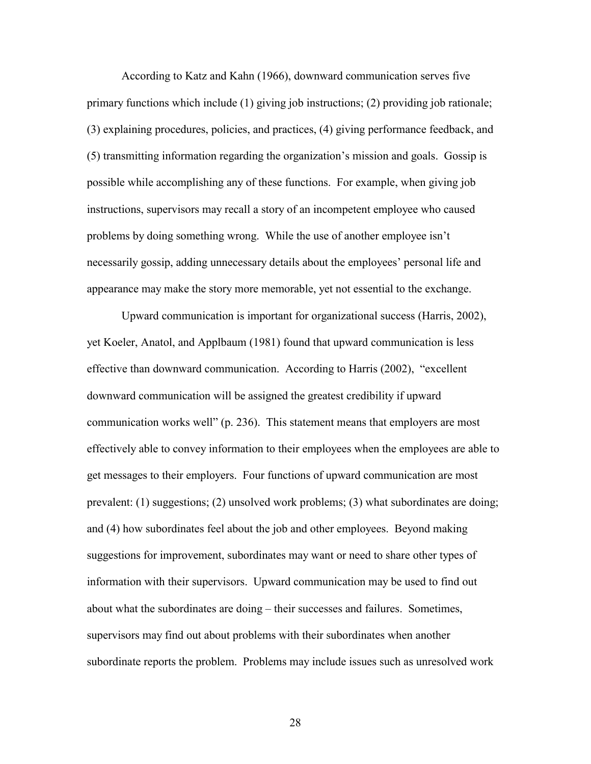According to Katz and Kahn (1966), downward communication serves five primary functions which include (1) giving job instructions; (2) providing job rationale; (3) explaining procedures, policies, and practices, (4) giving performance feedback, and (5) transmitting information regarding the organization's mission and goals. Gossip is possible while accomplishing any of these functions. For example, when giving job instructions, supervisors may recall a story of an incompetent employee who caused problems by doing something wrong. While the use of another employee isn't necessarily gossip, adding unnecessary details about the employees' personal life and appearance may make the story more memorable, yet not essential to the exchange.

 Upward communication is important for organizational success (Harris, 2002), yet Koeler, Anatol, and Applbaum (1981) found that upward communication is less effective than downward communication. According to Harris (2002), "excellent downward communication will be assigned the greatest credibility if upward communication works well" (p. 236). This statement means that employers are most effectively able to convey information to their employees when the employees are able to get messages to their employers. Four functions of upward communication are most prevalent: (1) suggestions; (2) unsolved work problems; (3) what subordinates are doing; and (4) how subordinates feel about the job and other employees. Beyond making suggestions for improvement, subordinates may want or need to share other types of information with their supervisors. Upward communication may be used to find out about what the subordinates are doing – their successes and failures. Sometimes, supervisors may find out about problems with their subordinates when another subordinate reports the problem. Problems may include issues such as unresolved work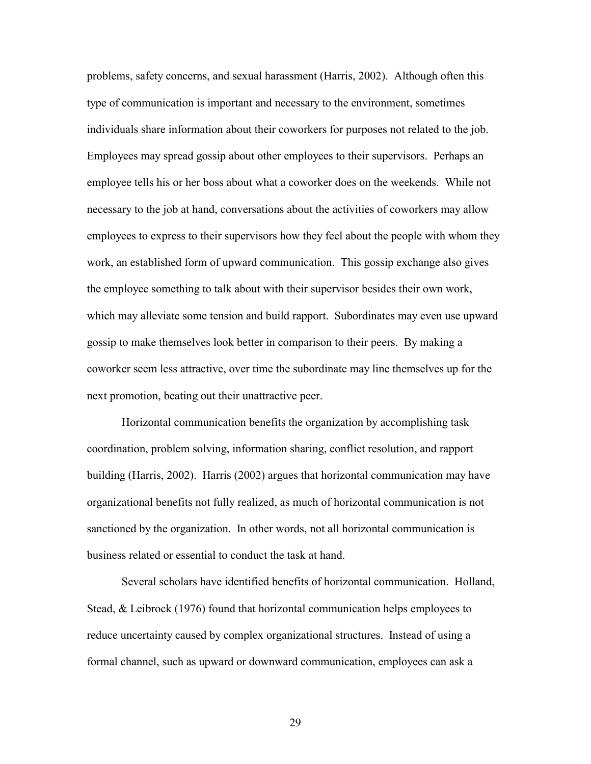problems, safety concerns, and sexual harassment (Harris, 2002). Although often this type of communication is important and necessary to the environment, sometimes individuals share information about their coworkers for purposes not related to the job. Employees may spread gossip about other employees to their supervisors. Perhaps an employee tells his or her boss about what a coworker does on the weekends. While not necessary to the job at hand, conversations about the activities of coworkers may allow employees to express to their supervisors how they feel about the people with whom they work, an established form of upward communication. This gossip exchange also gives the employee something to talk about with their supervisor besides their own work, which may alleviate some tension and build rapport. Subordinates may even use upward gossip to make themselves look better in comparison to their peers. By making a coworker seem less attractive, over time the subordinate may line themselves up for the next promotion, beating out their unattractive peer.

 Horizontal communication benefits the organization by accomplishing task coordination, problem solving, information sharing, conflict resolution, and rapport building (Harris, 2002). Harris (2002) argues that horizontal communication may have organizational benefits not fully realized, as much of horizontal communication is not sanctioned by the organization. In other words, not all horizontal communication is business related or essential to conduct the task at hand.

 Several scholars have identified benefits of horizontal communication. Holland, Stead, & Leibrock (1976) found that horizontal communication helps employees to reduce uncertainty caused by complex organizational structures. Instead of using a formal channel, such as upward or downward communication, employees can ask a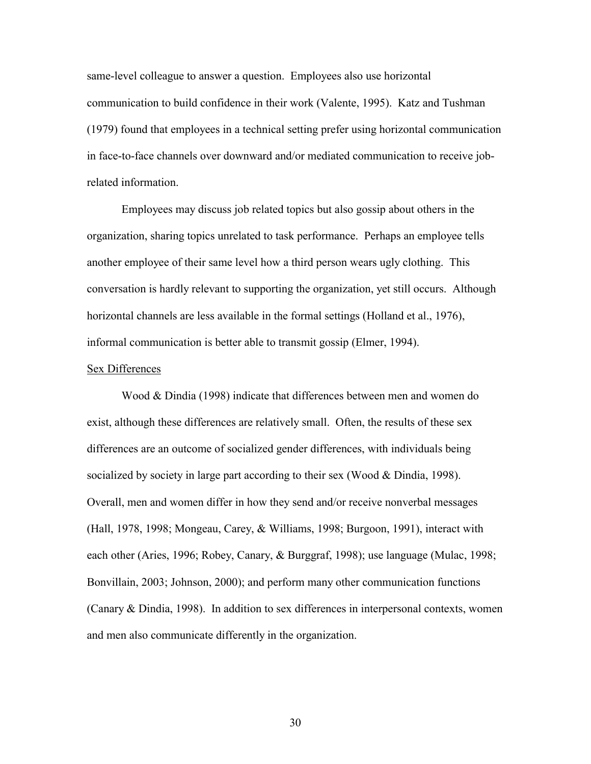same-level colleague to answer a question. Employees also use horizontal communication to build confidence in their work (Valente, 1995). Katz and Tushman (1979) found that employees in a technical setting prefer using horizontal communication in face-to-face channels over downward and/or mediated communication to receive jobrelated information.

Employees may discuss job related topics but also gossip about others in the organization, sharing topics unrelated to task performance. Perhaps an employee tells another employee of their same level how a third person wears ugly clothing. This conversation is hardly relevant to supporting the organization, yet still occurs. Although horizontal channels are less available in the formal settings (Holland et al., 1976), informal communication is better able to transmit gossip (Elmer, 1994).

#### Sex Differences

 Wood & Dindia (1998) indicate that differences between men and women do exist, although these differences are relatively small. Often, the results of these sex differences are an outcome of socialized gender differences, with individuals being socialized by society in large part according to their sex (Wood & Dindia, 1998). Overall, men and women differ in how they send and/or receive nonverbal messages (Hall, 1978, 1998; Mongeau, Carey, & Williams, 1998; Burgoon, 1991), interact with each other (Aries, 1996; Robey, Canary, & Burggraf, 1998); use language (Mulac, 1998; Bonvillain, 2003; Johnson, 2000); and perform many other communication functions (Canary & Dindia, 1998). In addition to sex differences in interpersonal contexts, women and men also communicate differently in the organization.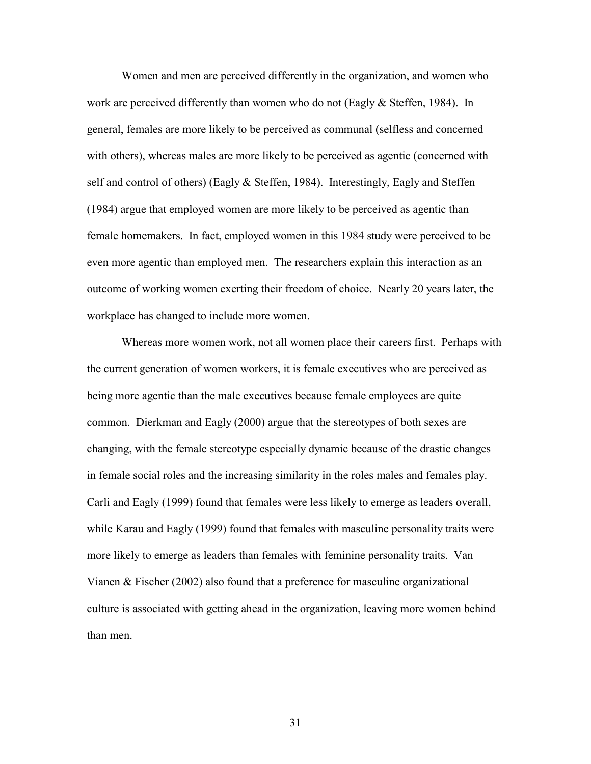Women and men are perceived differently in the organization, and women who work are perceived differently than women who do not (Eagly & Steffen, 1984). In general, females are more likely to be perceived as communal (selfless and concerned with others), whereas males are more likely to be perceived as agentic (concerned with self and control of others) (Eagly & Steffen, 1984). Interestingly, Eagly and Steffen (1984) argue that employed women are more likely to be perceived as agentic than female homemakers. In fact, employed women in this 1984 study were perceived to be even more agentic than employed men. The researchers explain this interaction as an outcome of working women exerting their freedom of choice. Nearly 20 years later, the workplace has changed to include more women.

Whereas more women work, not all women place their careers first. Perhaps with the current generation of women workers, it is female executives who are perceived as being more agentic than the male executives because female employees are quite common. Dierkman and Eagly (2000) argue that the stereotypes of both sexes are changing, with the female stereotype especially dynamic because of the drastic changes in female social roles and the increasing similarity in the roles males and females play. Carli and Eagly (1999) found that females were less likely to emerge as leaders overall, while Karau and Eagly (1999) found that females with masculine personality traits were more likely to emerge as leaders than females with feminine personality traits. Van Vianen & Fischer (2002) also found that a preference for masculine organizational culture is associated with getting ahead in the organization, leaving more women behind than men.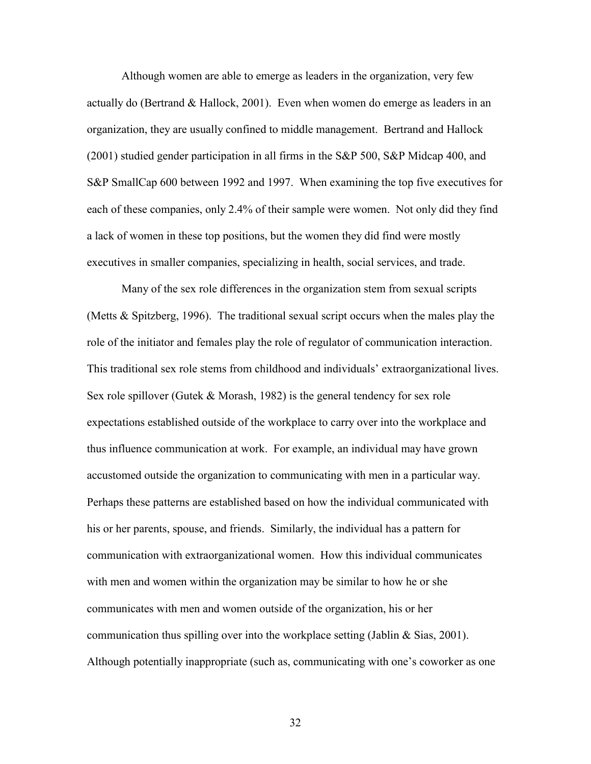Although women are able to emerge as leaders in the organization, very few actually do (Bertrand & Hallock, 2001). Even when women do emerge as leaders in an organization, they are usually confined to middle management. Bertrand and Hallock (2001) studied gender participation in all firms in the S&P 500, S&P Midcap 400, and S&P SmallCap 600 between 1992 and 1997. When examining the top five executives for each of these companies, only 2.4% of their sample were women. Not only did they find a lack of women in these top positions, but the women they did find were mostly executives in smaller companies, specializing in health, social services, and trade.

Many of the sex role differences in the organization stem from sexual scripts (Metts & Spitzberg, 1996). The traditional sexual script occurs when the males play the role of the initiator and females play the role of regulator of communication interaction. This traditional sex role stems from childhood and individuals' extraorganizational lives. Sex role spillover (Gutek & Morash, 1982) is the general tendency for sex role expectations established outside of the workplace to carry over into the workplace and thus influence communication at work. For example, an individual may have grown accustomed outside the organization to communicating with men in a particular way. Perhaps these patterns are established based on how the individual communicated with his or her parents, spouse, and friends. Similarly, the individual has a pattern for communication with extraorganizational women. How this individual communicates with men and women within the organization may be similar to how he or she communicates with men and women outside of the organization, his or her communication thus spilling over into the workplace setting (Jablin & Sias, 2001). Although potentially inappropriate (such as, communicating with one's coworker as one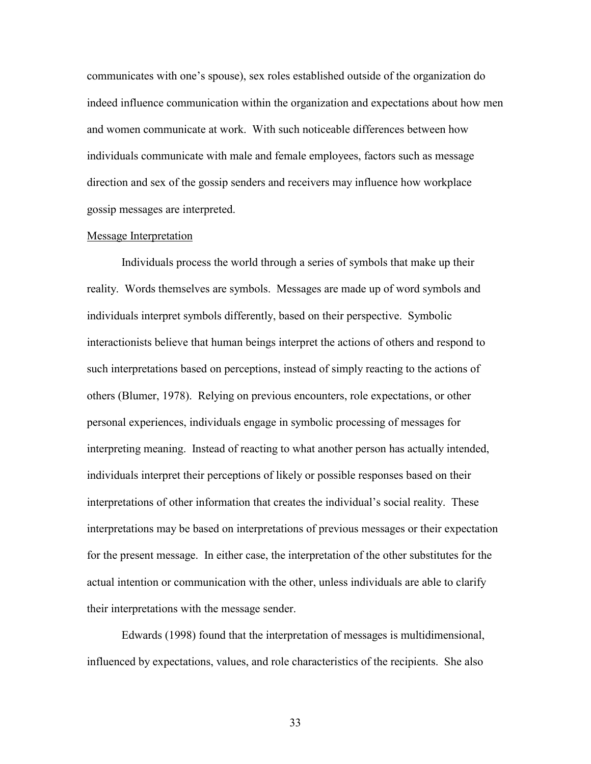communicates with one's spouse), sex roles established outside of the organization do indeed influence communication within the organization and expectations about how men and women communicate at work. With such noticeable differences between how individuals communicate with male and female employees, factors such as message direction and sex of the gossip senders and receivers may influence how workplace gossip messages are interpreted.

# Message Interpretation

 Individuals process the world through a series of symbols that make up their reality. Words themselves are symbols. Messages are made up of word symbols and individuals interpret symbols differently, based on their perspective. Symbolic interactionists believe that human beings interpret the actions of others and respond to such interpretations based on perceptions, instead of simply reacting to the actions of others (Blumer, 1978). Relying on previous encounters, role expectations, or other personal experiences, individuals engage in symbolic processing of messages for interpreting meaning. Instead of reacting to what another person has actually intended, individuals interpret their perceptions of likely or possible responses based on their interpretations of other information that creates the individual's social reality. These interpretations may be based on interpretations of previous messages or their expectation for the present message. In either case, the interpretation of the other substitutes for the actual intention or communication with the other, unless individuals are able to clarify their interpretations with the message sender.

 Edwards (1998) found that the interpretation of messages is multidimensional, influenced by expectations, values, and role characteristics of the recipients. She also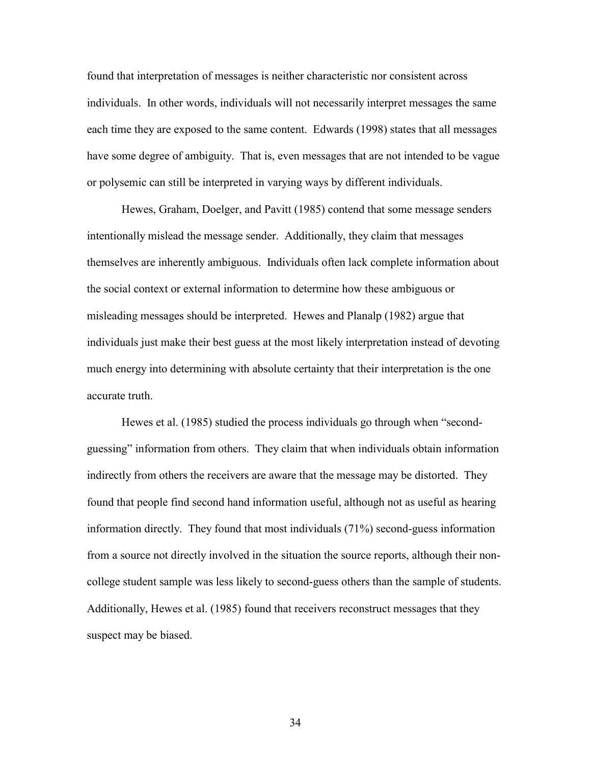found that interpretation of messages is neither characteristic nor consistent across individuals. In other words, individuals will not necessarily interpret messages the same each time they are exposed to the same content. Edwards (1998) states that all messages have some degree of ambiguity. That is, even messages that are not intended to be vague or polysemic can still be interpreted in varying ways by different individuals.

 Hewes, Graham, Doelger, and Pavitt (1985) contend that some message senders intentionally mislead the message sender. Additionally, they claim that messages themselves are inherently ambiguous. Individuals often lack complete information about the social context or external information to determine how these ambiguous or misleading messages should be interpreted. Hewes and Planalp (1982) argue that individuals just make their best guess at the most likely interpretation instead of devoting much energy into determining with absolute certainty that their interpretation is the one accurate truth.

 Hewes et al. (1985) studied the process individuals go through when "secondguessing" information from others. They claim that when individuals obtain information indirectly from others the receivers are aware that the message may be distorted. They found that people find second hand information useful, although not as useful as hearing information directly. They found that most individuals (71%) second-guess information from a source not directly involved in the situation the source reports, although their noncollege student sample was less likely to second-guess others than the sample of students. Additionally, Hewes et al. (1985) found that receivers reconstruct messages that they suspect may be biased.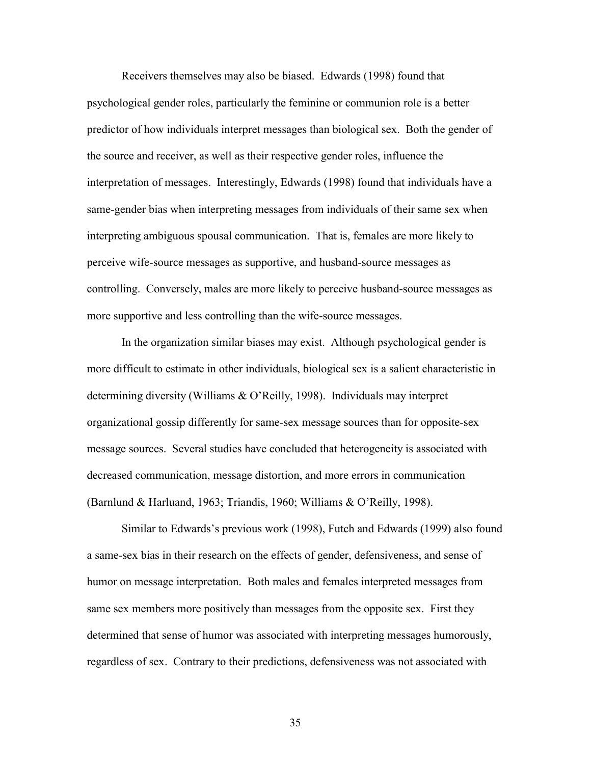Receivers themselves may also be biased. Edwards (1998) found that psychological gender roles, particularly the feminine or communion role is a better predictor of how individuals interpret messages than biological sex. Both the gender of the source and receiver, as well as their respective gender roles, influence the interpretation of messages. Interestingly, Edwards (1998) found that individuals have a same-gender bias when interpreting messages from individuals of their same sex when interpreting ambiguous spousal communication. That is, females are more likely to perceive wife-source messages as supportive, and husband-source messages as controlling. Conversely, males are more likely to perceive husband-source messages as more supportive and less controlling than the wife-source messages.

In the organization similar biases may exist. Although psychological gender is more difficult to estimate in other individuals, biological sex is a salient characteristic in determining diversity (Williams & O'Reilly, 1998). Individuals may interpret organizational gossip differently for same-sex message sources than for opposite-sex message sources. Several studies have concluded that heterogeneity is associated with decreased communication, message distortion, and more errors in communication (Barnlund & Harluand, 1963; Triandis, 1960; Williams & O'Reilly, 1998).

 Similar to Edwards's previous work (1998), Futch and Edwards (1999) also found a same-sex bias in their research on the effects of gender, defensiveness, and sense of humor on message interpretation. Both males and females interpreted messages from same sex members more positively than messages from the opposite sex. First they determined that sense of humor was associated with interpreting messages humorously, regardless of sex. Contrary to their predictions, defensiveness was not associated with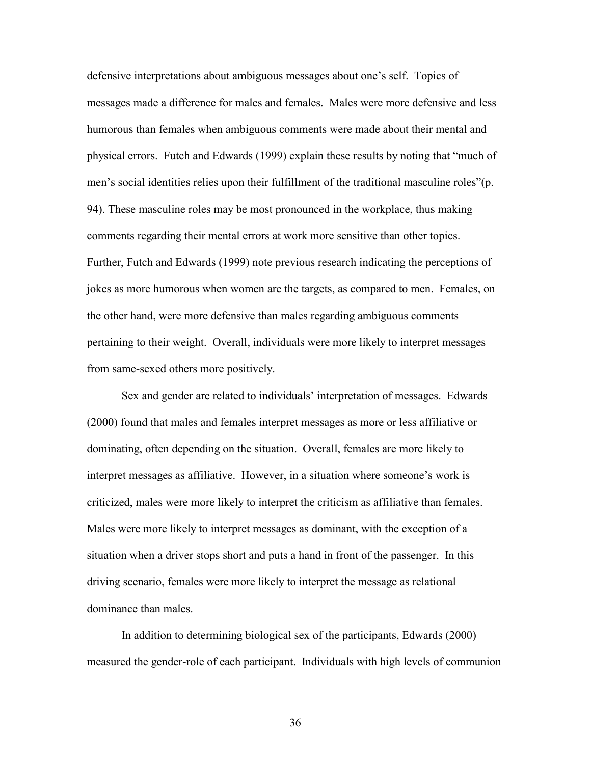defensive interpretations about ambiguous messages about one's self. Topics of messages made a difference for males and females. Males were more defensive and less humorous than females when ambiguous comments were made about their mental and physical errors. Futch and Edwards (1999) explain these results by noting that "much of men's social identities relies upon their fulfillment of the traditional masculine roles"(p. 94). These masculine roles may be most pronounced in the workplace, thus making comments regarding their mental errors at work more sensitive than other topics. Further, Futch and Edwards (1999) note previous research indicating the perceptions of jokes as more humorous when women are the targets, as compared to men. Females, on the other hand, were more defensive than males regarding ambiguous comments pertaining to their weight. Overall, individuals were more likely to interpret messages from same-sexed others more positively.

 Sex and gender are related to individuals' interpretation of messages. Edwards (2000) found that males and females interpret messages as more or less affiliative or dominating, often depending on the situation. Overall, females are more likely to interpret messages as affiliative. However, in a situation where someone's work is criticized, males were more likely to interpret the criticism as affiliative than females. Males were more likely to interpret messages as dominant, with the exception of a situation when a driver stops short and puts a hand in front of the passenger. In this driving scenario, females were more likely to interpret the message as relational dominance than males.

In addition to determining biological sex of the participants, Edwards (2000) measured the gender-role of each participant. Individuals with high levels of communion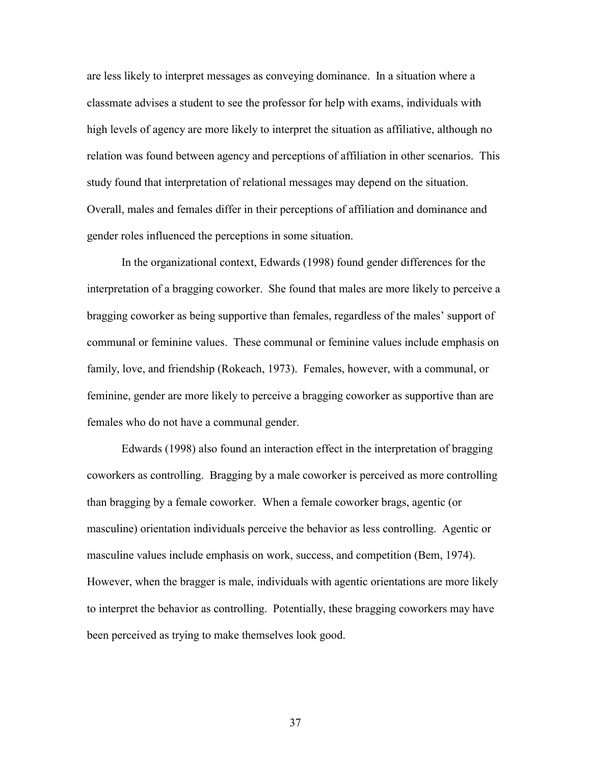are less likely to interpret messages as conveying dominance. In a situation where a classmate advises a student to see the professor for help with exams, individuals with high levels of agency are more likely to interpret the situation as affiliative, although no relation was found between agency and perceptions of affiliation in other scenarios. This study found that interpretation of relational messages may depend on the situation. Overall, males and females differ in their perceptions of affiliation and dominance and gender roles influenced the perceptions in some situation.

 In the organizational context, Edwards (1998) found gender differences for the interpretation of a bragging coworker. She found that males are more likely to perceive a bragging coworker as being supportive than females, regardless of the males' support of communal or feminine values. These communal or feminine values include emphasis on family, love, and friendship (Rokeach, 1973). Females, however, with a communal, or feminine, gender are more likely to perceive a bragging coworker as supportive than are females who do not have a communal gender.

Edwards (1998) also found an interaction effect in the interpretation of bragging coworkers as controlling. Bragging by a male coworker is perceived as more controlling than bragging by a female coworker. When a female coworker brags, agentic (or masculine) orientation individuals perceive the behavior as less controlling. Agentic or masculine values include emphasis on work, success, and competition (Bem, 1974). However, when the bragger is male, individuals with agentic orientations are more likely to interpret the behavior as controlling. Potentially, these bragging coworkers may have been perceived as trying to make themselves look good.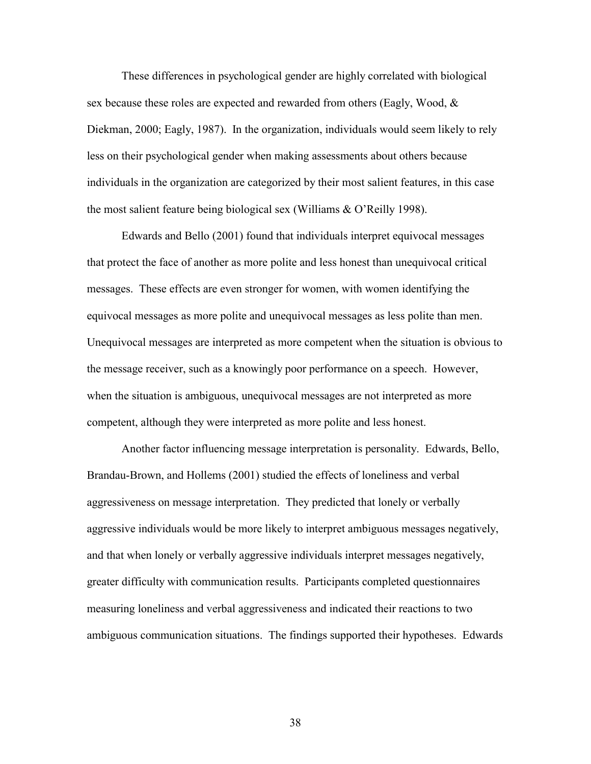These differences in psychological gender are highly correlated with biological sex because these roles are expected and rewarded from others (Eagly, Wood, & Diekman, 2000; Eagly, 1987). In the organization, individuals would seem likely to rely less on their psychological gender when making assessments about others because individuals in the organization are categorized by their most salient features, in this case the most salient feature being biological sex (Williams & O'Reilly 1998).

Edwards and Bello (2001) found that individuals interpret equivocal messages that protect the face of another as more polite and less honest than unequivocal critical messages. These effects are even stronger for women, with women identifying the equivocal messages as more polite and unequivocal messages as less polite than men. Unequivocal messages are interpreted as more competent when the situation is obvious to the message receiver, such as a knowingly poor performance on a speech. However, when the situation is ambiguous, unequivocal messages are not interpreted as more competent, although they were interpreted as more polite and less honest.

Another factor influencing message interpretation is personality. Edwards, Bello, Brandau-Brown, and Hollems (2001) studied the effects of loneliness and verbal aggressiveness on message interpretation. They predicted that lonely or verbally aggressive individuals would be more likely to interpret ambiguous messages negatively, and that when lonely or verbally aggressive individuals interpret messages negatively, greater difficulty with communication results. Participants completed questionnaires measuring loneliness and verbal aggressiveness and indicated their reactions to two ambiguous communication situations. The findings supported their hypotheses. Edwards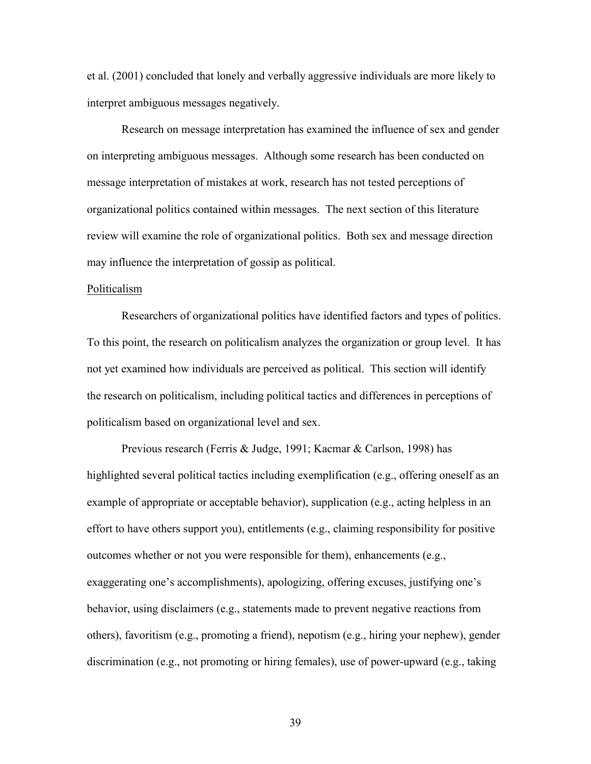et al. (2001) concluded that lonely and verbally aggressive individuals are more likely to interpret ambiguous messages negatively.

Research on message interpretation has examined the influence of sex and gender on interpreting ambiguous messages. Although some research has been conducted on message interpretation of mistakes at work, research has not tested perceptions of organizational politics contained within messages. The next section of this literature review will examine the role of organizational politics. Both sex and message direction may influence the interpretation of gossip as political.

# Politicalism

Researchers of organizational politics have identified factors and types of politics. To this point, the research on politicalism analyzes the organization or group level. It has not yet examined how individuals are perceived as political. This section will identify the research on politicalism, including political tactics and differences in perceptions of politicalism based on organizational level and sex.

 Previous research (Ferris & Judge, 1991; Kacmar & Carlson, 1998) has highlighted several political tactics including exemplification (e.g., offering oneself as an example of appropriate or acceptable behavior), supplication (e.g., acting helpless in an effort to have others support you), entitlements (e.g., claiming responsibility for positive outcomes whether or not you were responsible for them), enhancements (e.g., exaggerating one's accomplishments), apologizing, offering excuses, justifying one's behavior, using disclaimers (e.g., statements made to prevent negative reactions from others), favoritism (e.g., promoting a friend), nepotism (e.g., hiring your nephew), gender discrimination (e.g., not promoting or hiring females), use of power-upward (e.g., taking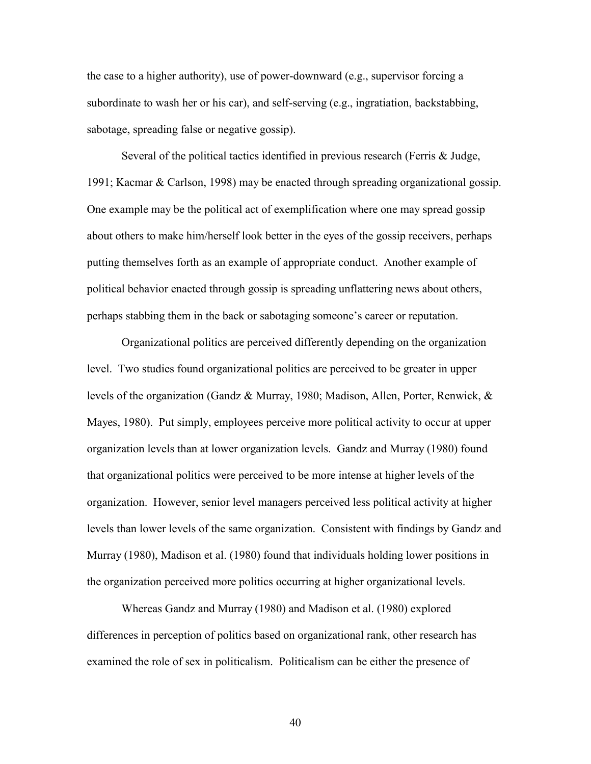the case to a higher authority), use of power-downward (e.g., supervisor forcing a subordinate to wash her or his car), and self-serving (e.g., ingratiation, backstabbing, sabotage, spreading false or negative gossip).

Several of the political tactics identified in previous research (Ferris & Judge, 1991; Kacmar & Carlson, 1998) may be enacted through spreading organizational gossip. One example may be the political act of exemplification where one may spread gossip about others to make him/herself look better in the eyes of the gossip receivers, perhaps putting themselves forth as an example of appropriate conduct. Another example of political behavior enacted through gossip is spreading unflattering news about others, perhaps stabbing them in the back or sabotaging someone's career or reputation.

 Organizational politics are perceived differently depending on the organization level. Two studies found organizational politics are perceived to be greater in upper levels of the organization (Gandz & Murray, 1980; Madison, Allen, Porter, Renwick, & Mayes, 1980). Put simply, employees perceive more political activity to occur at upper organization levels than at lower organization levels. Gandz and Murray (1980) found that organizational politics were perceived to be more intense at higher levels of the organization. However, senior level managers perceived less political activity at higher levels than lower levels of the same organization. Consistent with findings by Gandz and Murray (1980), Madison et al. (1980) found that individuals holding lower positions in the organization perceived more politics occurring at higher organizational levels.

Whereas Gandz and Murray (1980) and Madison et al. (1980) explored differences in perception of politics based on organizational rank, other research has examined the role of sex in politicalism. Politicalism can be either the presence of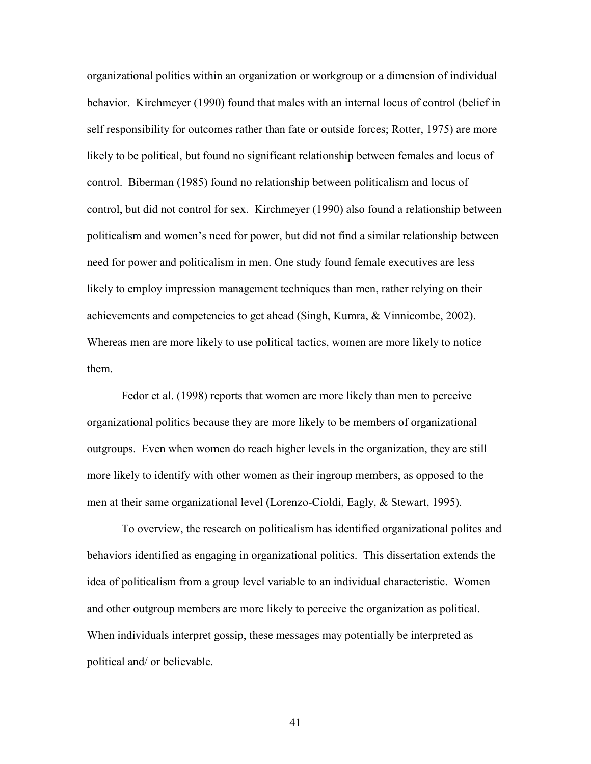organizational politics within an organization or workgroup or a dimension of individual behavior. Kirchmeyer (1990) found that males with an internal locus of control (belief in self responsibility for outcomes rather than fate or outside forces; Rotter, 1975) are more likely to be political, but found no significant relationship between females and locus of control. Biberman (1985) found no relationship between politicalism and locus of control, but did not control for sex. Kirchmeyer (1990) also found a relationship between politicalism and women's need for power, but did not find a similar relationship between need for power and politicalism in men. One study found female executives are less likely to employ impression management techniques than men, rather relying on their achievements and competencies to get ahead (Singh, Kumra, & Vinnicombe, 2002). Whereas men are more likely to use political tactics, women are more likely to notice them.

Fedor et al. (1998) reports that women are more likely than men to perceive organizational politics because they are more likely to be members of organizational outgroups. Even when women do reach higher levels in the organization, they are still more likely to identify with other women as their ingroup members, as opposed to the men at their same organizational level (Lorenzo-Cioldi, Eagly, & Stewart, 1995).

To overview, the research on politicalism has identified organizational politcs and behaviors identified as engaging in organizational politics. This dissertation extends the idea of politicalism from a group level variable to an individual characteristic. Women and other outgroup members are more likely to perceive the organization as political. When individuals interpret gossip, these messages may potentially be interpreted as political and/ or believable.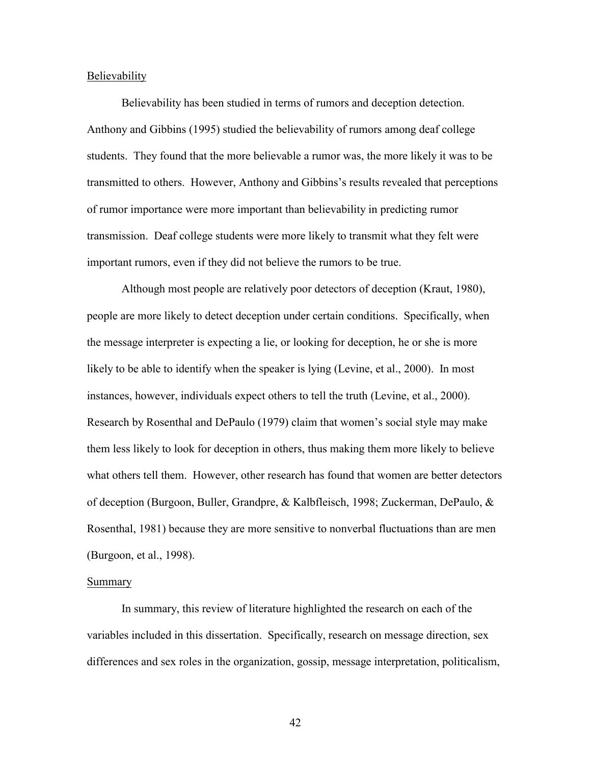## Believability

Believability has been studied in terms of rumors and deception detection. Anthony and Gibbins (1995) studied the believability of rumors among deaf college students. They found that the more believable a rumor was, the more likely it was to be transmitted to others. However, Anthony and Gibbins's results revealed that perceptions of rumor importance were more important than believability in predicting rumor transmission. Deaf college students were more likely to transmit what they felt were important rumors, even if they did not believe the rumors to be true.

Although most people are relatively poor detectors of deception (Kraut, 1980), people are more likely to detect deception under certain conditions. Specifically, when the message interpreter is expecting a lie, or looking for deception, he or she is more likely to be able to identify when the speaker is lying (Levine, et al., 2000). In most instances, however, individuals expect others to tell the truth (Levine, et al., 2000). Research by Rosenthal and DePaulo (1979) claim that women's social style may make them less likely to look for deception in others, thus making them more likely to believe what others tell them. However, other research has found that women are better detectors of deception (Burgoon, Buller, Grandpre, & Kalbfleisch, 1998; Zuckerman, DePaulo, & Rosenthal, 1981) because they are more sensitive to nonverbal fluctuations than are men (Burgoon, et al., 1998).

## Summary

In summary, this review of literature highlighted the research on each of the variables included in this dissertation. Specifically, research on message direction, sex differences and sex roles in the organization, gossip, message interpretation, politicalism,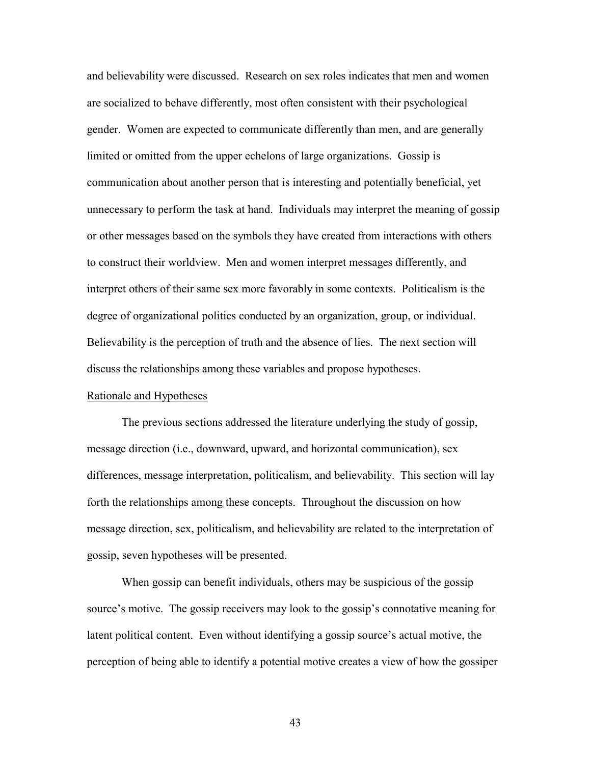and believability were discussed. Research on sex roles indicates that men and women are socialized to behave differently, most often consistent with their psychological gender. Women are expected to communicate differently than men, and are generally limited or omitted from the upper echelons of large organizations. Gossip is communication about another person that is interesting and potentially beneficial, yet unnecessary to perform the task at hand. Individuals may interpret the meaning of gossip or other messages based on the symbols they have created from interactions with others to construct their worldview. Men and women interpret messages differently, and interpret others of their same sex more favorably in some contexts. Politicalism is the degree of organizational politics conducted by an organization, group, or individual. Believability is the perception of truth and the absence of lies. The next section will discuss the relationships among these variables and propose hypotheses.

# Rationale and Hypotheses

The previous sections addressed the literature underlying the study of gossip, message direction (i.e., downward, upward, and horizontal communication), sex differences, message interpretation, politicalism, and believability. This section will lay forth the relationships among these concepts. Throughout the discussion on how message direction, sex, politicalism, and believability are related to the interpretation of gossip, seven hypotheses will be presented.

When gossip can benefit individuals, others may be suspicious of the gossip source's motive. The gossip receivers may look to the gossip's connotative meaning for latent political content. Even without identifying a gossip source's actual motive, the perception of being able to identify a potential motive creates a view of how the gossiper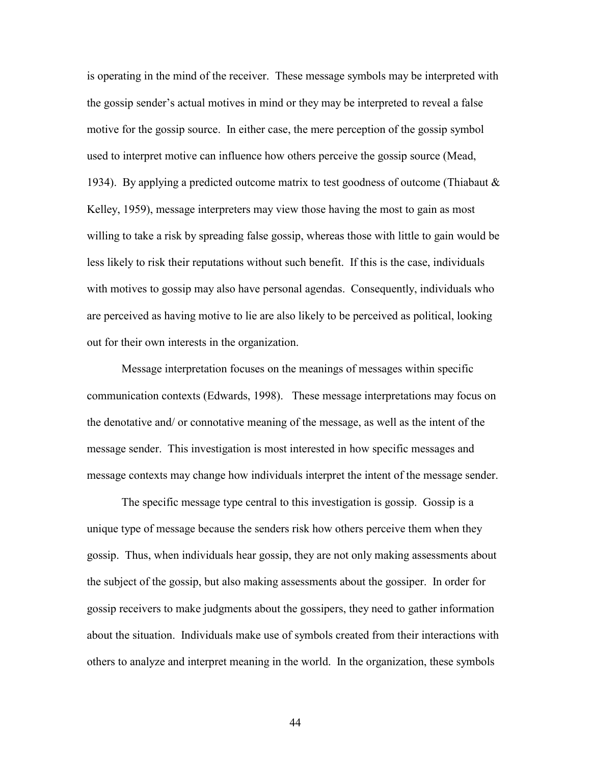is operating in the mind of the receiver. These message symbols may be interpreted with the gossip sender's actual motives in mind or they may be interpreted to reveal a false motive for the gossip source. In either case, the mere perception of the gossip symbol used to interpret motive can influence how others perceive the gossip source (Mead, 1934). By applying a predicted outcome matrix to test goodness of outcome (Thiabaut  $\&$ Kelley, 1959), message interpreters may view those having the most to gain as most willing to take a risk by spreading false gossip, whereas those with little to gain would be less likely to risk their reputations without such benefit. If this is the case, individuals with motives to gossip may also have personal agendas. Consequently, individuals who are perceived as having motive to lie are also likely to be perceived as political, looking out for their own interests in the organization.

Message interpretation focuses on the meanings of messages within specific communication contexts (Edwards, 1998). These message interpretations may focus on the denotative and/ or connotative meaning of the message, as well as the intent of the message sender. This investigation is most interested in how specific messages and message contexts may change how individuals interpret the intent of the message sender.

The specific message type central to this investigation is gossip. Gossip is a unique type of message because the senders risk how others perceive them when they gossip. Thus, when individuals hear gossip, they are not only making assessments about the subject of the gossip, but also making assessments about the gossiper. In order for gossip receivers to make judgments about the gossipers, they need to gather information about the situation. Individuals make use of symbols created from their interactions with others to analyze and interpret meaning in the world. In the organization, these symbols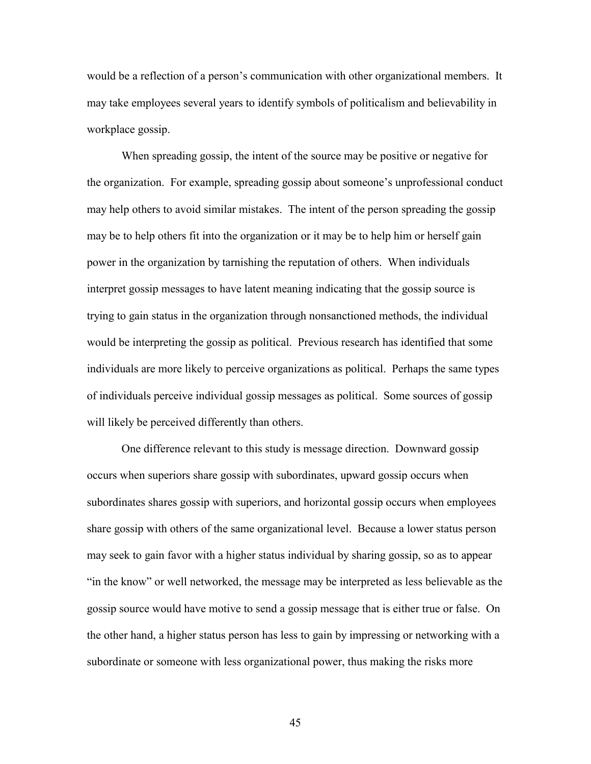would be a reflection of a person's communication with other organizational members. It may take employees several years to identify symbols of politicalism and believability in workplace gossip.

When spreading gossip, the intent of the source may be positive or negative for the organization. For example, spreading gossip about someone's unprofessional conduct may help others to avoid similar mistakes. The intent of the person spreading the gossip may be to help others fit into the organization or it may be to help him or herself gain power in the organization by tarnishing the reputation of others. When individuals interpret gossip messages to have latent meaning indicating that the gossip source is trying to gain status in the organization through nonsanctioned methods, the individual would be interpreting the gossip as political. Previous research has identified that some individuals are more likely to perceive organizations as political. Perhaps the same types of individuals perceive individual gossip messages as political. Some sources of gossip will likely be perceived differently than others.

One difference relevant to this study is message direction. Downward gossip occurs when superiors share gossip with subordinates, upward gossip occurs when subordinates shares gossip with superiors, and horizontal gossip occurs when employees share gossip with others of the same organizational level. Because a lower status person may seek to gain favor with a higher status individual by sharing gossip, so as to appear "in the know" or well networked, the message may be interpreted as less believable as the gossip source would have motive to send a gossip message that is either true or false. On the other hand, a higher status person has less to gain by impressing or networking with a subordinate or someone with less organizational power, thus making the risks more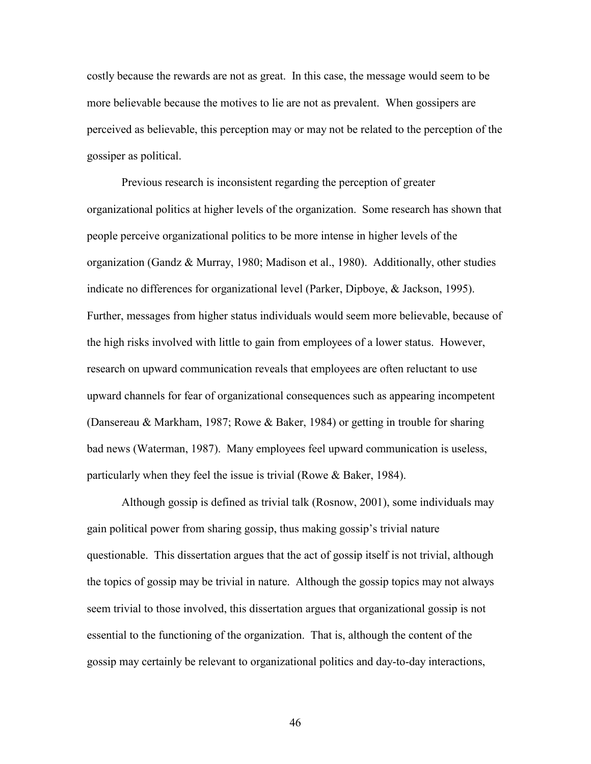costly because the rewards are not as great. In this case, the message would seem to be more believable because the motives to lie are not as prevalent. When gossipers are perceived as believable, this perception may or may not be related to the perception of the gossiper as political.

Previous research is inconsistent regarding the perception of greater organizational politics at higher levels of the organization. Some research has shown that people perceive organizational politics to be more intense in higher levels of the organization (Gandz & Murray, 1980; Madison et al., 1980). Additionally, other studies indicate no differences for organizational level (Parker, Dipboye, & Jackson, 1995). Further, messages from higher status individuals would seem more believable, because of the high risks involved with little to gain from employees of a lower status. However, research on upward communication reveals that employees are often reluctant to use upward channels for fear of organizational consequences such as appearing incompetent (Dansereau & Markham, 1987; Rowe & Baker, 1984) or getting in trouble for sharing bad news (Waterman, 1987). Many employees feel upward communication is useless, particularly when they feel the issue is trivial (Rowe & Baker, 1984).

Although gossip is defined as trivial talk (Rosnow, 2001), some individuals may gain political power from sharing gossip, thus making gossip's trivial nature questionable. This dissertation argues that the act of gossip itself is not trivial, although the topics of gossip may be trivial in nature. Although the gossip topics may not always seem trivial to those involved, this dissertation argues that organizational gossip is not essential to the functioning of the organization. That is, although the content of the gossip may certainly be relevant to organizational politics and day-to-day interactions,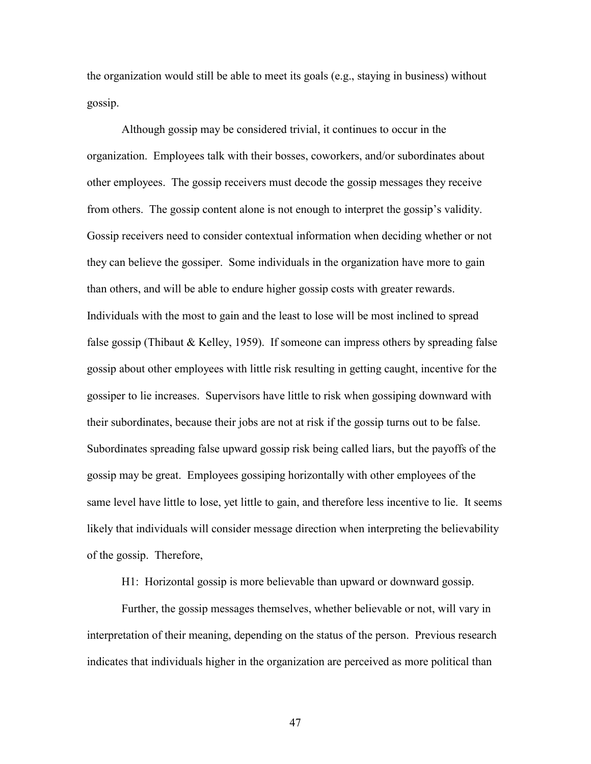the organization would still be able to meet its goals (e.g., staying in business) without gossip.

Although gossip may be considered trivial, it continues to occur in the organization. Employees talk with their bosses, coworkers, and/or subordinates about other employees. The gossip receivers must decode the gossip messages they receive from others. The gossip content alone is not enough to interpret the gossip's validity. Gossip receivers need to consider contextual information when deciding whether or not they can believe the gossiper. Some individuals in the organization have more to gain than others, and will be able to endure higher gossip costs with greater rewards. Individuals with the most to gain and the least to lose will be most inclined to spread false gossip (Thibaut & Kelley, 1959). If someone can impress others by spreading false gossip about other employees with little risk resulting in getting caught, incentive for the gossiper to lie increases. Supervisors have little to risk when gossiping downward with their subordinates, because their jobs are not at risk if the gossip turns out to be false. Subordinates spreading false upward gossip risk being called liars, but the payoffs of the gossip may be great. Employees gossiping horizontally with other employees of the same level have little to lose, yet little to gain, and therefore less incentive to lie. It seems likely that individuals will consider message direction when interpreting the believability of the gossip. Therefore,

H1: Horizontal gossip is more believable than upward or downward gossip.

Further, the gossip messages themselves, whether believable or not, will vary in interpretation of their meaning, depending on the status of the person. Previous research indicates that individuals higher in the organization are perceived as more political than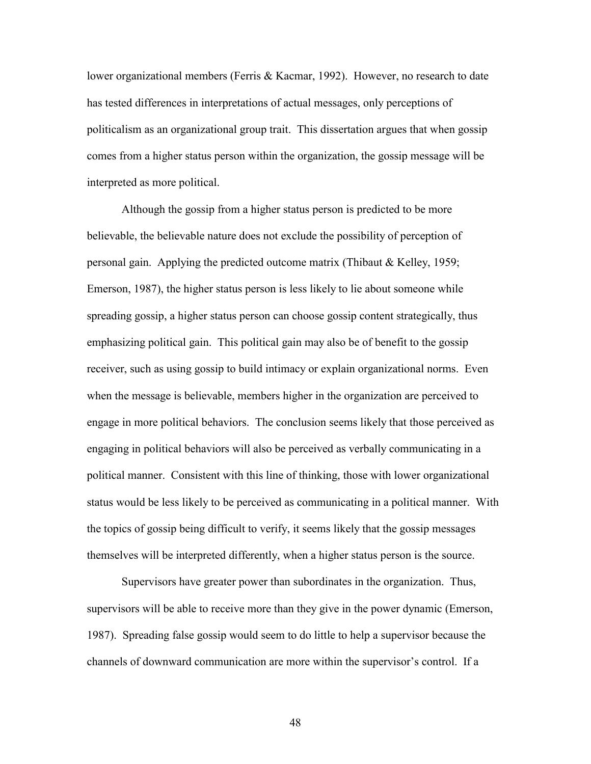lower organizational members (Ferris & Kacmar, 1992). However, no research to date has tested differences in interpretations of actual messages, only perceptions of politicalism as an organizational group trait. This dissertation argues that when gossip comes from a higher status person within the organization, the gossip message will be interpreted as more political.

Although the gossip from a higher status person is predicted to be more believable, the believable nature does not exclude the possibility of perception of personal gain. Applying the predicted outcome matrix (Thibaut & Kelley, 1959; Emerson, 1987), the higher status person is less likely to lie about someone while spreading gossip, a higher status person can choose gossip content strategically, thus emphasizing political gain. This political gain may also be of benefit to the gossip receiver, such as using gossip to build intimacy or explain organizational norms. Even when the message is believable, members higher in the organization are perceived to engage in more political behaviors. The conclusion seems likely that those perceived as engaging in political behaviors will also be perceived as verbally communicating in a political manner. Consistent with this line of thinking, those with lower organizational status would be less likely to be perceived as communicating in a political manner. With the topics of gossip being difficult to verify, it seems likely that the gossip messages themselves will be interpreted differently, when a higher status person is the source.

Supervisors have greater power than subordinates in the organization. Thus, supervisors will be able to receive more than they give in the power dynamic (Emerson, 1987). Spreading false gossip would seem to do little to help a supervisor because the channels of downward communication are more within the supervisor's control. If a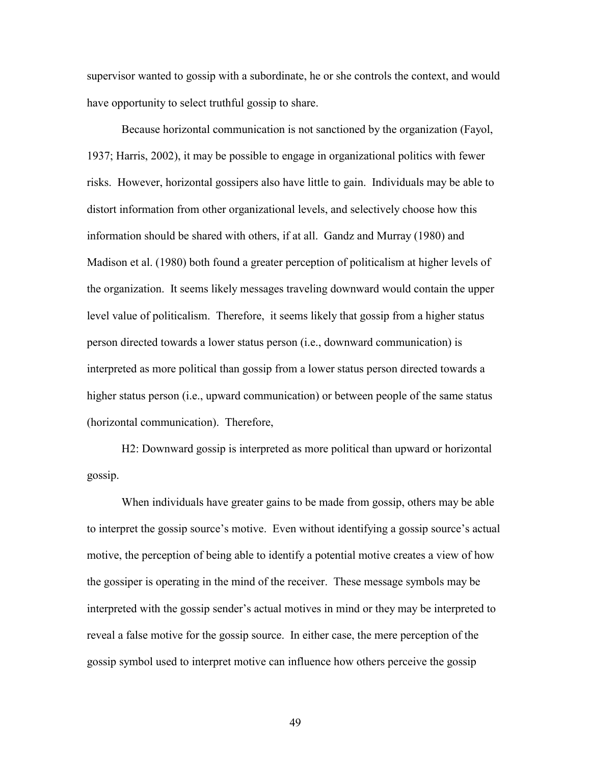supervisor wanted to gossip with a subordinate, he or she controls the context, and would have opportunity to select truthful gossip to share.

Because horizontal communication is not sanctioned by the organization (Fayol, 1937; Harris, 2002), it may be possible to engage in organizational politics with fewer risks. However, horizontal gossipers also have little to gain. Individuals may be able to distort information from other organizational levels, and selectively choose how this information should be shared with others, if at all. Gandz and Murray (1980) and Madison et al. (1980) both found a greater perception of politicalism at higher levels of the organization. It seems likely messages traveling downward would contain the upper level value of politicalism. Therefore, it seems likely that gossip from a higher status person directed towards a lower status person (i.e., downward communication) is interpreted as more political than gossip from a lower status person directed towards a higher status person (i.e., upward communication) or between people of the same status (horizontal communication). Therefore,

H2: Downward gossip is interpreted as more political than upward or horizontal gossip.

When individuals have greater gains to be made from gossip, others may be able to interpret the gossip source's motive. Even without identifying a gossip source's actual motive, the perception of being able to identify a potential motive creates a view of how the gossiper is operating in the mind of the receiver. These message symbols may be interpreted with the gossip sender's actual motives in mind or they may be interpreted to reveal a false motive for the gossip source. In either case, the mere perception of the gossip symbol used to interpret motive can influence how others perceive the gossip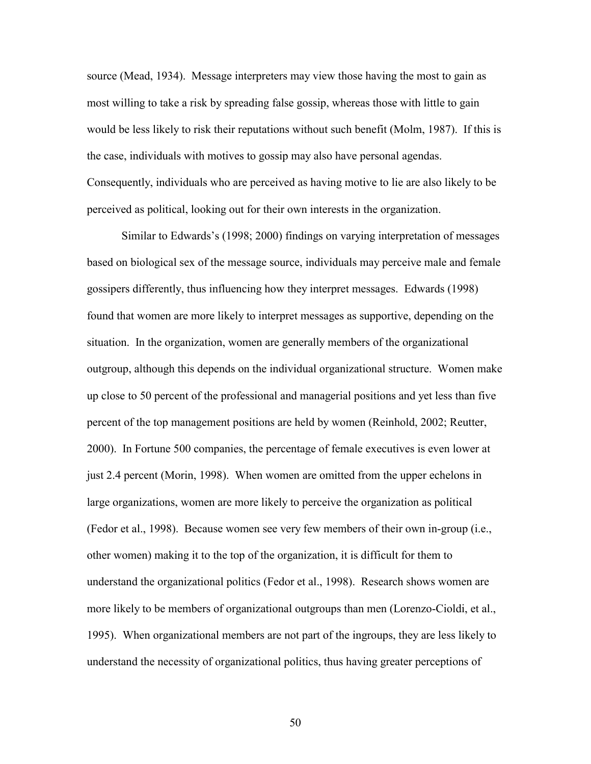source (Mead, 1934). Message interpreters may view those having the most to gain as most willing to take a risk by spreading false gossip, whereas those with little to gain would be less likely to risk their reputations without such benefit (Molm, 1987). If this is the case, individuals with motives to gossip may also have personal agendas. Consequently, individuals who are perceived as having motive to lie are also likely to be perceived as political, looking out for their own interests in the organization.

Similar to Edwards's (1998; 2000) findings on varying interpretation of messages based on biological sex of the message source, individuals may perceive male and female gossipers differently, thus influencing how they interpret messages. Edwards (1998) found that women are more likely to interpret messages as supportive, depending on the situation. In the organization, women are generally members of the organizational outgroup, although this depends on the individual organizational structure. Women make up close to 50 percent of the professional and managerial positions and yet less than five percent of the top management positions are held by women (Reinhold, 2002; Reutter, 2000). In Fortune 500 companies, the percentage of female executives is even lower at just 2.4 percent (Morin, 1998). When women are omitted from the upper echelons in large organizations, women are more likely to perceive the organization as political (Fedor et al., 1998). Because women see very few members of their own in-group (i.e., other women) making it to the top of the organization, it is difficult for them to understand the organizational politics (Fedor et al., 1998). Research shows women are more likely to be members of organizational outgroups than men (Lorenzo-Cioldi, et al., 1995). When organizational members are not part of the ingroups, they are less likely to understand the necessity of organizational politics, thus having greater perceptions of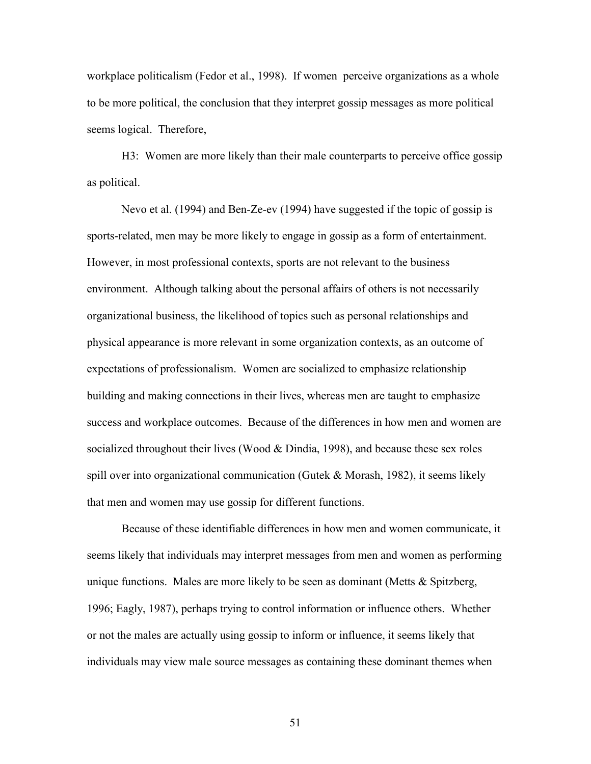workplace politicalism (Fedor et al., 1998). If women perceive organizations as a whole to be more political, the conclusion that they interpret gossip messages as more political seems logical. Therefore,

H3: Women are more likely than their male counterparts to perceive office gossip as political.

Nevo et al. (1994) and Ben-Ze-ev (1994) have suggested if the topic of gossip is sports-related, men may be more likely to engage in gossip as a form of entertainment. However, in most professional contexts, sports are not relevant to the business environment. Although talking about the personal affairs of others is not necessarily organizational business, the likelihood of topics such as personal relationships and physical appearance is more relevant in some organization contexts, as an outcome of expectations of professionalism. Women are socialized to emphasize relationship building and making connections in their lives, whereas men are taught to emphasize success and workplace outcomes. Because of the differences in how men and women are socialized throughout their lives (Wood  $&$  Dindia, 1998), and because these sex roles spill over into organizational communication (Gutek  $&$  Morash, 1982), it seems likely that men and women may use gossip for different functions.

Because of these identifiable differences in how men and women communicate, it seems likely that individuals may interpret messages from men and women as performing unique functions. Males are more likely to be seen as dominant (Metts  $\&$  Spitzberg, 1996; Eagly, 1987), perhaps trying to control information or influence others. Whether or not the males are actually using gossip to inform or influence, it seems likely that individuals may view male source messages as containing these dominant themes when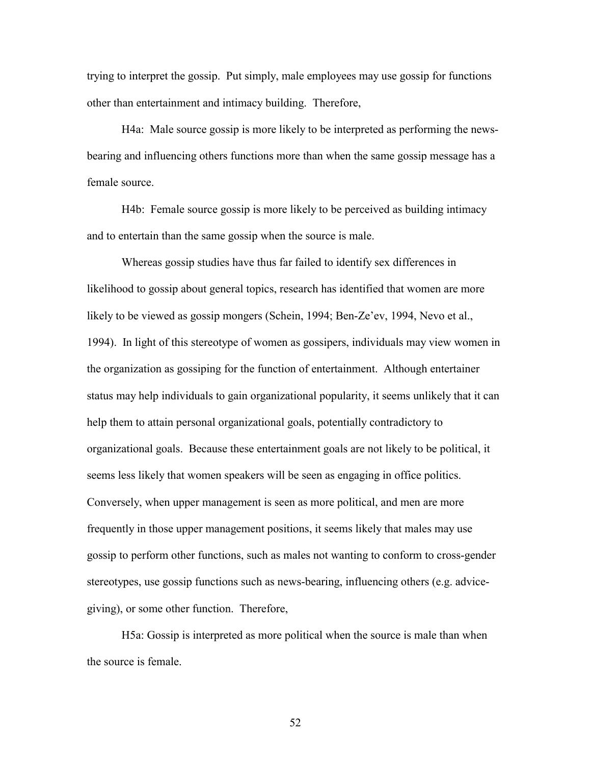trying to interpret the gossip. Put simply, male employees may use gossip for functions other than entertainment and intimacy building. Therefore,

H4a: Male source gossip is more likely to be interpreted as performing the newsbearing and influencing others functions more than when the same gossip message has a female source.

H4b: Female source gossip is more likely to be perceived as building intimacy and to entertain than the same gossip when the source is male.

Whereas gossip studies have thus far failed to identify sex differences in likelihood to gossip about general topics, research has identified that women are more likely to be viewed as gossip mongers (Schein, 1994; Ben-Ze'ev, 1994, Nevo et al., 1994). In light of this stereotype of women as gossipers, individuals may view women in the organization as gossiping for the function of entertainment. Although entertainer status may help individuals to gain organizational popularity, it seems unlikely that it can help them to attain personal organizational goals, potentially contradictory to organizational goals. Because these entertainment goals are not likely to be political, it seems less likely that women speakers will be seen as engaging in office politics. Conversely, when upper management is seen as more political, and men are more frequently in those upper management positions, it seems likely that males may use gossip to perform other functions, such as males not wanting to conform to cross-gender stereotypes, use gossip functions such as news-bearing, influencing others (e.g. advicegiving), or some other function. Therefore,

H5a: Gossip is interpreted as more political when the source is male than when the source is female.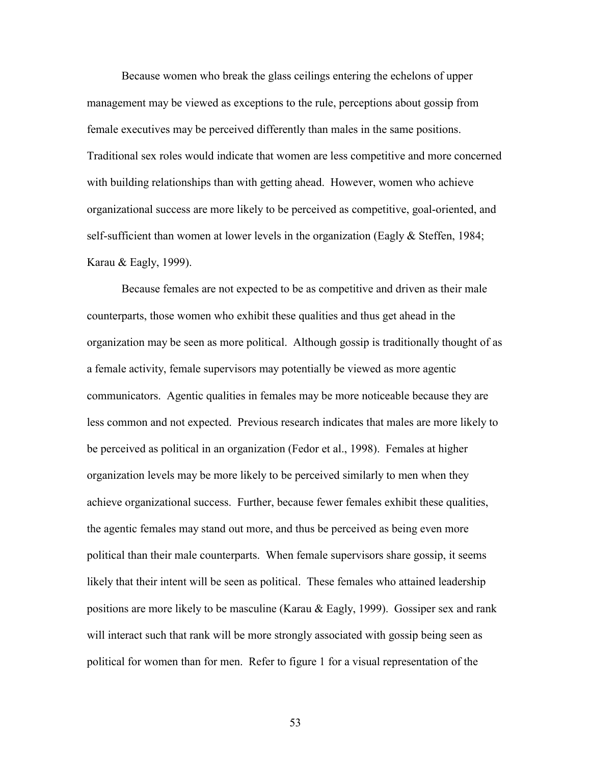Because women who break the glass ceilings entering the echelons of upper management may be viewed as exceptions to the rule, perceptions about gossip from female executives may be perceived differently than males in the same positions. Traditional sex roles would indicate that women are less competitive and more concerned with building relationships than with getting ahead. However, women who achieve organizational success are more likely to be perceived as competitive, goal-oriented, and self-sufficient than women at lower levels in the organization (Eagly & Steffen, 1984; Karau & Eagly, 1999).

Because females are not expected to be as competitive and driven as their male counterparts, those women who exhibit these qualities and thus get ahead in the organization may be seen as more political. Although gossip is traditionally thought of as a female activity, female supervisors may potentially be viewed as more agentic communicators. Agentic qualities in females may be more noticeable because they are less common and not expected. Previous research indicates that males are more likely to be perceived as political in an organization (Fedor et al., 1998). Females at higher organization levels may be more likely to be perceived similarly to men when they achieve organizational success. Further, because fewer females exhibit these qualities, the agentic females may stand out more, and thus be perceived as being even more political than their male counterparts. When female supervisors share gossip, it seems likely that their intent will be seen as political. These females who attained leadership positions are more likely to be masculine (Karau & Eagly, 1999). Gossiper sex and rank will interact such that rank will be more strongly associated with gossip being seen as political for women than for men. Refer to figure 1 for a visual representation of the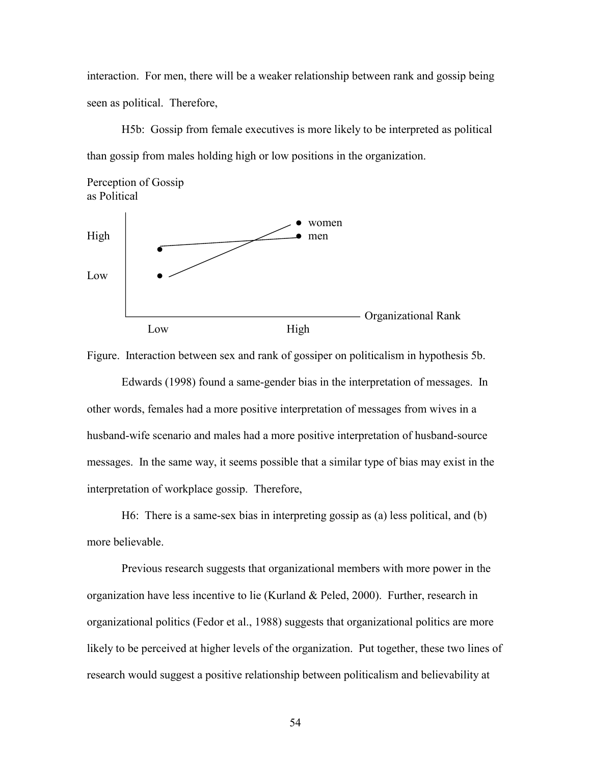interaction. For men, there will be a weaker relationship between rank and gossip being seen as political. Therefore,

H5b: Gossip from female executives is more likely to be interpreted as political than gossip from males holding high or low positions in the organization.





Figure. Interaction between sex and rank of gossiper on politicalism in hypothesis 5b.

Edwards (1998) found a same-gender bias in the interpretation of messages. In other words, females had a more positive interpretation of messages from wives in a husband-wife scenario and males had a more positive interpretation of husband-source messages. In the same way, it seems possible that a similar type of bias may exist in the interpretation of workplace gossip. Therefore,

H6: There is a same-sex bias in interpreting gossip as (a) less political, and (b) more believable.

Previous research suggests that organizational members with more power in the organization have less incentive to lie (Kurland & Peled, 2000). Further, research in organizational politics (Fedor et al., 1988) suggests that organizational politics are more likely to be perceived at higher levels of the organization. Put together, these two lines of research would suggest a positive relationship between politicalism and believability at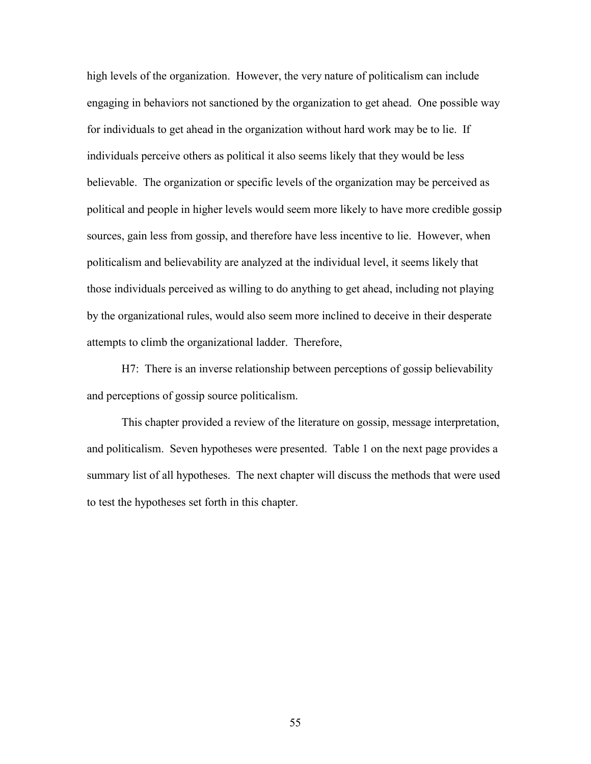high levels of the organization. However, the very nature of politicalism can include engaging in behaviors not sanctioned by the organization to get ahead. One possible way for individuals to get ahead in the organization without hard work may be to lie. If individuals perceive others as political it also seems likely that they would be less believable. The organization or specific levels of the organization may be perceived as political and people in higher levels would seem more likely to have more credible gossip sources, gain less from gossip, and therefore have less incentive to lie. However, when politicalism and believability are analyzed at the individual level, it seems likely that those individuals perceived as willing to do anything to get ahead, including not playing by the organizational rules, would also seem more inclined to deceive in their desperate attempts to climb the organizational ladder. Therefore,

 H7: There is an inverse relationship between perceptions of gossip believability and perceptions of gossip source politicalism.

This chapter provided a review of the literature on gossip, message interpretation, and politicalism. Seven hypotheses were presented. Table 1 on the next page provides a summary list of all hypotheses. The next chapter will discuss the methods that were used to test the hypotheses set forth in this chapter.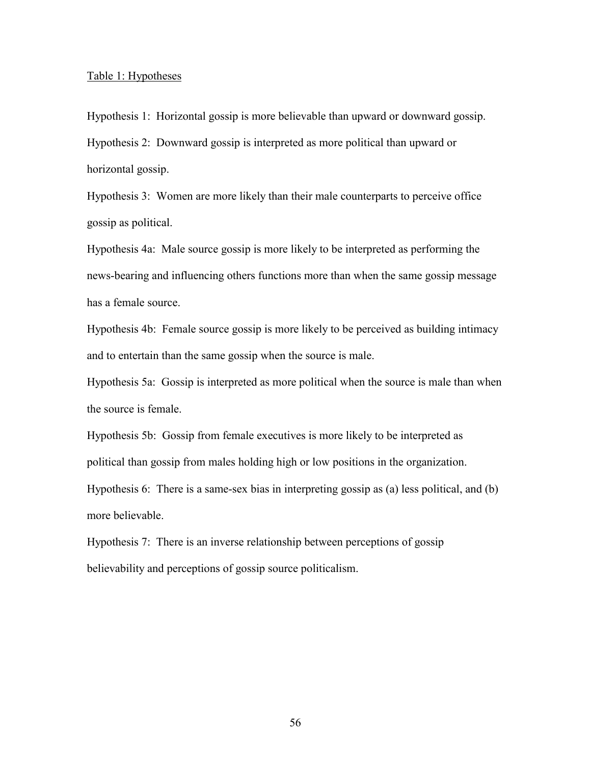## Table 1: Hypotheses

Hypothesis 1: Horizontal gossip is more believable than upward or downward gossip. Hypothesis 2: Downward gossip is interpreted as more political than upward or horizontal gossip.

Hypothesis 3: Women are more likely than their male counterparts to perceive office gossip as political.

Hypothesis 4a: Male source gossip is more likely to be interpreted as performing the news-bearing and influencing others functions more than when the same gossip message has a female source.

Hypothesis 4b: Female source gossip is more likely to be perceived as building intimacy and to entertain than the same gossip when the source is male.

Hypothesis 5a: Gossip is interpreted as more political when the source is male than when the source is female.

Hypothesis 5b: Gossip from female executives is more likely to be interpreted as political than gossip from males holding high or low positions in the organization.

Hypothesis 6: There is a same-sex bias in interpreting gossip as (a) less political, and (b) more believable.

Hypothesis 7: There is an inverse relationship between perceptions of gossip believability and perceptions of gossip source politicalism.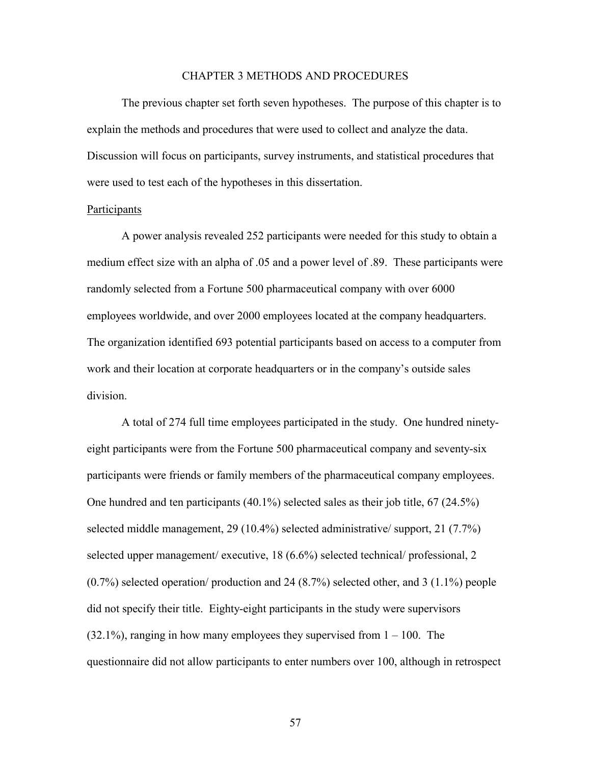# CHAPTER 3 METHODS AND PROCEDURES

The previous chapter set forth seven hypotheses. The purpose of this chapter is to explain the methods and procedures that were used to collect and analyze the data. Discussion will focus on participants, survey instruments, and statistical procedures that were used to test each of the hypotheses in this dissertation.

### Participants

 A power analysis revealed 252 participants were needed for this study to obtain a medium effect size with an alpha of .05 and a power level of .89. These participants were randomly selected from a Fortune 500 pharmaceutical company with over 6000 employees worldwide, and over 2000 employees located at the company headquarters. The organization identified 693 potential participants based on access to a computer from work and their location at corporate headquarters or in the company's outside sales division.

A total of 274 full time employees participated in the study. One hundred ninetyeight participants were from the Fortune 500 pharmaceutical company and seventy-six participants were friends or family members of the pharmaceutical company employees. One hundred and ten participants (40.1%) selected sales as their job title, 67 (24.5%) selected middle management, 29 (10.4%) selected administrative/ support, 21 (7.7%) selected upper management/ executive, 18 (6.6%) selected technical/ professional, 2 (0.7%) selected operation/ production and 24 (8.7%) selected other, and 3 (1.1%) people did not specify their title. Eighty-eight participants in the study were supervisors  $(32.1\%)$ , ranging in how many employees they supervised from  $1 - 100$ . The questionnaire did not allow participants to enter numbers over 100, although in retrospect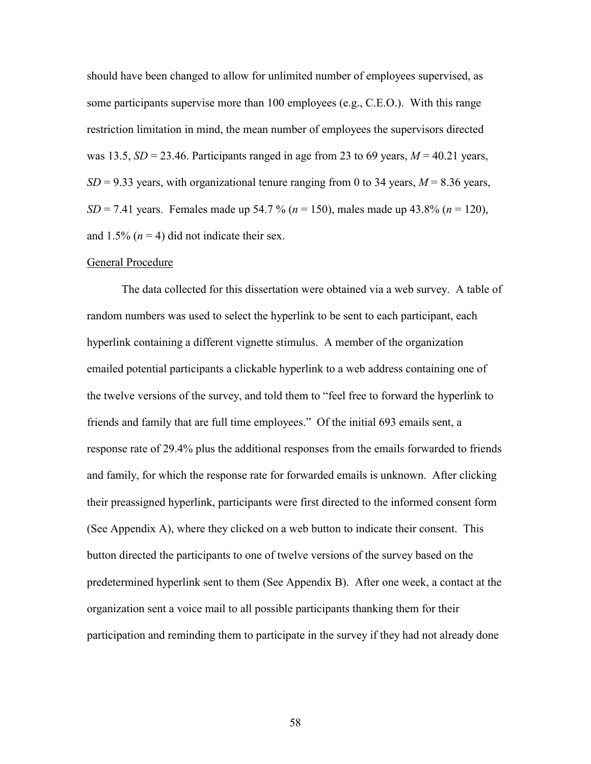should have been changed to allow for unlimited number of employees supervised, as some participants supervise more than 100 employees (e.g., C.E.O.). With this range restriction limitation in mind, the mean number of employees the supervisors directed was 13.5,  $SD = 23.46$ . Participants ranged in age from 23 to 69 years,  $M = 40.21$  years,  $SD = 9.33$  years, with organizational tenure ranging from 0 to 34 years,  $M = 8.36$  years, *SD* = 7.41 years. Females made up 54.7 % (*n* = 150), males made up 43.8% (*n* = 120), and  $1.5\%$  ( $n = 4$ ) did not indicate their sex.

# General Procedure

 The data collected for this dissertation were obtained via a web survey. A table of random numbers was used to select the hyperlink to be sent to each participant, each hyperlink containing a different vignette stimulus. A member of the organization emailed potential participants a clickable hyperlink to a web address containing one of the twelve versions of the survey, and told them to "feel free to forward the hyperlink to friends and family that are full time employees." Of the initial 693 emails sent, a response rate of 29.4% plus the additional responses from the emails forwarded to friends and family, for which the response rate for forwarded emails is unknown. After clicking their preassigned hyperlink, participants were first directed to the informed consent form (See Appendix A), where they clicked on a web button to indicate their consent. This button directed the participants to one of twelve versions of the survey based on the predetermined hyperlink sent to them (See Appendix B). After one week, a contact at the organization sent a voice mail to all possible participants thanking them for their participation and reminding them to participate in the survey if they had not already done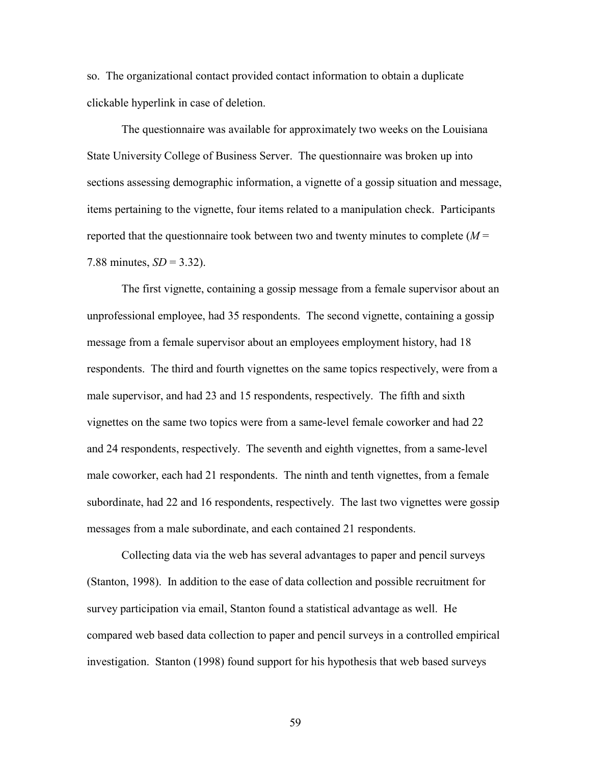so. The organizational contact provided contact information to obtain a duplicate clickable hyperlink in case of deletion.

 The questionnaire was available for approximately two weeks on the Louisiana State University College of Business Server. The questionnaire was broken up into sections assessing demographic information, a vignette of a gossip situation and message, items pertaining to the vignette, four items related to a manipulation check. Participants reported that the questionnaire took between two and twenty minutes to complete (*M* = 7.88 minutes,  $SD = 3.32$ ).

The first vignette, containing a gossip message from a female supervisor about an unprofessional employee, had 35 respondents. The second vignette, containing a gossip message from a female supervisor about an employees employment history, had 18 respondents. The third and fourth vignettes on the same topics respectively, were from a male supervisor, and had 23 and 15 respondents, respectively. The fifth and sixth vignettes on the same two topics were from a same-level female coworker and had 22 and 24 respondents, respectively. The seventh and eighth vignettes, from a same-level male coworker, each had 21 respondents. The ninth and tenth vignettes, from a female subordinate, had 22 and 16 respondents, respectively. The last two vignettes were gossip messages from a male subordinate, and each contained 21 respondents.

Collecting data via the web has several advantages to paper and pencil surveys (Stanton, 1998). In addition to the ease of data collection and possible recruitment for survey participation via email, Stanton found a statistical advantage as well. He compared web based data collection to paper and pencil surveys in a controlled empirical investigation. Stanton (1998) found support for his hypothesis that web based surveys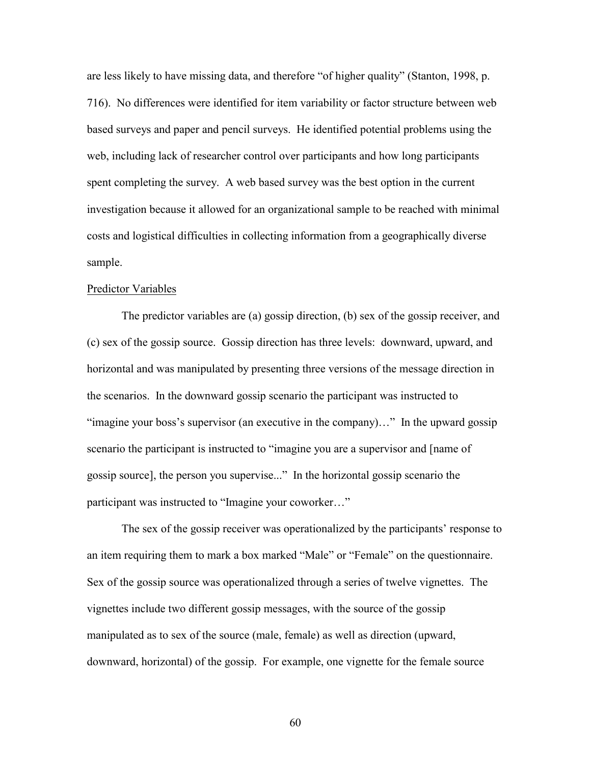are less likely to have missing data, and therefore "of higher quality" (Stanton, 1998, p. 716). No differences were identified for item variability or factor structure between web based surveys and paper and pencil surveys. He identified potential problems using the web, including lack of researcher control over participants and how long participants spent completing the survey. A web based survey was the best option in the current investigation because it allowed for an organizational sample to be reached with minimal costs and logistical difficulties in collecting information from a geographically diverse sample.

# Predictor Variables

The predictor variables are (a) gossip direction, (b) sex of the gossip receiver, and (c) sex of the gossip source. Gossip direction has three levels: downward, upward, and horizontal and was manipulated by presenting three versions of the message direction in the scenarios. In the downward gossip scenario the participant was instructed to "imagine your boss's supervisor (an executive in the company)…" In the upward gossip scenario the participant is instructed to "imagine you are a supervisor and [name of gossip source], the person you supervise..." In the horizontal gossip scenario the participant was instructed to "Imagine your coworker…"

The sex of the gossip receiver was operationalized by the participants' response to an item requiring them to mark a box marked "Male" or "Female" on the questionnaire. Sex of the gossip source was operationalized through a series of twelve vignettes. The vignettes include two different gossip messages, with the source of the gossip manipulated as to sex of the source (male, female) as well as direction (upward, downward, horizontal) of the gossip. For example, one vignette for the female source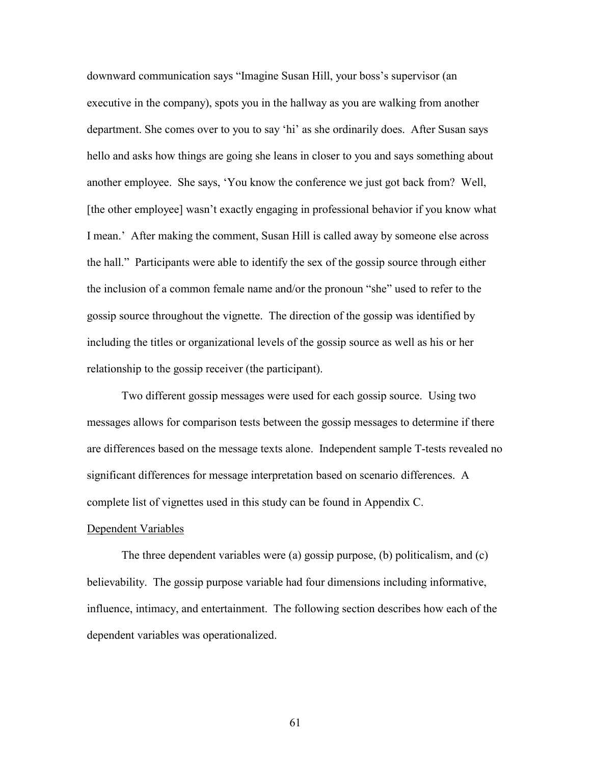downward communication says "Imagine Susan Hill, your boss's supervisor (an executive in the company), spots you in the hallway as you are walking from another department. She comes over to you to say 'hi' as she ordinarily does. After Susan says hello and asks how things are going she leans in closer to you and says something about another employee. She says, 'You know the conference we just got back from? Well, [the other employee] wasn't exactly engaging in professional behavior if you know what I mean.' After making the comment, Susan Hill is called away by someone else across the hall." Participants were able to identify the sex of the gossip source through either the inclusion of a common female name and/or the pronoun "she" used to refer to the gossip source throughout the vignette. The direction of the gossip was identified by including the titles or organizational levels of the gossip source as well as his or her relationship to the gossip receiver (the participant).

Two different gossip messages were used for each gossip source. Using two messages allows for comparison tests between the gossip messages to determine if there are differences based on the message texts alone. Independent sample T-tests revealed no significant differences for message interpretation based on scenario differences. A complete list of vignettes used in this study can be found in Appendix C.

## Dependent Variables

The three dependent variables were (a) gossip purpose, (b) politicalism, and (c) believability. The gossip purpose variable had four dimensions including informative, influence, intimacy, and entertainment. The following section describes how each of the dependent variables was operationalized.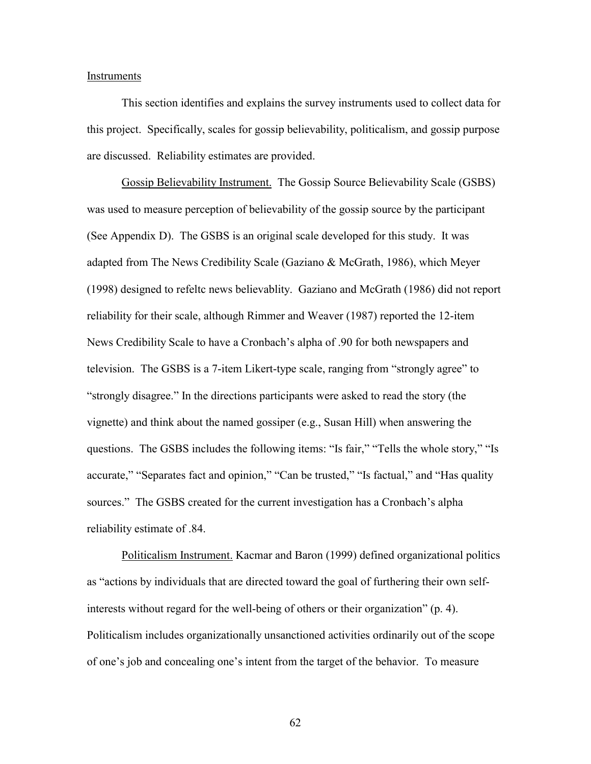### Instruments

 This section identifies and explains the survey instruments used to collect data for this project. Specifically, scales for gossip believability, politicalism, and gossip purpose are discussed. Reliability estimates are provided.

Gossip Believability Instrument. The Gossip Source Believability Scale (GSBS) was used to measure perception of believability of the gossip source by the participant (See Appendix D). The GSBS is an original scale developed for this study. It was adapted from The News Credibility Scale (Gaziano & McGrath, 1986), which Meyer (1998) designed to refeltc news believablity. Gaziano and McGrath (1986) did not report reliability for their scale, although Rimmer and Weaver (1987) reported the 12-item News Credibility Scale to have a Cronbach's alpha of .90 for both newspapers and television. The GSBS is a 7-item Likert-type scale, ranging from "strongly agree" to "strongly disagree." In the directions participants were asked to read the story (the vignette) and think about the named gossiper (e.g., Susan Hill) when answering the questions. The GSBS includes the following items: "Is fair," "Tells the whole story," "Is accurate," "Separates fact and opinion," "Can be trusted," "Is factual," and "Has quality sources." The GSBS created for the current investigation has a Cronbach's alpha reliability estimate of .84.

Politicalism Instrument. Kacmar and Baron (1999) defined organizational politics as "actions by individuals that are directed toward the goal of furthering their own selfinterests without regard for the well-being of others or their organization" (p. 4). Politicalism includes organizationally unsanctioned activities ordinarily out of the scope of one's job and concealing one's intent from the target of the behavior. To measure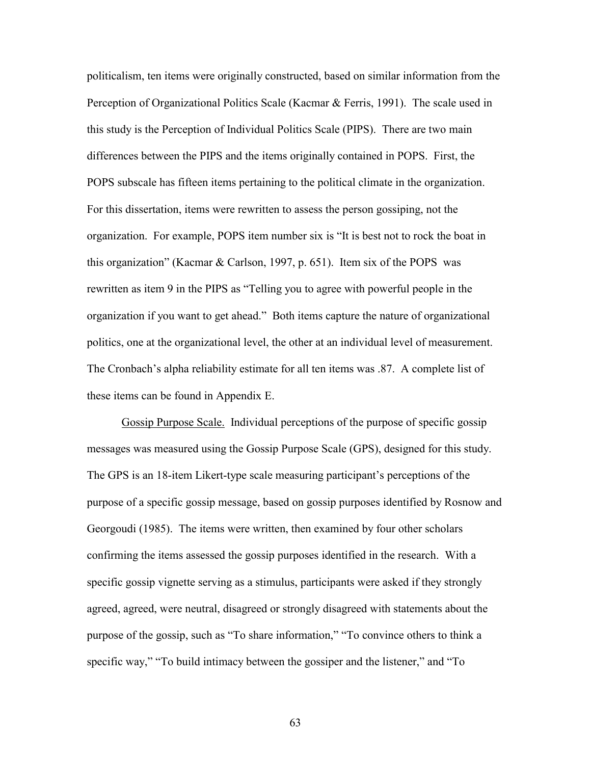politicalism, ten items were originally constructed, based on similar information from the Perception of Organizational Politics Scale (Kacmar & Ferris, 1991). The scale used in this study is the Perception of Individual Politics Scale (PIPS). There are two main differences between the PIPS and the items originally contained in POPS. First, the POPS subscale has fifteen items pertaining to the political climate in the organization. For this dissertation, items were rewritten to assess the person gossiping, not the organization. For example, POPS item number six is "It is best not to rock the boat in this organization" (Kacmar & Carlson, 1997, p. 651). Item six of the POPS was rewritten as item 9 in the PIPS as "Telling you to agree with powerful people in the organization if you want to get ahead." Both items capture the nature of organizational politics, one at the organizational level, the other at an individual level of measurement. The Cronbach's alpha reliability estimate for all ten items was .87. A complete list of these items can be found in Appendix E.

Gossip Purpose Scale. Individual perceptions of the purpose of specific gossip messages was measured using the Gossip Purpose Scale (GPS), designed for this study. The GPS is an 18-item Likert-type scale measuring participant's perceptions of the purpose of a specific gossip message, based on gossip purposes identified by Rosnow and Georgoudi (1985). The items were written, then examined by four other scholars confirming the items assessed the gossip purposes identified in the research. With a specific gossip vignette serving as a stimulus, participants were asked if they strongly agreed, agreed, were neutral, disagreed or strongly disagreed with statements about the purpose of the gossip, such as "To share information," "To convince others to think a specific way," "To build intimacy between the gossiper and the listener," and "To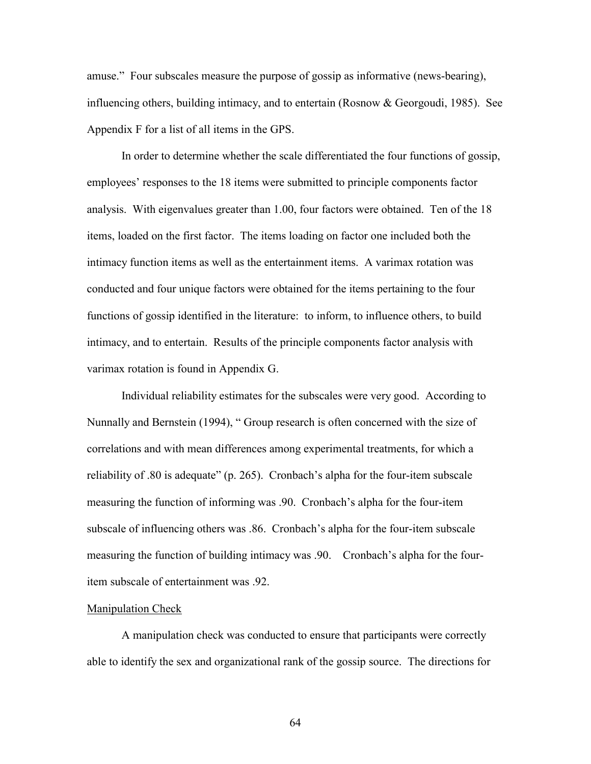amuse." Four subscales measure the purpose of gossip as informative (news-bearing), influencing others, building intimacy, and to entertain (Rosnow & Georgoudi, 1985). See Appendix F for a list of all items in the GPS.

In order to determine whether the scale differentiated the four functions of gossip, employees' responses to the 18 items were submitted to principle components factor analysis. With eigenvalues greater than 1.00, four factors were obtained. Ten of the 18 items, loaded on the first factor. The items loading on factor one included both the intimacy function items as well as the entertainment items. A varimax rotation was conducted and four unique factors were obtained for the items pertaining to the four functions of gossip identified in the literature: to inform, to influence others, to build intimacy, and to entertain. Results of the principle components factor analysis with varimax rotation is found in Appendix G.

Individual reliability estimates for the subscales were very good. According to Nunnally and Bernstein (1994), " Group research is often concerned with the size of correlations and with mean differences among experimental treatments, for which a reliability of .80 is adequate" (p. 265). Cronbach's alpha for the four-item subscale measuring the function of informing was .90. Cronbach's alpha for the four-item subscale of influencing others was .86. Cronbach's alpha for the four-item subscale measuring the function of building intimacy was .90. Cronbach's alpha for the fouritem subscale of entertainment was .92.

## Manipulation Check

 A manipulation check was conducted to ensure that participants were correctly able to identify the sex and organizational rank of the gossip source. The directions for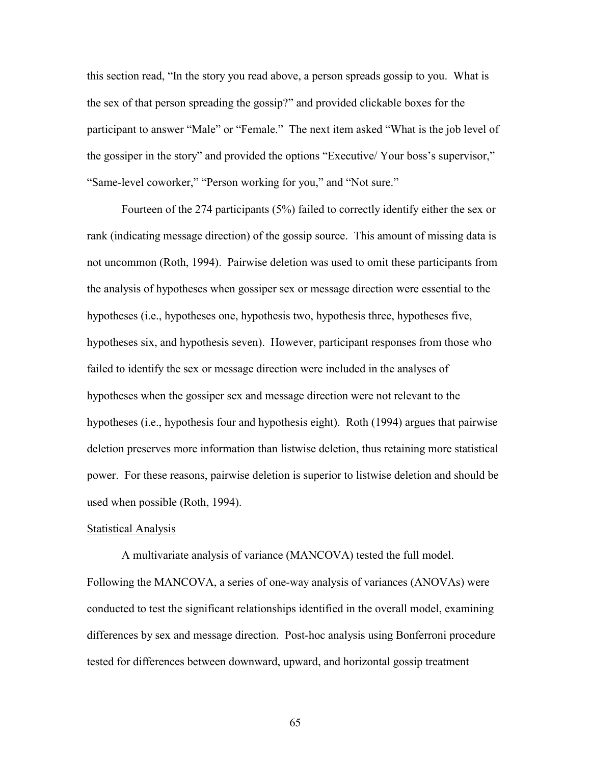this section read, "In the story you read above, a person spreads gossip to you. What is the sex of that person spreading the gossip?" and provided clickable boxes for the participant to answer "Male" or "Female." The next item asked "What is the job level of the gossiper in the story" and provided the options "Executive/ Your boss's supervisor," "Same-level coworker," "Person working for you," and "Not sure."

Fourteen of the 274 participants (5%) failed to correctly identify either the sex or rank (indicating message direction) of the gossip source. This amount of missing data is not uncommon (Roth, 1994). Pairwise deletion was used to omit these participants from the analysis of hypotheses when gossiper sex or message direction were essential to the hypotheses (i.e., hypotheses one, hypothesis two, hypothesis three, hypotheses five, hypotheses six, and hypothesis seven). However, participant responses from those who failed to identify the sex or message direction were included in the analyses of hypotheses when the gossiper sex and message direction were not relevant to the hypotheses (i.e., hypothesis four and hypothesis eight). Roth (1994) argues that pairwise deletion preserves more information than listwise deletion, thus retaining more statistical power. For these reasons, pairwise deletion is superior to listwise deletion and should be used when possible (Roth, 1994).

## Statistical Analysis

 A multivariate analysis of variance (MANCOVA) tested the full model. Following the MANCOVA, a series of one-way analysis of variances (ANOVAs) were conducted to test the significant relationships identified in the overall model, examining differences by sex and message direction. Post-hoc analysis using Bonferroni procedure tested for differences between downward, upward, and horizontal gossip treatment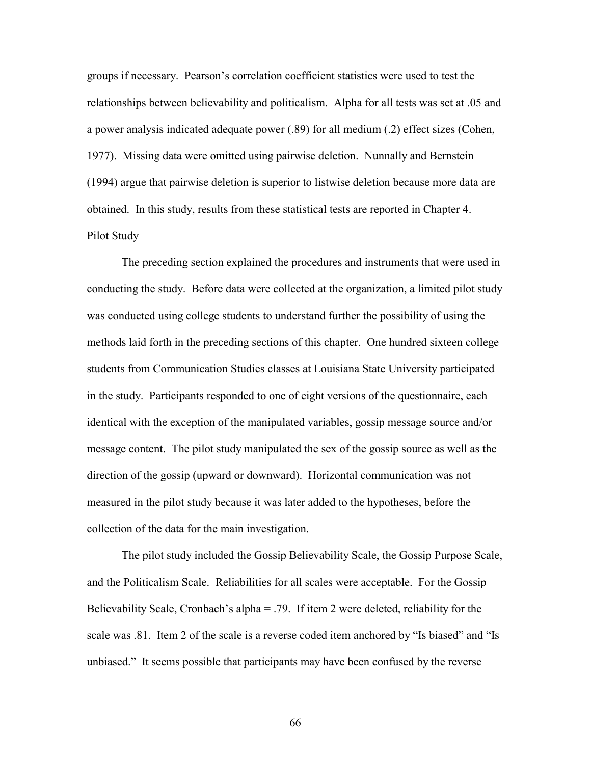groups if necessary. Pearson's correlation coefficient statistics were used to test the relationships between believability and politicalism. Alpha for all tests was set at .05 and a power analysis indicated adequate power (.89) for all medium (.2) effect sizes (Cohen, 1977). Missing data were omitted using pairwise deletion. Nunnally and Bernstein (1994) argue that pairwise deletion is superior to listwise deletion because more data are obtained. In this study, results from these statistical tests are reported in Chapter 4. Pilot Study

 The preceding section explained the procedures and instruments that were used in conducting the study. Before data were collected at the organization, a limited pilot study was conducted using college students to understand further the possibility of using the methods laid forth in the preceding sections of this chapter. One hundred sixteen college students from Communication Studies classes at Louisiana State University participated in the study. Participants responded to one of eight versions of the questionnaire, each identical with the exception of the manipulated variables, gossip message source and/or message content. The pilot study manipulated the sex of the gossip source as well as the direction of the gossip (upward or downward). Horizontal communication was not measured in the pilot study because it was later added to the hypotheses, before the collection of the data for the main investigation.

 The pilot study included the Gossip Believability Scale, the Gossip Purpose Scale, and the Politicalism Scale. Reliabilities for all scales were acceptable. For the Gossip Believability Scale, Cronbach's alpha = .79. If item 2 were deleted, reliability for the scale was .81. Item 2 of the scale is a reverse coded item anchored by "Is biased" and "Is unbiased." It seems possible that participants may have been confused by the reverse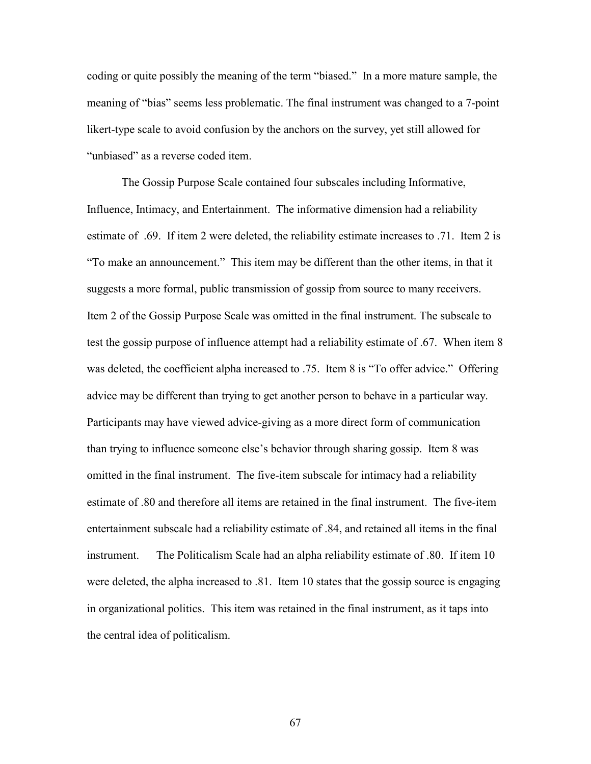coding or quite possibly the meaning of the term "biased." In a more mature sample, the meaning of "bias" seems less problematic. The final instrument was changed to a 7-point likert-type scale to avoid confusion by the anchors on the survey, yet still allowed for "unbiased" as a reverse coded item.

The Gossip Purpose Scale contained four subscales including Informative, Influence, Intimacy, and Entertainment. The informative dimension had a reliability estimate of .69. If item 2 were deleted, the reliability estimate increases to .71. Item 2 is "To make an announcement." This item may be different than the other items, in that it suggests a more formal, public transmission of gossip from source to many receivers. Item 2 of the Gossip Purpose Scale was omitted in the final instrument. The subscale to test the gossip purpose of influence attempt had a reliability estimate of .67. When item 8 was deleted, the coefficient alpha increased to .75. Item 8 is "To offer advice." Offering advice may be different than trying to get another person to behave in a particular way. Participants may have viewed advice-giving as a more direct form of communication than trying to influence someone else's behavior through sharing gossip. Item 8 was omitted in the final instrument. The five-item subscale for intimacy had a reliability estimate of .80 and therefore all items are retained in the final instrument. The five-item entertainment subscale had a reliability estimate of .84, and retained all items in the final instrument. The Politicalism Scale had an alpha reliability estimate of .80. If item 10 were deleted, the alpha increased to .81. Item 10 states that the gossip source is engaging in organizational politics. This item was retained in the final instrument, as it taps into the central idea of politicalism.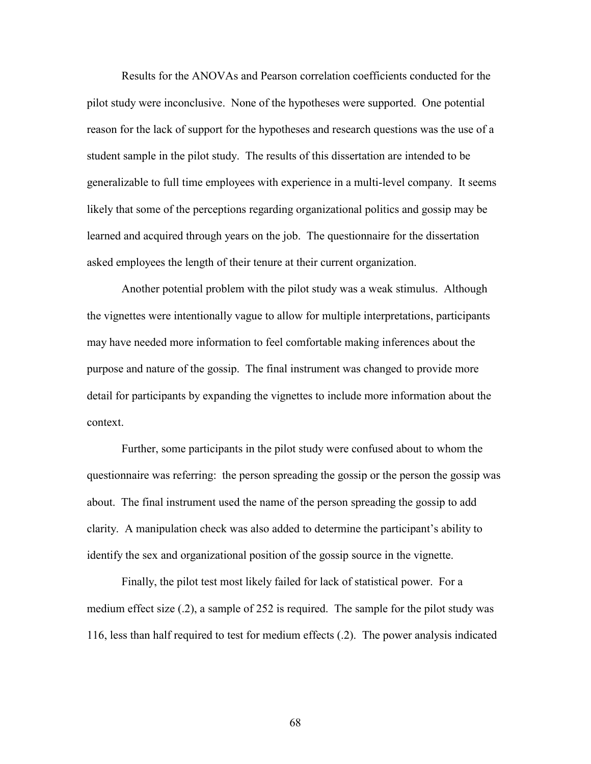Results for the ANOVAs and Pearson correlation coefficients conducted for the pilot study were inconclusive. None of the hypotheses were supported. One potential reason for the lack of support for the hypotheses and research questions was the use of a student sample in the pilot study. The results of this dissertation are intended to be generalizable to full time employees with experience in a multi-level company. It seems likely that some of the perceptions regarding organizational politics and gossip may be learned and acquired through years on the job. The questionnaire for the dissertation asked employees the length of their tenure at their current organization.

 Another potential problem with the pilot study was a weak stimulus. Although the vignettes were intentionally vague to allow for multiple interpretations, participants may have needed more information to feel comfortable making inferences about the purpose and nature of the gossip. The final instrument was changed to provide more detail for participants by expanding the vignettes to include more information about the context.

 Further, some participants in the pilot study were confused about to whom the questionnaire was referring: the person spreading the gossip or the person the gossip was about. The final instrument used the name of the person spreading the gossip to add clarity. A manipulation check was also added to determine the participant's ability to identify the sex and organizational position of the gossip source in the vignette.

 Finally, the pilot test most likely failed for lack of statistical power. For a medium effect size (.2), a sample of 252 is required. The sample for the pilot study was 116, less than half required to test for medium effects (.2). The power analysis indicated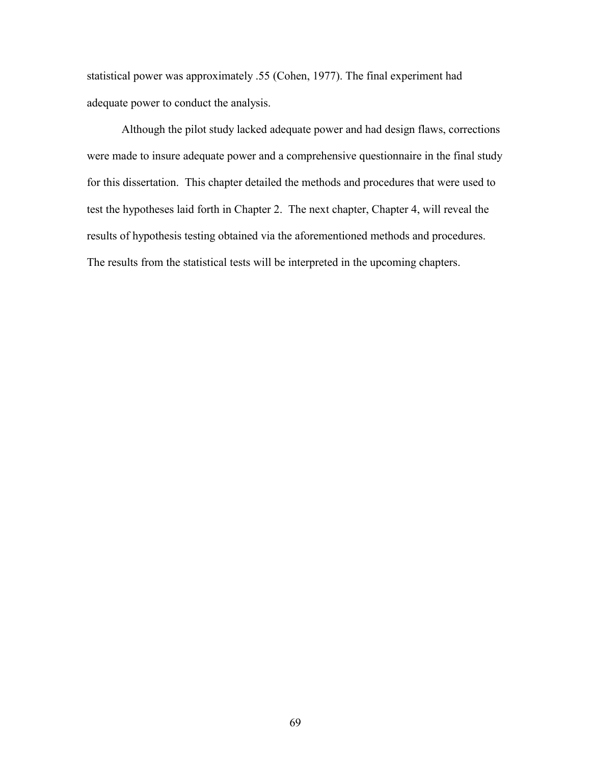statistical power was approximately .55 (Cohen, 1977). The final experiment had adequate power to conduct the analysis.

 Although the pilot study lacked adequate power and had design flaws, corrections were made to insure adequate power and a comprehensive questionnaire in the final study for this dissertation. This chapter detailed the methods and procedures that were used to test the hypotheses laid forth in Chapter 2. The next chapter, Chapter 4, will reveal the results of hypothesis testing obtained via the aforementioned methods and procedures. The results from the statistical tests will be interpreted in the upcoming chapters.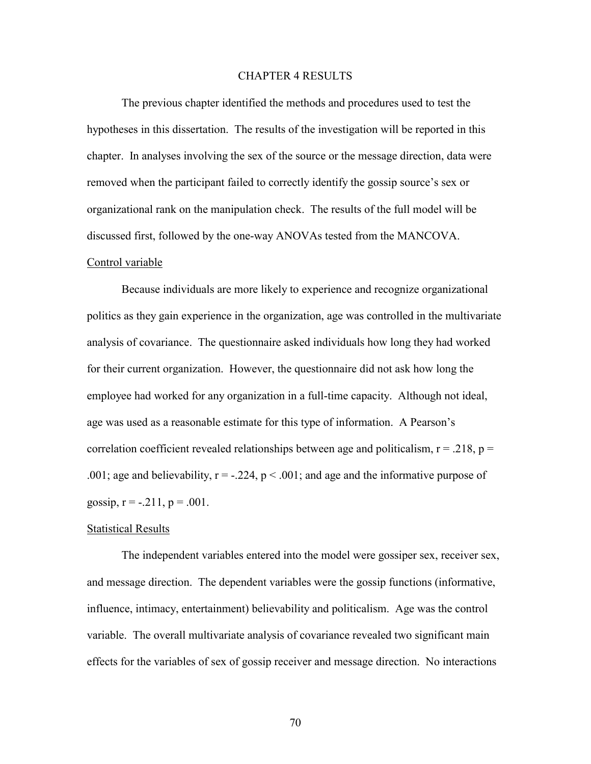## CHAPTER 4 RESULTS

 The previous chapter identified the methods and procedures used to test the hypotheses in this dissertation. The results of the investigation will be reported in this chapter. In analyses involving the sex of the source or the message direction, data were removed when the participant failed to correctly identify the gossip source's sex or organizational rank on the manipulation check. The results of the full model will be discussed first, followed by the one-way ANOVAs tested from the MANCOVA.

## Control variable

Because individuals are more likely to experience and recognize organizational politics as they gain experience in the organization, age was controlled in the multivariate analysis of covariance. The questionnaire asked individuals how long they had worked for their current organization. However, the questionnaire did not ask how long the employee had worked for any organization in a full-time capacity. Although not ideal, age was used as a reasonable estimate for this type of information. A Pearson's correlation coefficient revealed relationships between age and politicalism,  $r = .218$ ,  $p =$ .001; age and believability,  $r = -0.224$ ,  $p < 0.001$ ; and age and the informative purpose of gossip,  $r = -.211$ ,  $p = .001$ .

### Statistical Results

The independent variables entered into the model were gossiper sex, receiver sex, and message direction. The dependent variables were the gossip functions (informative, influence, intimacy, entertainment) believability and politicalism. Age was the control variable. The overall multivariate analysis of covariance revealed two significant main effects for the variables of sex of gossip receiver and message direction. No interactions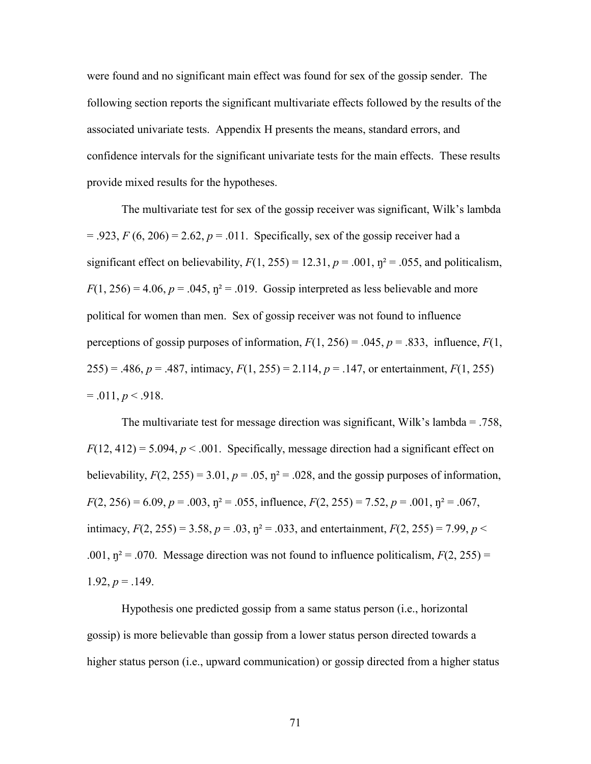were found and no significant main effect was found for sex of the gossip sender. The following section reports the significant multivariate effects followed by the results of the associated univariate tests. Appendix H presents the means, standard errors, and confidence intervals for the significant univariate tests for the main effects. These results provide mixed results for the hypotheses.

The multivariate test for sex of the gossip receiver was significant, Wilk's lambda  $= .923, F(6, 206) = 2.62, p = .011$ . Specifically, sex of the gossip receiver had a significant effect on believability,  $F(1, 255) = 12.31$ ,  $p = .001$ ,  $p^2 = .055$ , and politicalism,  $F(1, 256) = 4.06$ ,  $p = .045$ ,  $p^2 = .019$ . Gossip interpreted as less believable and more political for women than men. Sex of gossip receiver was not found to influence perceptions of gossip purposes of information,  $F(1, 256) = .045$ ,  $p = .833$ , influence,  $F(1, 256) = .045$ 255) = .486,  $p = .487$ , intimacy,  $F(1, 255) = 2.114$ ,  $p = .147$ , or entertainment,  $F(1, 255)$  $= .011, p < .918.$ 

The multivariate test for message direction was significant, Wilk's lambda = .758,  $F(12, 412) = 5.094$ ,  $p < .001$ . Specifically, message direction had a significant effect on believability,  $F(2, 255) = 3.01$ ,  $p = .05$ ,  $\eta^2 = .028$ , and the gossip purposes of information,  $F(2, 256) = 6.09$ ,  $p = .003$ ,  $p^2 = .055$ , influence,  $F(2, 255) = 7.52$ ,  $p = .001$ ,  $p^2 = .067$ , intimacy,  $F(2, 255) = 3.58$ ,  $p = .03$ ,  $p^2 = .033$ , and entertainment,  $F(2, 255) = 7.99$ ,  $p <$ .001,  $\eta^2$  = .070. Message direction was not found to influence politicalism,  $F(2, 255)$  = 1.92,  $p = 0.149$ .

Hypothesis one predicted gossip from a same status person (i.e., horizontal gossip) is more believable than gossip from a lower status person directed towards a higher status person (i.e., upward communication) or gossip directed from a higher status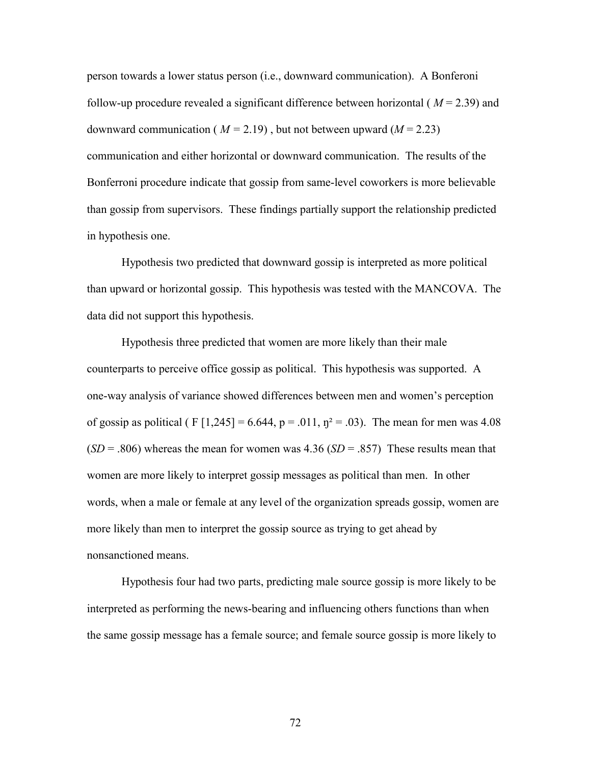person towards a lower status person (i.e., downward communication). A Bonferoni follow-up procedure revealed a significant difference between horizontal ( *M* = 2.39) and downward communication ( $M = 2.19$ ), but not between upward ( $M = 2.23$ ) communication and either horizontal or downward communication. The results of the Bonferroni procedure indicate that gossip from same-level coworkers is more believable than gossip from supervisors. These findings partially support the relationship predicted in hypothesis one.

Hypothesis two predicted that downward gossip is interpreted as more political than upward or horizontal gossip. This hypothesis was tested with the MANCOVA. The data did not support this hypothesis.

Hypothesis three predicted that women are more likely than their male counterparts to perceive office gossip as political. This hypothesis was supported. A one-way analysis of variance showed differences between men and women's perception of gossip as political ( $F[1,245] = 6.644$ ,  $p = .011$ ,  $p^2 = .03$ ). The mean for men was 4.08  $(SD = .806)$  whereas the mean for women was 4.36  $(SD = .857)$  These results mean that women are more likely to interpret gossip messages as political than men. In other words, when a male or female at any level of the organization spreads gossip, women are more likely than men to interpret the gossip source as trying to get ahead by nonsanctioned means.

 Hypothesis four had two parts, predicting male source gossip is more likely to be interpreted as performing the news-bearing and influencing others functions than when the same gossip message has a female source; and female source gossip is more likely to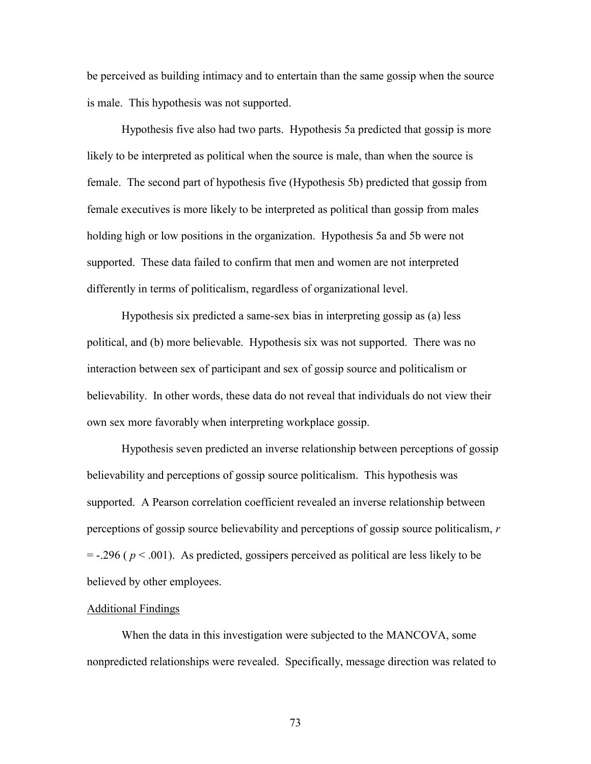be perceived as building intimacy and to entertain than the same gossip when the source is male. This hypothesis was not supported.

 Hypothesis five also had two parts. Hypothesis 5a predicted that gossip is more likely to be interpreted as political when the source is male, than when the source is female. The second part of hypothesis five (Hypothesis 5b) predicted that gossip from female executives is more likely to be interpreted as political than gossip from males holding high or low positions in the organization. Hypothesis 5a and 5b were not supported. These data failed to confirm that men and women are not interpreted differently in terms of politicalism, regardless of organizational level.

 Hypothesis six predicted a same-sex bias in interpreting gossip as (a) less political, and (b) more believable. Hypothesis six was not supported. There was no interaction between sex of participant and sex of gossip source and politicalism or believability. In other words, these data do not reveal that individuals do not view their own sex more favorably when interpreting workplace gossip.

 Hypothesis seven predicted an inverse relationship between perceptions of gossip believability and perceptions of gossip source politicalism. This hypothesis was supported. A Pearson correlation coefficient revealed an inverse relationship between perceptions of gossip source believability and perceptions of gossip source politicalism, *r*  $=$  -.296 ( $p < .001$ ). As predicted, gossipers perceived as political are less likely to be believed by other employees.

#### Additional Findings

 When the data in this investigation were subjected to the MANCOVA, some nonpredicted relationships were revealed. Specifically, message direction was related to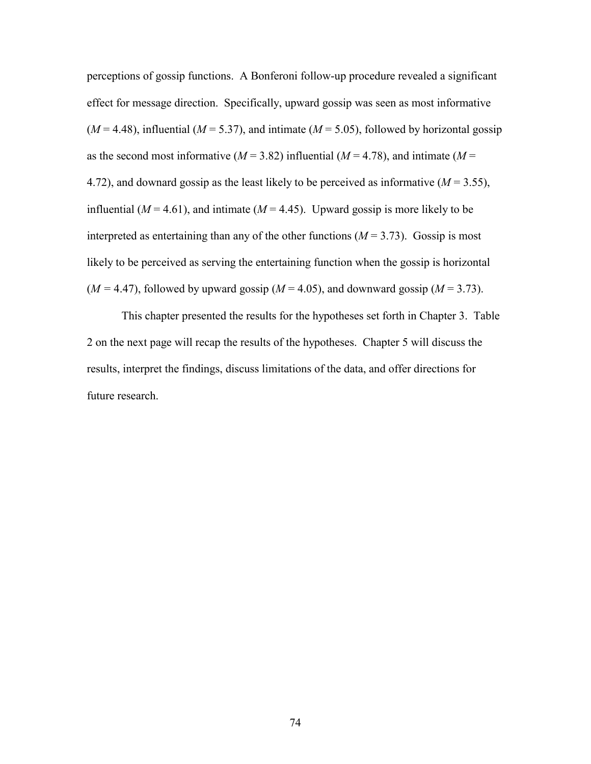perceptions of gossip functions. A Bonferoni follow-up procedure revealed a significant effect for message direction. Specifically, upward gossip was seen as most informative  $(M = 4.48)$ , influential  $(M = 5.37)$ , and intimate  $(M = 5.05)$ , followed by horizontal gossip as the second most informative ( $M = 3.82$ ) influential ( $M = 4.78$ ), and intimate ( $M =$ 4.72), and downard gossip as the least likely to be perceived as informative  $(M = 3.55)$ , influential ( $M = 4.61$ ), and intimate ( $M = 4.45$ ). Upward gossip is more likely to be interpreted as entertaining than any of the other functions  $(M = 3.73)$ . Gossip is most likely to be perceived as serving the entertaining function when the gossip is horizontal  $(M = 4.47)$ , followed by upward gossip  $(M = 4.05)$ , and downward gossip  $(M = 3.73)$ .

 This chapter presented the results for the hypotheses set forth in Chapter 3. Table 2 on the next page will recap the results of the hypotheses. Chapter 5 will discuss the results, interpret the findings, discuss limitations of the data, and offer directions for future research.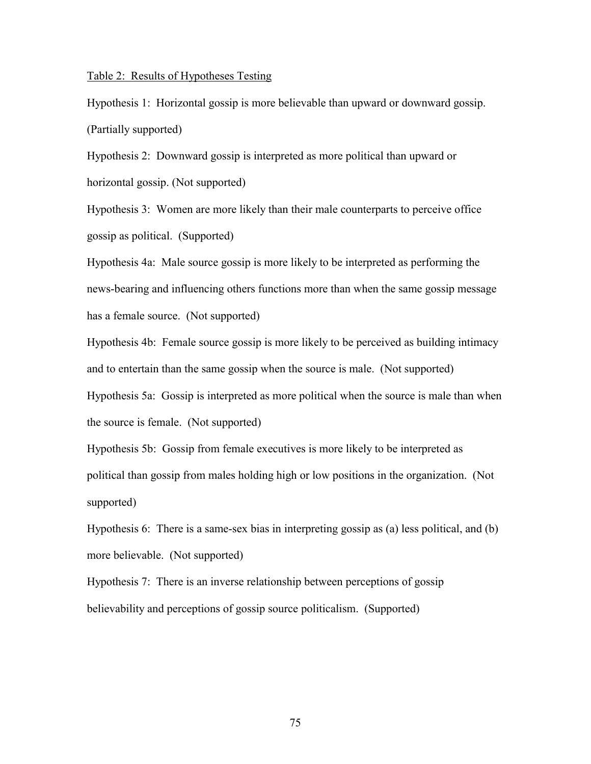## Table 2: Results of Hypotheses Testing

Hypothesis 1: Horizontal gossip is more believable than upward or downward gossip. (Partially supported)

Hypothesis 2: Downward gossip is interpreted as more political than upward or horizontal gossip. (Not supported)

Hypothesis 3: Women are more likely than their male counterparts to perceive office gossip as political. (Supported)

Hypothesis 4a: Male source gossip is more likely to be interpreted as performing the news-bearing and influencing others functions more than when the same gossip message has a female source. (Not supported)

Hypothesis 4b: Female source gossip is more likely to be perceived as building intimacy and to entertain than the same gossip when the source is male. (Not supported)

Hypothesis 5a: Gossip is interpreted as more political when the source is male than when the source is female. (Not supported)

Hypothesis 5b: Gossip from female executives is more likely to be interpreted as political than gossip from males holding high or low positions in the organization. (Not supported)

Hypothesis 6: There is a same-sex bias in interpreting gossip as (a) less political, and (b) more believable. (Not supported)

Hypothesis 7: There is an inverse relationship between perceptions of gossip believability and perceptions of gossip source politicalism. (Supported)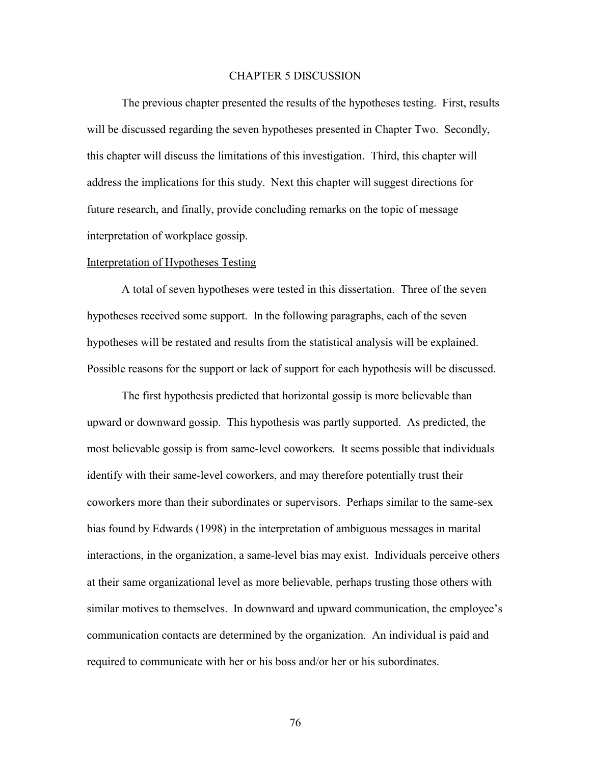## CHAPTER 5 DISCUSSION

 The previous chapter presented the results of the hypotheses testing. First, results will be discussed regarding the seven hypotheses presented in Chapter Two. Secondly, this chapter will discuss the limitations of this investigation. Third, this chapter will address the implications for this study. Next this chapter will suggest directions for future research, and finally, provide concluding remarks on the topic of message interpretation of workplace gossip.

## Interpretation of Hypotheses Testing

 A total of seven hypotheses were tested in this dissertation. Three of the seven hypotheses received some support. In the following paragraphs, each of the seven hypotheses will be restated and results from the statistical analysis will be explained. Possible reasons for the support or lack of support for each hypothesis will be discussed.

The first hypothesis predicted that horizontal gossip is more believable than upward or downward gossip. This hypothesis was partly supported. As predicted, the most believable gossip is from same-level coworkers. It seems possible that individuals identify with their same-level coworkers, and may therefore potentially trust their coworkers more than their subordinates or supervisors. Perhaps similar to the same-sex bias found by Edwards (1998) in the interpretation of ambiguous messages in marital interactions, in the organization, a same-level bias may exist. Individuals perceive others at their same organizational level as more believable, perhaps trusting those others with similar motives to themselves. In downward and upward communication, the employee's communication contacts are determined by the organization. An individual is paid and required to communicate with her or his boss and/or her or his subordinates.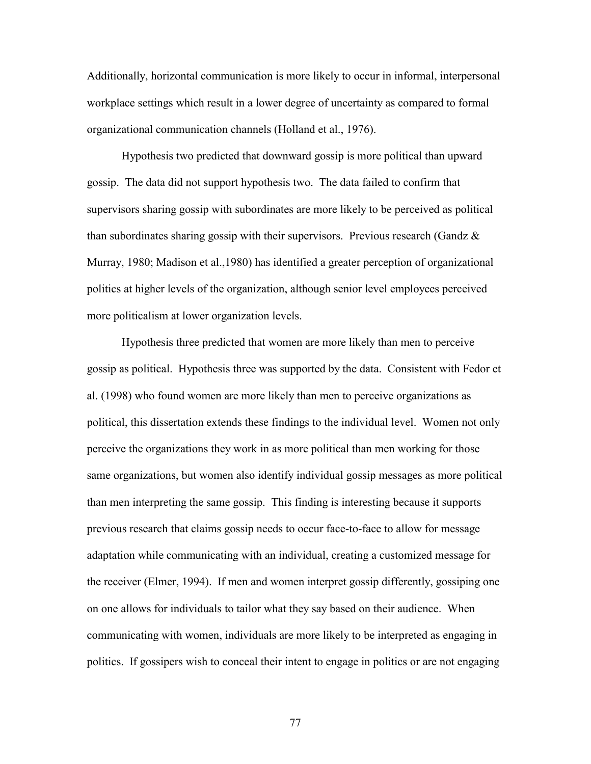Additionally, horizontal communication is more likely to occur in informal, interpersonal workplace settings which result in a lower degree of uncertainty as compared to formal organizational communication channels (Holland et al., 1976).

 Hypothesis two predicted that downward gossip is more political than upward gossip. The data did not support hypothesis two. The data failed to confirm that supervisors sharing gossip with subordinates are more likely to be perceived as political than subordinates sharing gossip with their supervisors. Previous research (Gandz  $\&$ Murray, 1980; Madison et al.,1980) has identified a greater perception of organizational politics at higher levels of the organization, although senior level employees perceived more politicalism at lower organization levels.

 Hypothesis three predicted that women are more likely than men to perceive gossip as political. Hypothesis three was supported by the data. Consistent with Fedor et al. (1998) who found women are more likely than men to perceive organizations as political, this dissertation extends these findings to the individual level. Women not only perceive the organizations they work in as more political than men working for those same organizations, but women also identify individual gossip messages as more political than men interpreting the same gossip. This finding is interesting because it supports previous research that claims gossip needs to occur face-to-face to allow for message adaptation while communicating with an individual, creating a customized message for the receiver (Elmer, 1994). If men and women interpret gossip differently, gossiping one on one allows for individuals to tailor what they say based on their audience. When communicating with women, individuals are more likely to be interpreted as engaging in politics. If gossipers wish to conceal their intent to engage in politics or are not engaging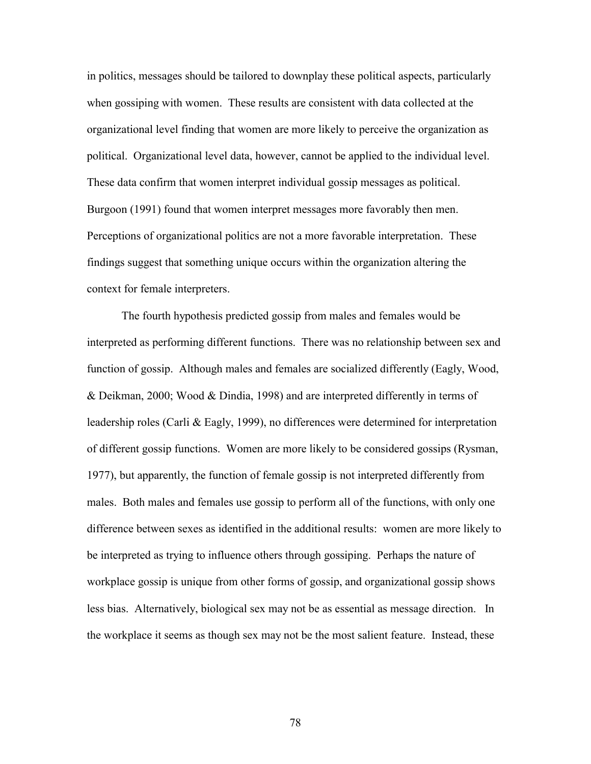in politics, messages should be tailored to downplay these political aspects, particularly when gossiping with women. These results are consistent with data collected at the organizational level finding that women are more likely to perceive the organization as political. Organizational level data, however, cannot be applied to the individual level. These data confirm that women interpret individual gossip messages as political. Burgoon (1991) found that women interpret messages more favorably then men. Perceptions of organizational politics are not a more favorable interpretation. These findings suggest that something unique occurs within the organization altering the context for female interpreters.

 The fourth hypothesis predicted gossip from males and females would be interpreted as performing different functions. There was no relationship between sex and function of gossip. Although males and females are socialized differently (Eagly, Wood, & Deikman, 2000; Wood & Dindia, 1998) and are interpreted differently in terms of leadership roles (Carli & Eagly, 1999), no differences were determined for interpretation of different gossip functions. Women are more likely to be considered gossips (Rysman, 1977), but apparently, the function of female gossip is not interpreted differently from males. Both males and females use gossip to perform all of the functions, with only one difference between sexes as identified in the additional results: women are more likely to be interpreted as trying to influence others through gossiping. Perhaps the nature of workplace gossip is unique from other forms of gossip, and organizational gossip shows less bias. Alternatively, biological sex may not be as essential as message direction. In the workplace it seems as though sex may not be the most salient feature. Instead, these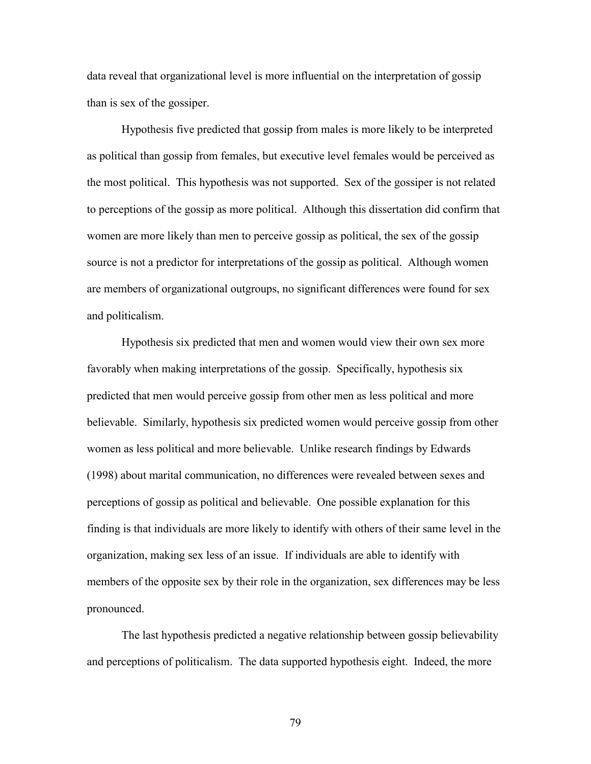data reveal that organizational level is more influential on the interpretation of gossip than is sex of the gossiper.

 Hypothesis five predicted that gossip from males is more likely to be interpreted as political than gossip from females, but executive level females would be perceived as the most political. This hypothesis was not supported. Sex of the gossiper is not related to perceptions of the gossip as more political. Although this dissertation did confirm that women are more likely than men to perceive gossip as political, the sex of the gossip source is not a predictor for interpretations of the gossip as political. Although women are members of organizational outgroups, no significant differences were found for sex and politicalism.

 Hypothesis six predicted that men and women would view their own sex more favorably when making interpretations of the gossip. Specifically, hypothesis six predicted that men would perceive gossip from other men as less political and more believable. Similarly, hypothesis six predicted women would perceive gossip from other women as less political and more believable. Unlike research findings by Edwards (1998) about marital communication, no differences were revealed between sexes and perceptions of gossip as political and believable. One possible explanation for this finding is that individuals are more likely to identify with others of their same level in the organization, making sex less of an issue. If individuals are able to identify with members of the opposite sex by their role in the organization, sex differences may be less pronounced.

 The last hypothesis predicted a negative relationship between gossip believability and perceptions of politicalism. The data supported hypothesis eight. Indeed, the more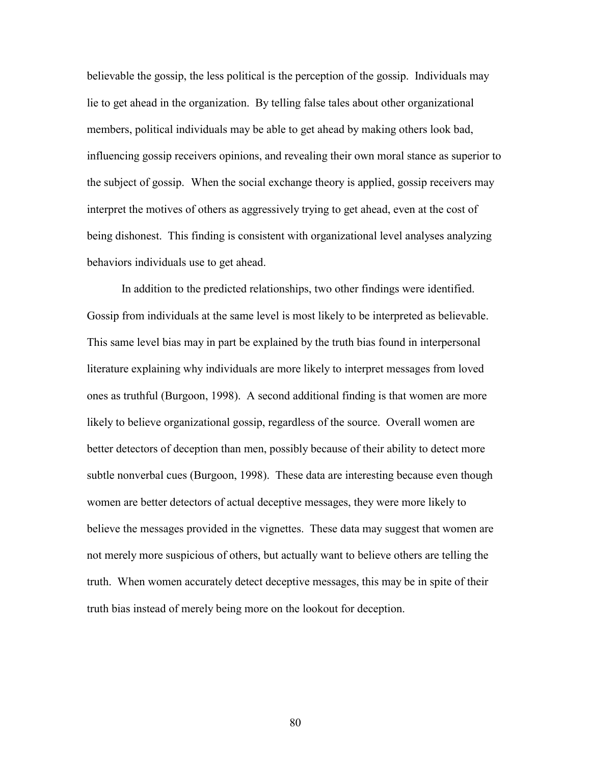believable the gossip, the less political is the perception of the gossip. Individuals may lie to get ahead in the organization. By telling false tales about other organizational members, political individuals may be able to get ahead by making others look bad, influencing gossip receivers opinions, and revealing their own moral stance as superior to the subject of gossip. When the social exchange theory is applied, gossip receivers may interpret the motives of others as aggressively trying to get ahead, even at the cost of being dishonest. This finding is consistent with organizational level analyses analyzing behaviors individuals use to get ahead.

 In addition to the predicted relationships, two other findings were identified. Gossip from individuals at the same level is most likely to be interpreted as believable. This same level bias may in part be explained by the truth bias found in interpersonal literature explaining why individuals are more likely to interpret messages from loved ones as truthful (Burgoon, 1998). A second additional finding is that women are more likely to believe organizational gossip, regardless of the source. Overall women are better detectors of deception than men, possibly because of their ability to detect more subtle nonverbal cues (Burgoon, 1998). These data are interesting because even though women are better detectors of actual deceptive messages, they were more likely to believe the messages provided in the vignettes. These data may suggest that women are not merely more suspicious of others, but actually want to believe others are telling the truth. When women accurately detect deceptive messages, this may be in spite of their truth bias instead of merely being more on the lookout for deception.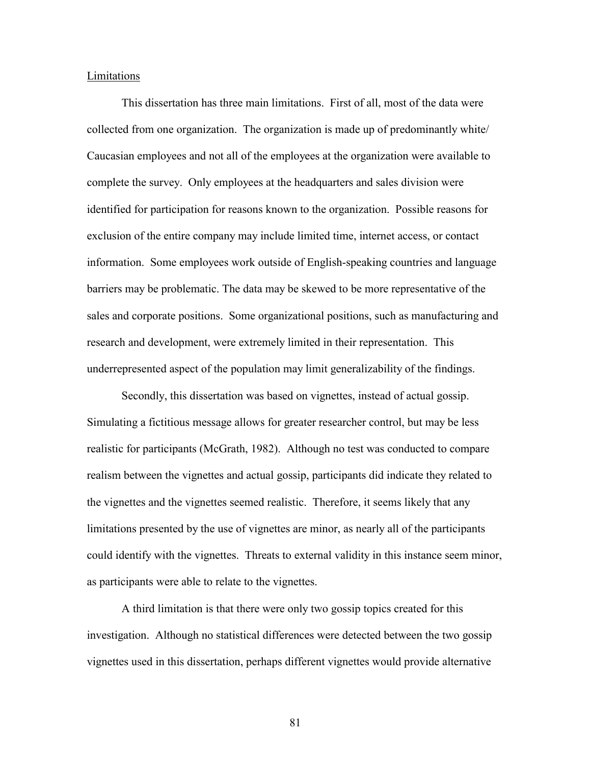#### Limitations

 This dissertation has three main limitations. First of all, most of the data were collected from one organization. The organization is made up of predominantly white/ Caucasian employees and not all of the employees at the organization were available to complete the survey. Only employees at the headquarters and sales division were identified for participation for reasons known to the organization. Possible reasons for exclusion of the entire company may include limited time, internet access, or contact information. Some employees work outside of English-speaking countries and language barriers may be problematic. The data may be skewed to be more representative of the sales and corporate positions. Some organizational positions, such as manufacturing and research and development, were extremely limited in their representation. This underrepresented aspect of the population may limit generalizability of the findings.

 Secondly, this dissertation was based on vignettes, instead of actual gossip. Simulating a fictitious message allows for greater researcher control, but may be less realistic for participants (McGrath, 1982). Although no test was conducted to compare realism between the vignettes and actual gossip, participants did indicate they related to the vignettes and the vignettes seemed realistic. Therefore, it seems likely that any limitations presented by the use of vignettes are minor, as nearly all of the participants could identify with the vignettes. Threats to external validity in this instance seem minor, as participants were able to relate to the vignettes.

A third limitation is that there were only two gossip topics created for this investigation. Although no statistical differences were detected between the two gossip vignettes used in this dissertation, perhaps different vignettes would provide alternative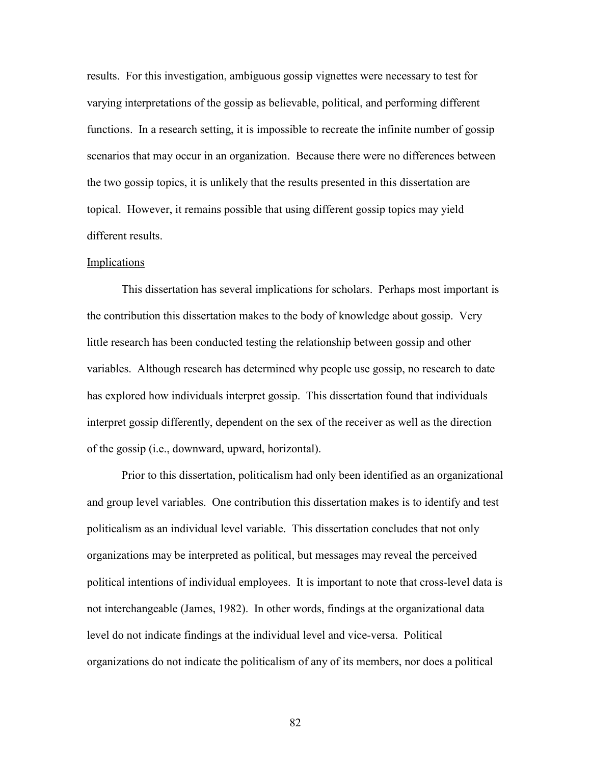results. For this investigation, ambiguous gossip vignettes were necessary to test for varying interpretations of the gossip as believable, political, and performing different functions. In a research setting, it is impossible to recreate the infinite number of gossip scenarios that may occur in an organization. Because there were no differences between the two gossip topics, it is unlikely that the results presented in this dissertation are topical. However, it remains possible that using different gossip topics may yield different results.

### Implications

 This dissertation has several implications for scholars. Perhaps most important is the contribution this dissertation makes to the body of knowledge about gossip. Very little research has been conducted testing the relationship between gossip and other variables. Although research has determined why people use gossip, no research to date has explored how individuals interpret gossip. This dissertation found that individuals interpret gossip differently, dependent on the sex of the receiver as well as the direction of the gossip (i.e., downward, upward, horizontal).

 Prior to this dissertation, politicalism had only been identified as an organizational and group level variables. One contribution this dissertation makes is to identify and test politicalism as an individual level variable. This dissertation concludes that not only organizations may be interpreted as political, but messages may reveal the perceived political intentions of individual employees. It is important to note that cross-level data is not interchangeable (James, 1982). In other words, findings at the organizational data level do not indicate findings at the individual level and vice-versa. Political organizations do not indicate the politicalism of any of its members, nor does a political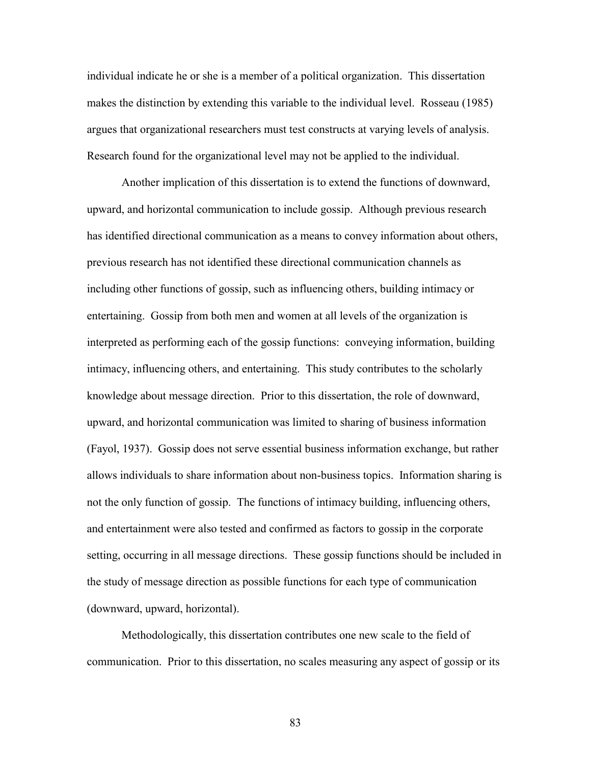individual indicate he or she is a member of a political organization. This dissertation makes the distinction by extending this variable to the individual level. Rosseau (1985) argues that organizational researchers must test constructs at varying levels of analysis. Research found for the organizational level may not be applied to the individual.

 Another implication of this dissertation is to extend the functions of downward, upward, and horizontal communication to include gossip. Although previous research has identified directional communication as a means to convey information about others, previous research has not identified these directional communication channels as including other functions of gossip, such as influencing others, building intimacy or entertaining. Gossip from both men and women at all levels of the organization is interpreted as performing each of the gossip functions: conveying information, building intimacy, influencing others, and entertaining. This study contributes to the scholarly knowledge about message direction. Prior to this dissertation, the role of downward, upward, and horizontal communication was limited to sharing of business information (Fayol, 1937). Gossip does not serve essential business information exchange, but rather allows individuals to share information about non-business topics. Information sharing is not the only function of gossip. The functions of intimacy building, influencing others, and entertainment were also tested and confirmed as factors to gossip in the corporate setting, occurring in all message directions. These gossip functions should be included in the study of message direction as possible functions for each type of communication (downward, upward, horizontal).

 Methodologically, this dissertation contributes one new scale to the field of communication. Prior to this dissertation, no scales measuring any aspect of gossip or its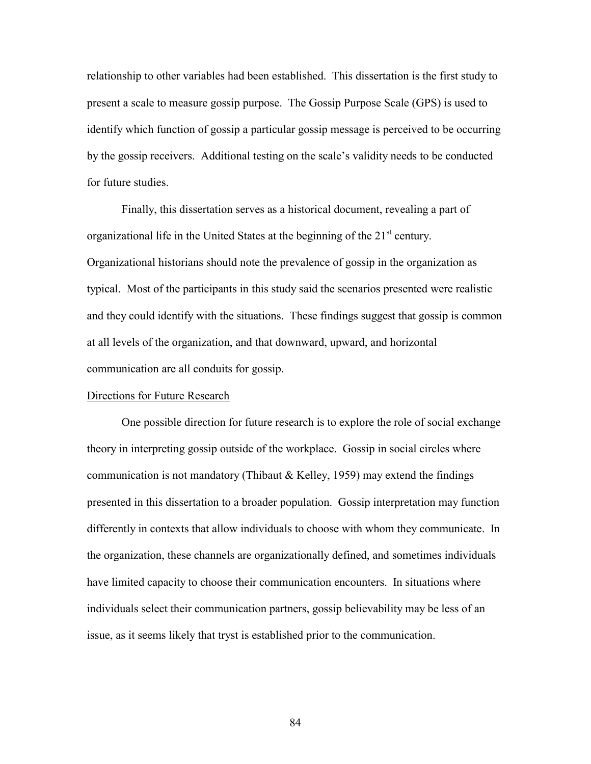relationship to other variables had been established. This dissertation is the first study to present a scale to measure gossip purpose. The Gossip Purpose Scale (GPS) is used to identify which function of gossip a particular gossip message is perceived to be occurring by the gossip receivers. Additional testing on the scale's validity needs to be conducted for future studies.

 Finally, this dissertation serves as a historical document, revealing a part of organizational life in the United States at the beginning of the  $21<sup>st</sup>$  century. Organizational historians should note the prevalence of gossip in the organization as typical. Most of the participants in this study said the scenarios presented were realistic and they could identify with the situations. These findings suggest that gossip is common at all levels of the organization, and that downward, upward, and horizontal communication are all conduits for gossip.

## Directions for Future Research

 One possible direction for future research is to explore the role of social exchange theory in interpreting gossip outside of the workplace. Gossip in social circles where communication is not mandatory (Thibaut & Kelley, 1959) may extend the findings presented in this dissertation to a broader population. Gossip interpretation may function differently in contexts that allow individuals to choose with whom they communicate. In the organization, these channels are organizationally defined, and sometimes individuals have limited capacity to choose their communication encounters. In situations where individuals select their communication partners, gossip believability may be less of an issue, as it seems likely that tryst is established prior to the communication.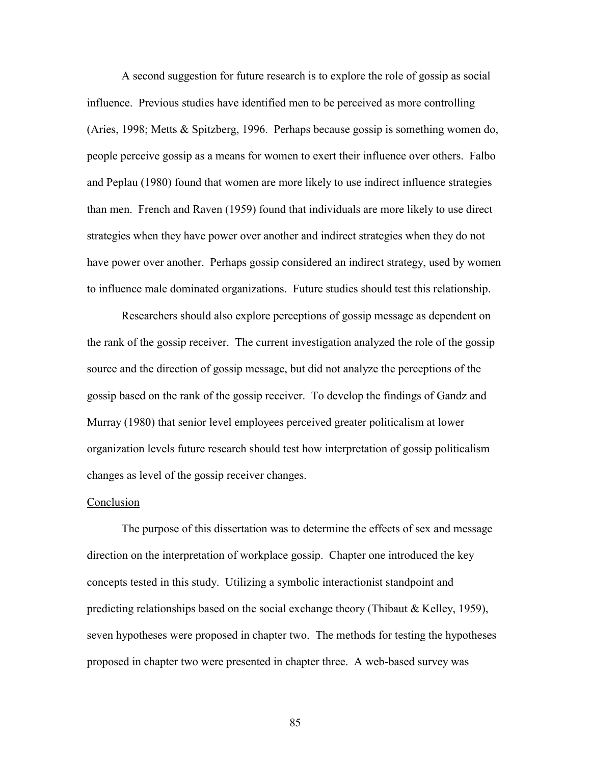A second suggestion for future research is to explore the role of gossip as social influence. Previous studies have identified men to be perceived as more controlling (Aries, 1998; Metts & Spitzberg, 1996. Perhaps because gossip is something women do, people perceive gossip as a means for women to exert their influence over others. Falbo and Peplau (1980) found that women are more likely to use indirect influence strategies than men. French and Raven (1959) found that individuals are more likely to use direct strategies when they have power over another and indirect strategies when they do not have power over another. Perhaps gossip considered an indirect strategy, used by women to influence male dominated organizations. Future studies should test this relationship.

 Researchers should also explore perceptions of gossip message as dependent on the rank of the gossip receiver. The current investigation analyzed the role of the gossip source and the direction of gossip message, but did not analyze the perceptions of the gossip based on the rank of the gossip receiver. To develop the findings of Gandz and Murray (1980) that senior level employees perceived greater politicalism at lower organization levels future research should test how interpretation of gossip politicalism changes as level of the gossip receiver changes.

#### Conclusion

 The purpose of this dissertation was to determine the effects of sex and message direction on the interpretation of workplace gossip. Chapter one introduced the key concepts tested in this study. Utilizing a symbolic interactionist standpoint and predicting relationships based on the social exchange theory (Thibaut & Kelley, 1959), seven hypotheses were proposed in chapter two. The methods for testing the hypotheses proposed in chapter two were presented in chapter three. A web-based survey was

85 and the state of the state of the state of the state of the state of the state of the state of the state of the state of the state of the state of the state of the state of the state of the state of the state of the sta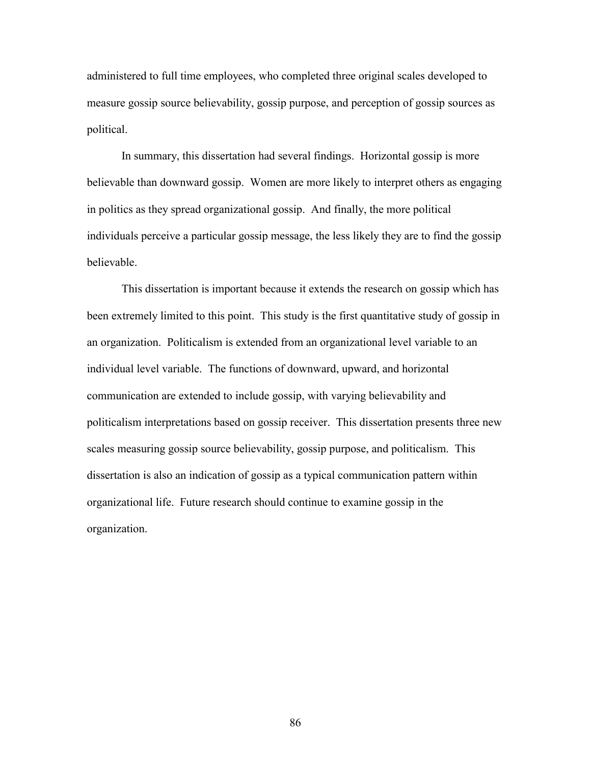administered to full time employees, who completed three original scales developed to measure gossip source believability, gossip purpose, and perception of gossip sources as political.

 In summary, this dissertation had several findings. Horizontal gossip is more believable than downward gossip. Women are more likely to interpret others as engaging in politics as they spread organizational gossip. And finally, the more political individuals perceive a particular gossip message, the less likely they are to find the gossip believable.

 This dissertation is important because it extends the research on gossip which has been extremely limited to this point. This study is the first quantitative study of gossip in an organization. Politicalism is extended from an organizational level variable to an individual level variable. The functions of downward, upward, and horizontal communication are extended to include gossip, with varying believability and politicalism interpretations based on gossip receiver. This dissertation presents three new scales measuring gossip source believability, gossip purpose, and politicalism. This dissertation is also an indication of gossip as a typical communication pattern within organizational life. Future research should continue to examine gossip in the organization.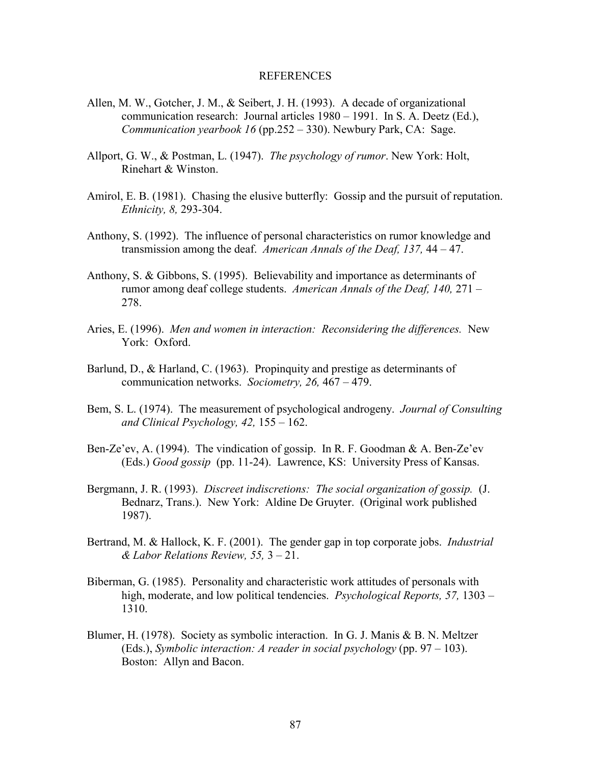## REFERENCES

- Allen, M. W., Gotcher, J. M., & Seibert, J. H. (1993). A decade of organizational communication research: Journal articles 1980 – 1991. In S. A. Deetz (Ed.), *Communication yearbook 16* (pp.252 – 330). Newbury Park, CA: Sage.
- Allport, G. W., & Postman, L. (1947). *The psychology of rumor*. New York: Holt, Rinehart & Winston.
- Amirol, E. B. (1981). Chasing the elusive butterfly: Gossip and the pursuit of reputation. *Ethnicity, 8,* 293-304.
- Anthony, S. (1992). The influence of personal characteristics on rumor knowledge and transmission among the deaf. *American Annals of the Deaf, 137,* 44 – 47.
- Anthony, S. & Gibbons, S. (1995). Believability and importance as determinants of rumor among deaf college students. *American Annals of the Deaf, 140,* 271 – 278.
- Aries, E. (1996). *Men and women in interaction: Reconsidering the differences.* New York: Oxford.
- Barlund, D., & Harland, C. (1963). Propinquity and prestige as determinants of communication networks. *Sociometry, 26,* 467 – 479.
- Bem, S. L. (1974). The measurement of psychological androgeny. *Journal of Consulting and Clinical Psychology, 42,* 155 – 162.
- Ben-Ze'ev, A. (1994). The vindication of gossip. In R. F. Goodman  $\&$  A. Ben-Ze'ev (Eds.) *Good gossip* (pp. 11-24). Lawrence, KS: University Press of Kansas.
- Bergmann, J. R. (1993). *Discreet indiscretions: The social organization of gossip.* (J. Bednarz, Trans.). New York: Aldine De Gruyter. (Original work published 1987).
- Bertrand, M. & Hallock, K. F. (2001). The gender gap in top corporate jobs. *Industrial & Labor Relations Review, 55,* 3 – 21.
- Biberman, G. (1985). Personality and characteristic work attitudes of personals with high, moderate, and low political tendencies. *Psychological Reports, 57,* 1303 – 1310.
- Blumer, H. (1978). Society as symbolic interaction. In G. J. Manis & B. N. Meltzer (Eds.), *Symbolic interaction: A reader in social psychology* (pp. 97 – 103). Boston: Allyn and Bacon.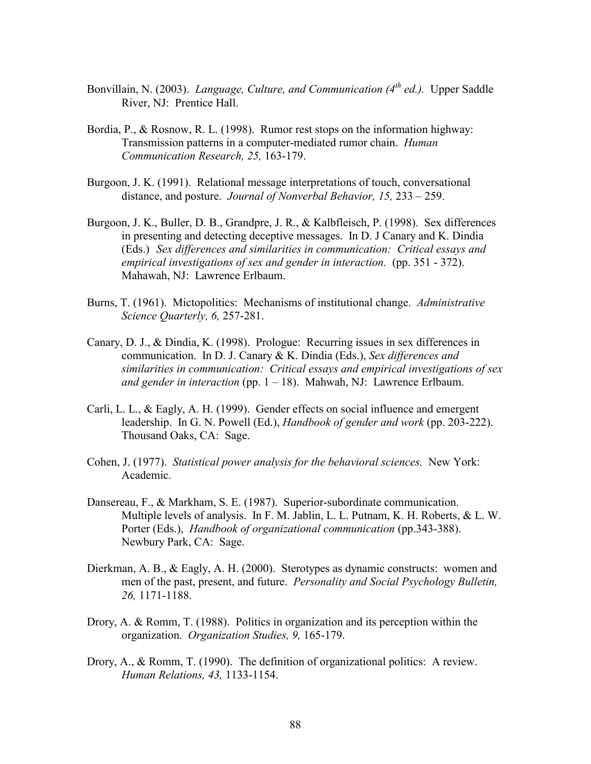- Bonvillain, N. (2003). *Language, Culture, and Communication (4<sup>th</sup> ed.)*. Upper Saddle River, NJ: Prentice Hall.
- Bordia, P., & Rosnow, R. L. (1998). Rumor rest stops on the information highway: Transmission patterns in a computer-mediated rumor chain. *Human Communication Research, 25,* 163-179.
- Burgoon, J. K. (1991). Relational message interpretations of touch, conversational distance, and posture. *Journal of Nonverbal Behavior, 15,* 233 – 259.
- Burgoon, J. K., Buller, D. B., Grandpre, J. R., & Kalbfleisch, P. (1998). Sex differences in presenting and detecting deceptive messages. In D. J Canary and K. Dindia (Eds.) *Sex differences and similarities in communication: Critical essays and empirical investigations of sex and gender in interaction.* (pp. 351 - 372). Mahawah, NJ: Lawrence Erlbaum.
- Burns, T. (1961). Mictopolitics: Mechanisms of institutional change. *Administrative Science Quarterly, 6,* 257-281.
- Canary, D. J., & Dindia, K. (1998). Prologue: Recurring issues in sex differences in communication. In D. J. Canary & K. Dindia (Eds.), *Sex differences and similarities in communication: Critical essays and empirical investigations of sex and gender in interaction* (pp. 1 – 18). Mahwah, NJ: Lawrence Erlbaum.
- Carli, L. L., & Eagly, A. H. (1999). Gender effects on social influence and emergent leadership. In G. N. Powell (Ed.), *Handbook of gender and work* (pp. 203-222). Thousand Oaks, CA: Sage.
- Cohen, J. (1977). *Statistical power analysis for the behavioral sciences.* New York: Academic.
- Dansereau, F., & Markham, S. E. (1987). Superior-subordinate communication. Multiple levels of analysis. In F. M. Jablin, L. L. Putnam, K. H. Roberts, & L. W. Porter (Eds.), *Handbook of organizational communication* (pp.343-388). Newbury Park, CA: Sage.
- Dierkman, A. B., & Eagly, A. H. (2000). Sterotypes as dynamic constructs: women and men of the past, present, and future. *Personality and Social Psychology Bulletin, 26,* 1171-1188.
- Drory, A. & Romm, T. (1988). Politics in organization and its perception within the organization. *Organization Studies, 9,* 165-179.
- Drory, A., & Romm, T. (1990). The definition of organizational politics: A review. *Human Relations, 43,* 1133-1154.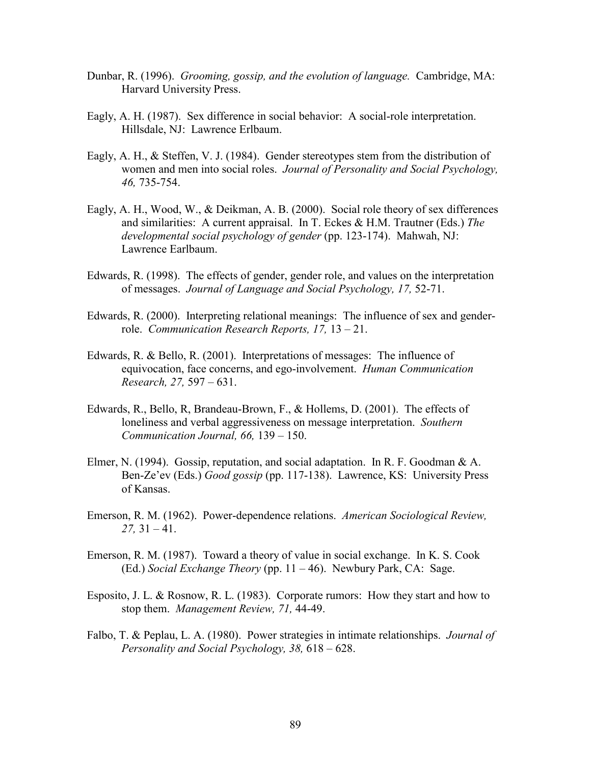- Dunbar, R. (1996). *Grooming, gossip, and the evolution of language.* Cambridge, MA: Harvard University Press.
- Eagly, A. H. (1987). Sex difference in social behavior: A social-role interpretation. Hillsdale, NJ: Lawrence Erlbaum.
- Eagly, A. H., & Steffen, V. J. (1984). Gender stereotypes stem from the distribution of women and men into social roles. *Journal of Personality and Social Psychology, 46,* 735-754.
- Eagly, A. H., Wood, W., & Deikman, A. B. (2000). Social role theory of sex differences and similarities: A current appraisal. In T. Eckes & H.M. Trautner (Eds.) *The developmental social psychology of gender* (pp. 123-174). Mahwah, NJ: Lawrence Earlbaum.
- Edwards, R. (1998). The effects of gender, gender role, and values on the interpretation of messages. *Journal of Language and Social Psychology, 17,* 52-71.
- Edwards, R. (2000). Interpreting relational meanings: The influence of sex and gender role. *Communication Research Reports, 17,* 13 – 21.
- Edwards, R. & Bello, R. (2001). Interpretations of messages: The influence of equivocation, face concerns, and ego-involvement. *Human Communication Research, 27,* 597 – 631.
- Edwards, R., Bello, R, Brandeau-Brown, F., & Hollems, D. (2001). The effects of loneliness and verbal aggressiveness on message interpretation. *Southern Communication Journal, 66,* 139 – 150.
- Elmer, N. (1994). Gossip, reputation, and social adaptation. In R. F. Goodman & A. Ben-Ze'ev (Eds.) *Good gossip* (pp. 117-138). Lawrence, KS: University Press of Kansas.
- Emerson, R. M. (1962). Power-dependence relations. *American Sociological Review, 27,* 31 – 41.
- Emerson, R. M. (1987). Toward a theory of value in social exchange. In K. S. Cook (Ed.) *Social Exchange Theory* (pp. 11 – 46). Newbury Park, CA: Sage.
- Esposito, J. L. & Rosnow, R. L. (1983). Corporate rumors: How they start and how to stop them. *Management Review, 71,* 44-49.
- Falbo, T. & Peplau, L. A. (1980). Power strategies in intimate relationships. *Journal of Personality and Social Psychology, 38,* 618 – 628.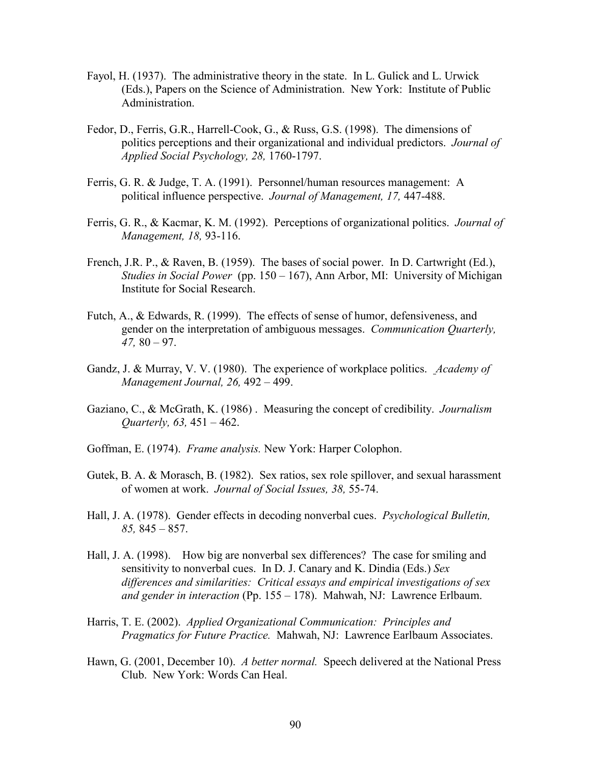- Fayol, H. (1937). The administrative theory in the state. In L. Gulick and L. Urwick (Eds.), Papers on the Science of Administration. New York: Institute of Public Administration.
- Fedor, D., Ferris, G.R., Harrell-Cook, G., & Russ, G.S. (1998). The dimensions of politics perceptions and their organizational and individual predictors. *Journal of Applied Social Psychology, 28,* 1760-1797.
- Ferris, G. R. & Judge, T. A. (1991). Personnel/human resources management: A political influence perspective. *Journal of Management, 17,* 447-488.
- Ferris, G. R., & Kacmar, K. M. (1992). Perceptions of organizational politics. *Journal of Management, 18,* 93-116.
- French, J.R. P., & Raven, B. (1959). The bases of social power. In D. Cartwright (Ed.), *Studies in Social Power* (pp. 150 – 167), Ann Arbor, MI: University of Michigan Institute for Social Research.
- Futch, A., & Edwards, R. (1999). The effects of sense of humor, defensiveness, and gender on the interpretation of ambiguous messages. *Communication Quarterly, 47,* 80 – 97.
- Gandz, J. & Murray, V. V. (1980). The experience of workplace politics. *Academy of Management Journal, 26,* 492 – 499.
- Gaziano, C., & McGrath, K. (1986) . Measuring the concept of credibility. *Journalism Quarterly, 63,* 451 – 462.
- Goffman, E. (1974). *Frame analysis.* New York: Harper Colophon.
- Gutek, B. A. & Morasch, B. (1982). Sex ratios, sex role spillover, and sexual harassment of women at work. *Journal of Social Issues, 38,* 55-74.
- Hall, J. A. (1978). Gender effects in decoding nonverbal cues. *Psychological Bulletin, 85,* 845 – 857.
- Hall, J. A. (1998). How big are nonverbal sex differences? The case for smiling and sensitivity to nonverbal cues. In D. J. Canary and K. Dindia (Eds.) *Sex differences and similarities: Critical essays and empirical investigations of sex and gender in interaction* (Pp. 155 – 178). Mahwah, NJ: Lawrence Erlbaum.
- Harris, T. E. (2002). *Applied Organizational Communication: Principles and Pragmatics for Future Practice.* Mahwah, NJ: Lawrence Earlbaum Associates.
- Hawn, G. (2001, December 10). *A better normal.* Speech delivered at the National Press Club. New York: Words Can Heal.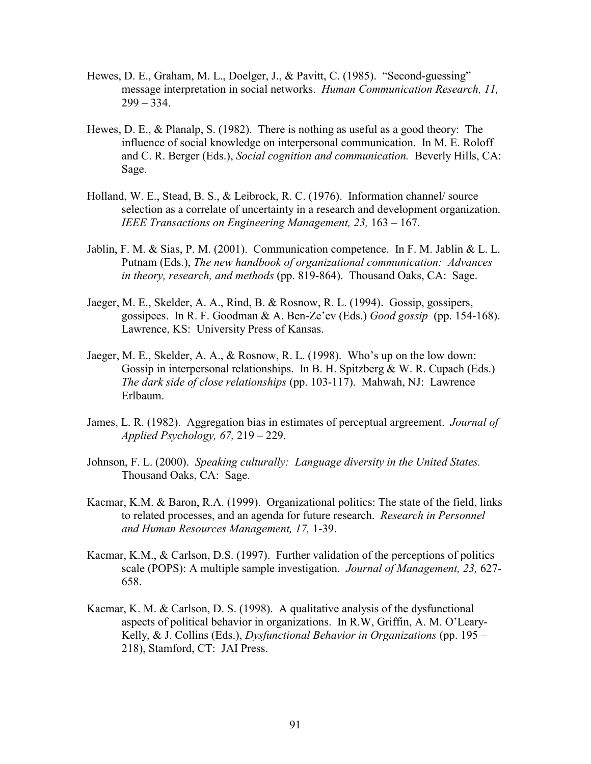- Hewes, D. E., Graham, M. L., Doelger, J., & Pavitt, C. (1985). "Second-guessing" message interpretation in social networks. *Human Communication Research, 11,*  $299 - 334.$
- Hewes, D. E., & Planalp, S. (1982). There is nothing as useful as a good theory: The influence of social knowledge on interpersonal communication. In M. E. Roloff and C. R. Berger (Eds.), *Social cognition and communication.* Beverly Hills, CA: Sage.
- Holland, W. E., Stead, B. S., & Leibrock, R. C. (1976). Information channel/ source selection as a correlate of uncertainty in a research and development organization. *IEEE Transactions on Engineering Management, 23,* 163 – 167.
- Jablin, F. M. & Sias, P. M. (2001). Communication competence. In F. M. Jablin & L. L. Putnam (Eds.), *The new handbook of organizational communication: Advances in theory, research, and methods* (pp. 819-864). Thousand Oaks, CA: Sage.
- Jaeger, M. E., Skelder, A. A., Rind, B. & Rosnow, R. L. (1994). Gossip, gossipers, gossipees. In R. F. Goodman & A. Ben-Ze'ev (Eds.) *Good gossip* (pp. 154-168). Lawrence, KS: University Press of Kansas.
- Jaeger, M. E., Skelder, A. A., & Rosnow, R. L. (1998). Who's up on the low down: Gossip in interpersonal relationships. In B. H. Spitzberg & W. R. Cupach (Eds.) *The dark side of close relationships* (pp. 103-117). Mahwah, NJ: Lawrence Erlbaum.
- James, L. R. (1982). Aggregation bias in estimates of perceptual argreement. *Journal of Applied Psychology, 67,* 219 – 229.
- Johnson, F. L. (2000). *Speaking culturally: Language diversity in the United States.* Thousand Oaks, CA: Sage.
- Kacmar, K.M. & Baron, R.A. (1999). Organizational politics: The state of the field, links to related processes, and an agenda for future research. *Research in Personnel and Human Resources Management, 17,* 1-39.
- Kacmar, K.M., & Carlson, D.S. (1997). Further validation of the perceptions of politics scale (POPS): A multiple sample investigation. *Journal of Management, 23,* 627- 658.
- Kacmar, K. M. & Carlson, D. S. (1998). A qualitative analysis of the dysfunctional aspects of political behavior in organizations. In R.W, Griffin, A. M. O'Leary- Kelly, & J. Collins (Eds.), *Dysfunctional Behavior in Organizations* (pp. 195 – 218), Stamford, CT: JAI Press.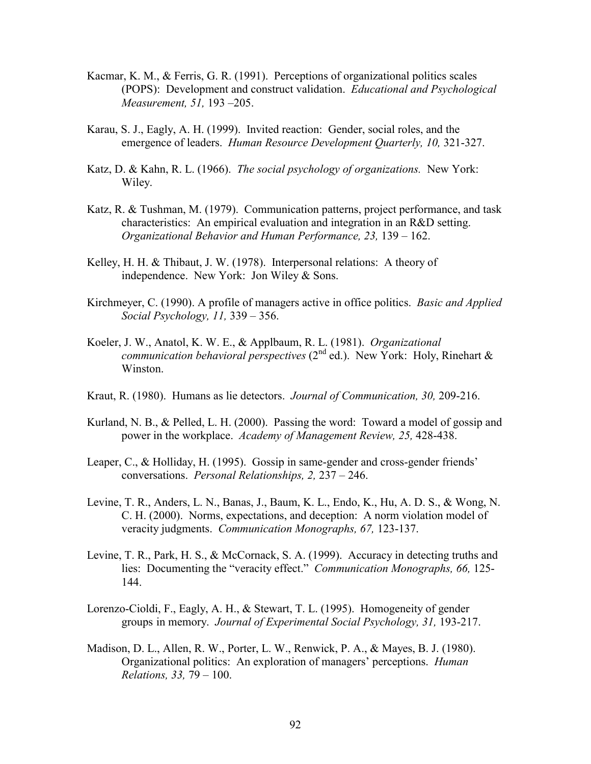- Kacmar, K. M., & Ferris, G. R. (1991). Perceptions of organizational politics scales (POPS): Development and construct validation. *Educational and Psychological Measurement, 51,* 193 –205.
- Karau, S. J., Eagly, A. H. (1999). Invited reaction: Gender, social roles, and the emergence of leaders. *Human Resource Development Quarterly, 10,* 321-327.
- Katz, D. & Kahn, R. L. (1966). *The social psychology of organizations.* New York: Wiley.
- Katz, R. & Tushman, M. (1979). Communication patterns, project performance, and task characteristics: An empirical evaluation and integration in an R&D setting. *Organizational Behavior and Human Performance, 23,* 139 – 162.
- Kelley, H. H. & Thibaut, J. W. (1978). Interpersonal relations: A theory of independence. New York: Jon Wiley & Sons.
- Kirchmeyer, C. (1990). A profile of managers active in office politics. *Basic and Applied Social Psychology, 11,* 339 – 356.
- Koeler, J. W., Anatol, K. W. E., & Applbaum, R. L. (1981). *Organizational communication behavioral perspectives* (2<sup>nd</sup> ed.). New York: Holy, Rinehart & Winston.
- Kraut, R. (1980). Humans as lie detectors. *Journal of Communication, 30,* 209-216.
- Kurland, N. B., & Pelled, L. H. (2000). Passing the word: Toward a model of gossip and power in the workplace. *Academy of Management Review, 25,* 428-438.
- Leaper, C., & Holliday, H. (1995). Gossip in same-gender and cross-gender friends' conversations. *Personal Relationships, 2,* 237 – 246.
- Levine, T. R., Anders, L. N., Banas, J., Baum, K. L., Endo, K., Hu, A. D. S., & Wong, N. C. H. (2000). Norms, expectations, and deception: A norm violation model of veracity judgments. *Communication Monographs, 67,* 123-137.
- Levine, T. R., Park, H. S., & McCornack, S. A. (1999). Accuracy in detecting truths and lies: Documenting the "veracity effect." *Communication Monographs, 66,* 125- 144.
- Lorenzo-Cioldi, F., Eagly, A. H., & Stewart, T. L. (1995). Homogeneity of gender groups in memory. *Journal of Experimental Social Psychology, 31,* 193-217.
- Madison, D. L., Allen, R. W., Porter, L. W., Renwick, P. A., & Mayes, B. J. (1980). Organizational politics: An exploration of managers' perceptions. *Human Relations, 33,* 79 – 100.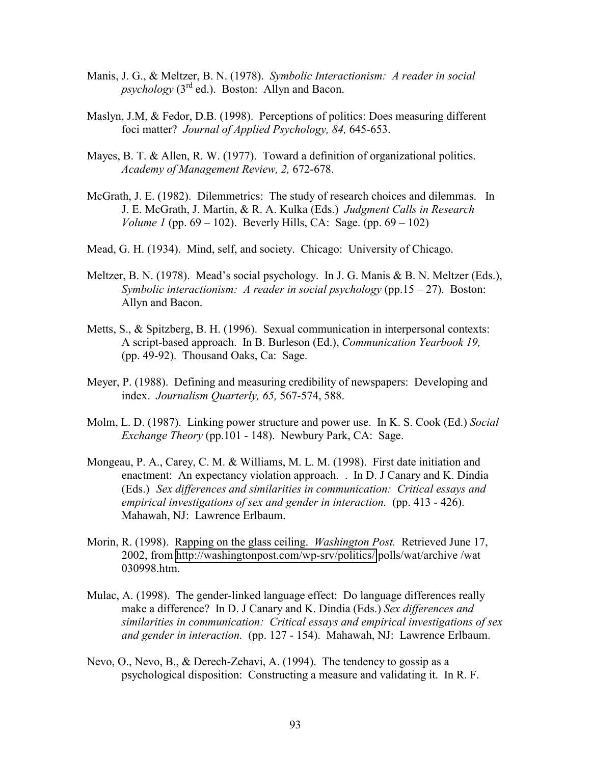- Manis, J. G., & Meltzer, B. N. (1978). *Symbolic Interactionism: A reader in social*   $p$ *sychology*  $(3<sup>rd</sup>$  ed.). Boston: Allyn and Bacon.
- Maslyn, J.M, & Fedor, D.B. (1998). Perceptions of politics: Does measuring different foci matter? *Journal of Applied Psychology, 84,* 645-653.
- Mayes, B. T. & Allen, R. W. (1977). Toward a definition of organizational politics. *Academy of Management Review, 2,* 672-678.
- McGrath, J. E. (1982). Dilemmetrics: The study of research choices and dilemmas. In J. E. McGrath, J. Martin, & R. A. Kulka (Eds.) *Judgment Calls in Research Volume 1* (pp. 69 – 102). Beverly Hills, CA: Sage. (pp. 69 – 102)
- Mead, G. H. (1934). Mind, self, and society. Chicago: University of Chicago.
- Meltzer, B. N. (1978). Mead's social psychology. In J. G. Manis & B. N. Meltzer (Eds.), *Symbolic interactionism: A reader in social psychology (pp.15 – 27). Boston:* Allyn and Bacon.
- Metts, S., & Spitzberg, B. H. (1996). Sexual communication in interpersonal contexts: A script-based approach. In B. Burleson (Ed.), *Communication Yearbook 19,* (pp. 49-92). Thousand Oaks, Ca: Sage.
- Meyer, P. (1988). Defining and measuring credibility of newspapers: Developing and index. *Journalism Quarterly, 65,* 567-574, 588.
- Molm, L. D. (1987). Linking power structure and power use. In K. S. Cook (Ed.) *Social Exchange Theory* (pp.101 - 148). Newbury Park, CA: Sage.
- Mongeau, P. A., Carey, C. M. & Williams, M. L. M. (1998). First date initiation and enactment: An expectancy violation approach. . In D. J Canary and K. Dindia (Eds.) *Sex differences and similarities in communication: Critical essays and empirical investigations of sex and gender in interaction.* (pp. 413 - 426). Mahawah, NJ: Lawrence Erlbaum.
- Morin, R. (1998). Rapping on the glass ceiling. *Washington Post.* Retrieved June 17, 2002, from<http://washingtonpost.com/wp-srv/politics/>polls/wat/archive /wat 030998.htm.
- Mulac, A. (1998). The gender-linked language effect: Do language differences really make a difference? In D. J Canary and K. Dindia (Eds.) *Sex differences and similarities in communication: Critical essays and empirical investigations of sex and gender in interaction.* (pp. 127 - 154). Mahawah, NJ: Lawrence Erlbaum.
- Nevo, O., Nevo, B., & Derech-Zehavi, A. (1994). The tendency to gossip as a psychological disposition: Constructing a measure and validating it. In R. F.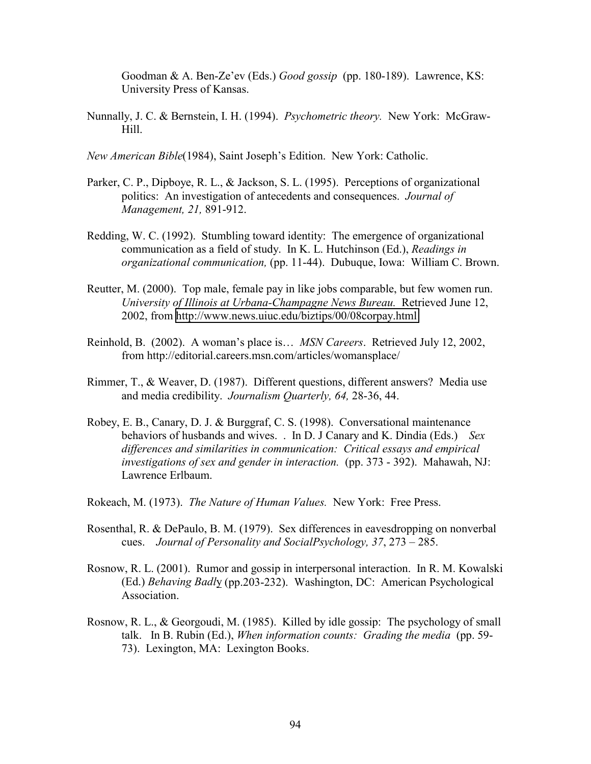Goodman & A. Ben-Ze'ev (Eds.) *Good gossip* (pp. 180-189). Lawrence, KS: University Press of Kansas.

Nunnally, J. C. & Bernstein, I. H. (1994). *Psychometric theory.* New York: McGraw- Hill.

*New American Bible*(1984), Saint Joseph's Edition. New York: Catholic.

- Parker, C. P., Dipboye, R. L., & Jackson, S. L. (1995). Perceptions of organizational politics: An investigation of antecedents and consequences. *Journal of Management, 21,* 891-912.
- Redding, W. C. (1992). Stumbling toward identity: The emergence of organizational communication as a field of study. In K. L. Hutchinson (Ed.), *Readings in organizational communication,* (pp. 11-44). Dubuque, Iowa: William C. Brown.
- Reutter, M. (2000). Top male, female pay in like jobs comparable, but few women run. *University of Illinois at Urbana-Champagne News Bureau.* Retrieved June 12, 2002, from<http://www.news.uiuc.edu/biztips/00/08corpay.html>
- Reinhold, B. (2002). A woman's place is… *MSN Careers*. Retrieved July 12, 2002, from http://editorial.careers.msn.com/articles/womansplace/
- Rimmer, T., & Weaver, D. (1987). Different questions, different answers? Media use and media credibility. *Journalism Quarterly, 64,* 28-36, 44.
- Robey, E. B., Canary, D. J. & Burggraf, C. S. (1998). Conversational maintenance behaviors of husbands and wives. . In D. J Canary and K. Dindia (Eds.) *Sex differences and similarities in communication: Critical essays and empirical investigations of sex and gender in interaction.* (pp. 373 - 392). Mahawah, NJ: Lawrence Erlbaum.

Rokeach, M. (1973). *The Nature of Human Values.* New York: Free Press.

- Rosenthal, R. & DePaulo, B. M. (1979). Sex differences in eavesdropping on nonverbal cues. *Journal of Personality and SocialPsychology, 37*, 273 – 285.
- Rosnow, R. L. (2001). Rumor and gossip in interpersonal interaction. In R. M. Kowalski (Ed.) *Behaving Badl*y (pp.203-232). Washington, DC: American Psychological Association.
- Rosnow, R. L., & Georgoudi, M. (1985). Killed by idle gossip: The psychology of small talk. In B. Rubin (Ed.), *When information counts: Grading the media* (pp. 59- 73). Lexington, MA: Lexington Books.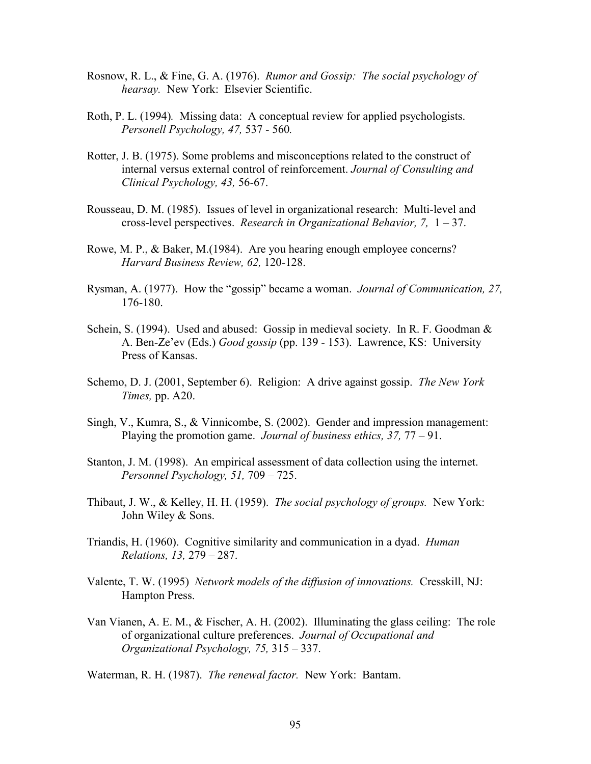- Rosnow, R. L., & Fine, G. A. (1976). *Rumor and Gossip: The social psychology of hearsay.* New York: Elsevier Scientific.
- Roth, P. L. (1994)*.* Missing data: A conceptual review for applied psychologists. *Personell Psychology, 47,* 537 - 560*.*
- Rotter, J. B. (1975). Some problems and misconceptions related to the construct of internal versus external control of reinforcement. *Journal of Consulting and Clinical Psychology, 43,* 56-67.
- Rousseau, D. M. (1985). Issues of level in organizational research: Multi-level and cross-level perspectives. *Research in Organizational Behavior, 7,* 1 – 37.
- Rowe, M. P., & Baker, M.(1984). Are you hearing enough employee concerns? *Harvard Business Review, 62,* 120-128.
- Rysman, A. (1977). How the "gossip" became a woman. *Journal of Communication, 27,* 176-180.
- Schein, S. (1994). Used and abused: Gossip in medieval society. In R. F. Goodman & A. Ben-Ze'ev (Eds.) *Good gossip* (pp. 139 - 153). Lawrence, KS: University Press of Kansas.
- Schemo, D. J. (2001, September 6). Religion: A drive against gossip. *The New York Times,* pp. A20.
- Singh, V., Kumra, S., & Vinnicombe, S. (2002). Gender and impression management: Playing the promotion game. *Journal of business ethics, 37,* 77 – 91.
- Stanton, J. M. (1998). An empirical assessment of data collection using the internet. *Personnel Psychology, 51,* 709 – 725.
- Thibaut, J. W., & Kelley, H. H. (1959). *The social psychology of groups.* New York: John Wiley & Sons.
- Triandis, H. (1960). Cognitive similarity and communication in a dyad. *Human Relations, 13,* 279 – 287.
- Valente, T. W. (1995) *Network models of the diffusion of innovations.* Cresskill, NJ: Hampton Press.
- Van Vianen, A. E. M., & Fischer, A. H. (2002). Illuminating the glass ceiling: The role of organizational culture preferences. *Journal of Occupational and Organizational Psychology, 75,* 315 – 337.

Waterman, R. H. (1987). *The renewal factor.* New York: Bantam.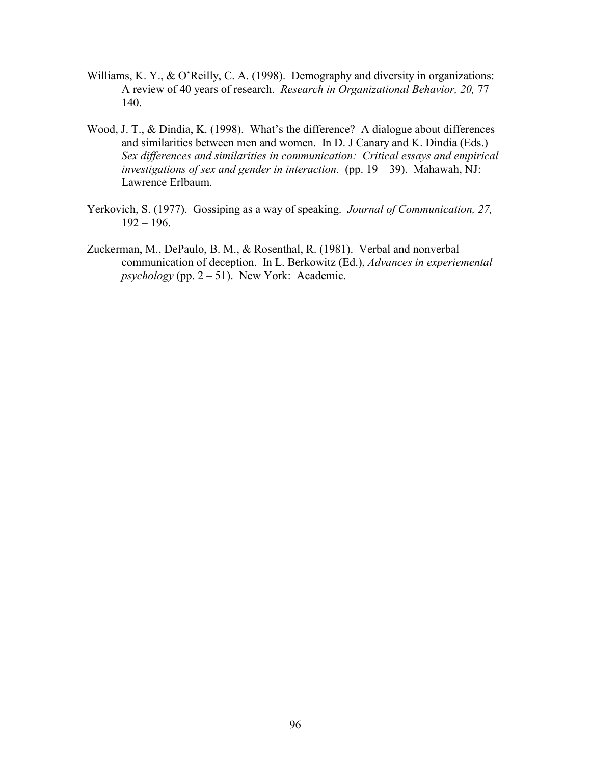- Williams, K. Y., & O'Reilly, C. A. (1998). Demography and diversity in organizations: A review of 40 years of research. *Research in Organizational Behavior, 20,* 77 – 140.
- Wood, J. T., & Dindia, K. (1998). What's the difference? A dialogue about differences and similarities between men and women. In D. J Canary and K. Dindia (Eds.) *Sex differences and similarities in communication: Critical essays and empirical investigations of sex and gender in interaction.* (pp. 19 – 39). Mahawah, NJ: Lawrence Erlbaum.
- Yerkovich, S. (1977). Gossiping as a way of speaking. *Journal of Communication, 27,*  $192 - 196.$
- Zuckerman, M., DePaulo, B. M., & Rosenthal, R. (1981). Verbal and nonverbal communication of deception. In L. Berkowitz (Ed.), *Advances in experiemental psychology* (pp.  $2 - 51$ ). New York: Academic.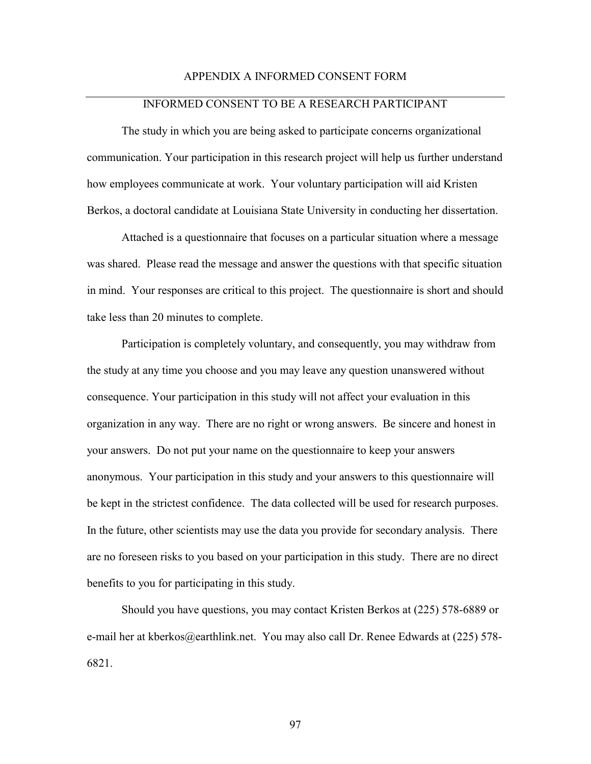## APPENDIX A INFORMED CONSENT FORM

## INFORMED CONSENT TO BE A RESEARCH PARTICIPANT

The study in which you are being asked to participate concerns organizational communication. Your participation in this research project will help us further understand how employees communicate at work. Your voluntary participation will aid Kristen Berkos, a doctoral candidate at Louisiana State University in conducting her dissertation.

Attached is a questionnaire that focuses on a particular situation where a message was shared. Please read the message and answer the questions with that specific situation in mind. Your responses are critical to this project. The questionnaire is short and should take less than 20 minutes to complete.

Participation is completely voluntary, and consequently, you may withdraw from the study at any time you choose and you may leave any question unanswered without consequence. Your participation in this study will not affect your evaluation in this organization in any way. There are no right or wrong answers. Be sincere and honest in your answers. Do not put your name on the questionnaire to keep your answers anonymous. Your participation in this study and your answers to this questionnaire will be kept in the strictest confidence. The data collected will be used for research purposes. In the future, other scientists may use the data you provide for secondary analysis. There are no foreseen risks to you based on your participation in this study. There are no direct benefits to you for participating in this study.

Should you have questions, you may contact Kristen Berkos at (225) 578-6889 or e-mail her at kberkos@earthlink.net. You may also call Dr. Renee Edwards at (225) 578- 6821.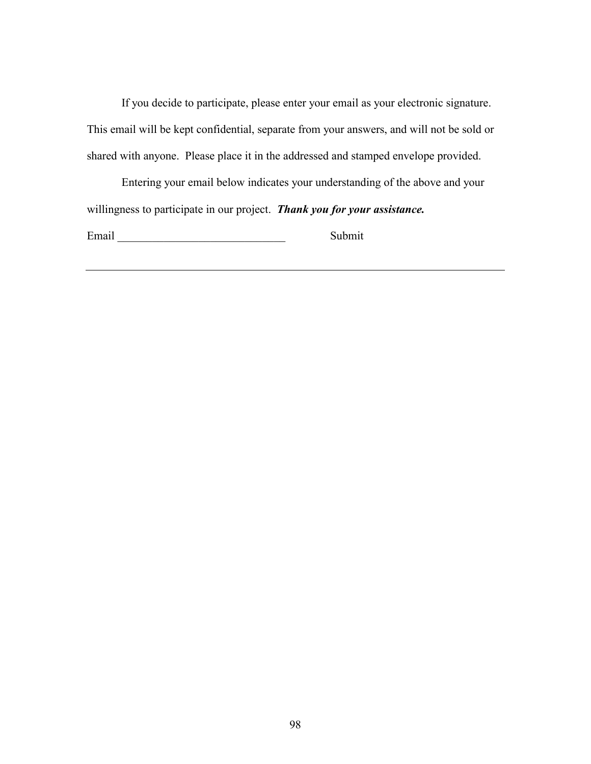If you decide to participate, please enter your email as your electronic signature. This email will be kept confidential, separate from your answers, and will not be sold or shared with anyone. Please place it in the addressed and stamped envelope provided.

Entering your email below indicates your understanding of the above and your willingness to participate in our project. *Thank you for your assistance.*

Email Submit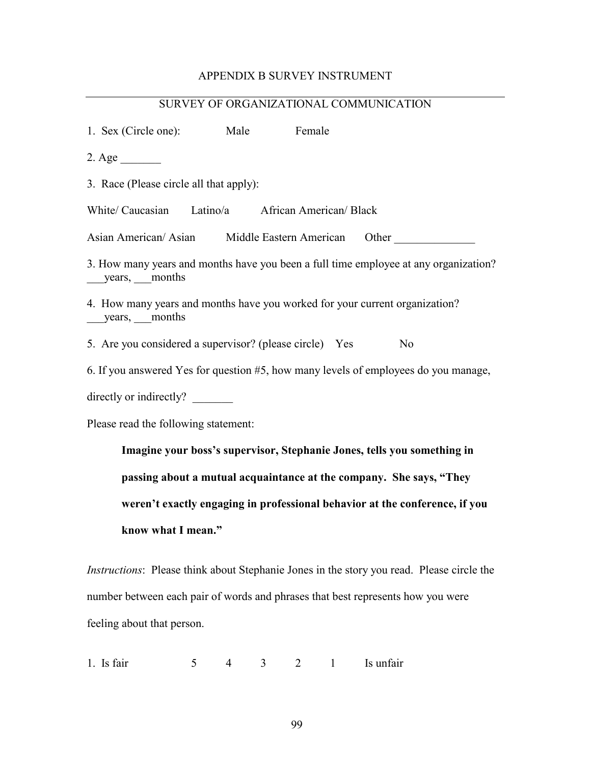# APPENDIX B SURVEY INSTRUMENT

| SURVEY OF ORGANIZATIONAL COMMUNICATION                                               |  |  |  |  |  |  |  |  |
|--------------------------------------------------------------------------------------|--|--|--|--|--|--|--|--|
| 1. Sex (Circle one): Male Female                                                     |  |  |  |  |  |  |  |  |
| $2. \text{Age}$                                                                      |  |  |  |  |  |  |  |  |
| 3. Race (Please circle all that apply):                                              |  |  |  |  |  |  |  |  |
| White/ Caucasian Latino/a African American/ Black                                    |  |  |  |  |  |  |  |  |
| Asian American/Asian Middle Eastern American Other                                   |  |  |  |  |  |  |  |  |
| 3. How many years and months have you been a full time employee at any organization? |  |  |  |  |  |  |  |  |
| 4. How many years and months have you worked for your current organization?          |  |  |  |  |  |  |  |  |
| 5. Are you considered a supervisor? (please circle) Yes<br>N <sub>o</sub>            |  |  |  |  |  |  |  |  |
| 6. If you answered Yes for question #5, how many levels of employees do you manage,  |  |  |  |  |  |  |  |  |
| directly or indirectly?                                                              |  |  |  |  |  |  |  |  |
| Please read the following statement:                                                 |  |  |  |  |  |  |  |  |
| Imagine your boss's supervisor, Stephanie Jones, tells you something in              |  |  |  |  |  |  |  |  |

**passing about a mutual acquaintance at the company. She says, "They weren't exactly engaging in professional behavior at the conference, if you know what I mean."** 

*Instructions*: Please think about Stephanie Jones in the story you read. Please circle the number between each pair of words and phrases that best represents how you were feeling about that person.

1. Is fair  $5 \t 4 \t 3 \t 2 \t 1$  Is unfair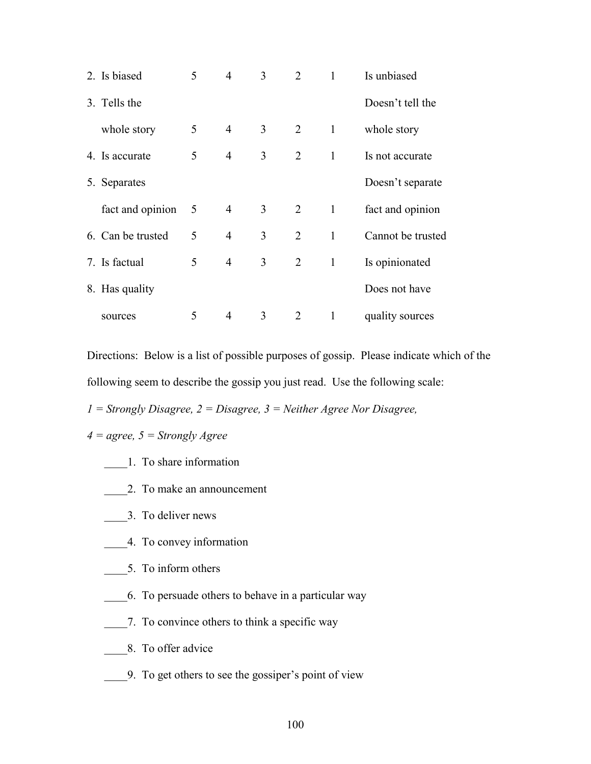| 2. Is biased      | 5 | 4              | 3 | 2              | 1            | Is unbiased       |
|-------------------|---|----------------|---|----------------|--------------|-------------------|
| 3. Tells the      |   |                |   |                |              | Doesn't tell the  |
| whole story       | 5 | $\overline{4}$ | 3 | $\overline{2}$ | $\mathbf{1}$ | whole story       |
| 4. Is accurate    | 5 | $\overline{4}$ | 3 | 2              | $\mathbf{1}$ | Is not accurate   |
| 5. Separates      |   |                |   |                |              | Doesn't separate  |
| fact and opinion  | 5 | $\overline{4}$ | 3 | 2              | $\mathbf{1}$ | fact and opinion  |
| 6. Can be trusted | 5 | $\overline{4}$ | 3 | $\overline{2}$ | $\mathbf{1}$ | Cannot be trusted |
| 7. Is factual     | 5 | $\overline{4}$ | 3 | 2              | $\mathbf{1}$ | Is opinionated    |
| 8. Has quality    |   |                |   |                |              | Does not have     |
| sources           | 5 | 4              | 3 | 2              | $\mathbf{1}$ | quality sources   |

Directions: Below is a list of possible purposes of gossip. Please indicate which of the following seem to describe the gossip you just read. Use the following scale:

*1 = Strongly Disagree, 2 = Disagree, 3 = Neither Agree Nor Disagree,* 

*4 = agree, 5 = Strongly Agree* 

- \_\_\_\_1. To share information
- \_\_\_\_2. To make an announcement
- \_\_\_\_3. To deliver news
- \_\_\_\_4. To convey information
- \_\_\_\_5. To inform others
- \_\_\_\_6. To persuade others to behave in a particular way
- \_\_\_\_7. To convince others to think a specific way
- \_\_\_\_8. To offer advice
- \_\_\_\_9. To get others to see the gossiper's point of view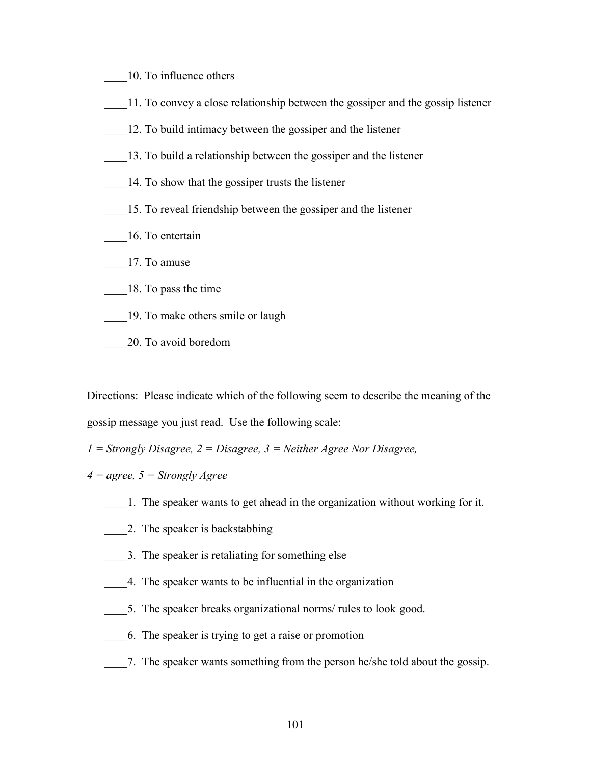- \_\_\_\_10. To influence others
- \_\_\_\_11. To convey a close relationship between the gossiper and the gossip listener
- \_\_\_\_12. To build intimacy between the gossiper and the listener
- \_\_\_\_13. To build a relationship between the gossiper and the listener
- 14. To show that the gossiper trusts the listener
- \_\_\_\_15. To reveal friendship between the gossiper and the listener
- \_\_\_\_16. To entertain
- \_\_\_\_17. To amuse
- \_\_\_\_18. To pass the time
- \_\_\_\_19. To make others smile or laugh
- \_\_\_\_20. To avoid boredom

Directions: Please indicate which of the following seem to describe the meaning of the gossip message you just read. Use the following scale:

*1 = Strongly Disagree, 2 = Disagree, 3 = Neither Agree Nor Disagree,* 

- *4 = agree, 5 = Strongly Agree*
	- \_\_\_\_1. The speaker wants to get ahead in the organization without working for it.
	- 2. The speaker is backstabbing
	- \_\_\_\_3. The speaker is retaliating for something else
	- \_\_\_\_4. The speaker wants to be influential in the organization
	- 5. The speaker breaks organizational norms/ rules to look good.
	- \_\_\_\_6. The speaker is trying to get a raise or promotion
	- \_\_\_\_7. The speaker wants something from the person he/she told about the gossip.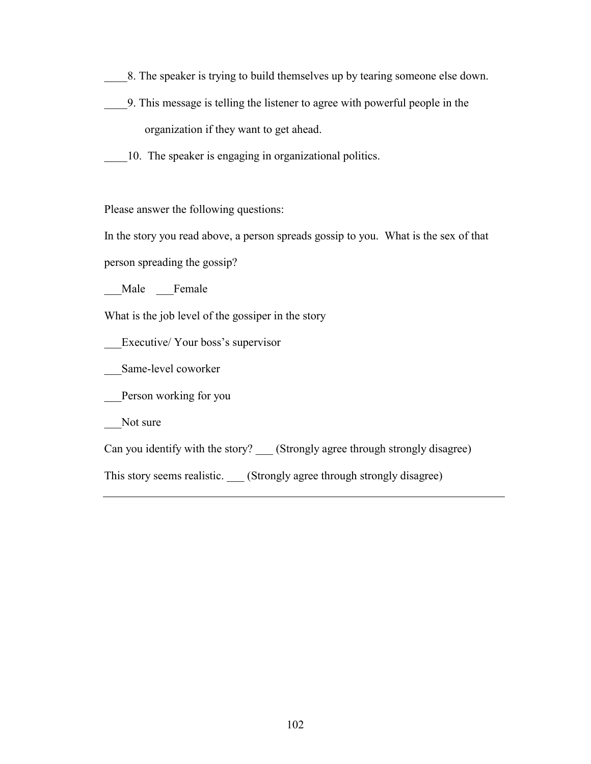- \_\_\_\_8. The speaker is trying to build themselves up by tearing someone else down.
- \_\_\_\_9. This message is telling the listener to agree with powerful people in the organization if they want to get ahead.
- 10. The speaker is engaging in organizational politics.

Please answer the following questions:

In the story you read above, a person spreads gossip to you. What is the sex of that

person spreading the gossip?

\_\_\_Male \_\_\_Female

What is the job level of the gossiper in the story

Executive/ Your boss's supervisor

\_\_Same-level coworker

\_\_\_Person working for you

\_\_\_Not sure

Can you identify with the story? \_\_\_ (Strongly agree through strongly disagree)

This story seems realistic. \_\_\_ (Strongly agree through strongly disagree)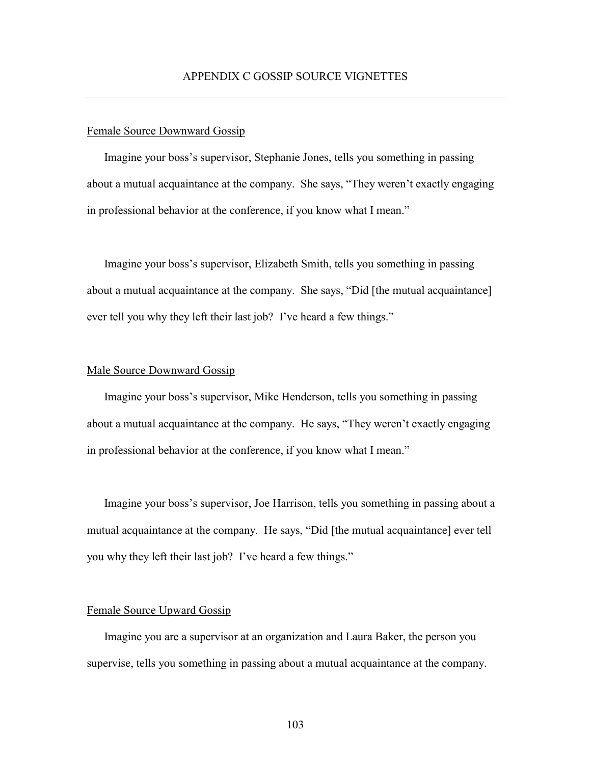### Female Source Downward Gossip

Imagine your boss's supervisor, Stephanie Jones, tells you something in passing about a mutual acquaintance at the company. She says, "They weren't exactly engaging in professional behavior at the conference, if you know what I mean."

Imagine your boss's supervisor, Elizabeth Smith, tells you something in passing about a mutual acquaintance at the company. She says, "Did [the mutual acquaintance] ever tell you why they left their last job? I've heard a few things."

### Male Source Downward Gossip

Imagine your boss's supervisor, Mike Henderson, tells you something in passing about a mutual acquaintance at the company. He says, "They weren't exactly engaging in professional behavior at the conference, if you know what I mean."

Imagine your boss's supervisor, Joe Harrison, tells you something in passing about a mutual acquaintance at the company. He says, "Did [the mutual acquaintance] ever tell you why they left their last job? I've heard a few things."

### Female Source Upward Gossip

Imagine you are a supervisor at an organization and Laura Baker, the person you supervise, tells you something in passing about a mutual acquaintance at the company.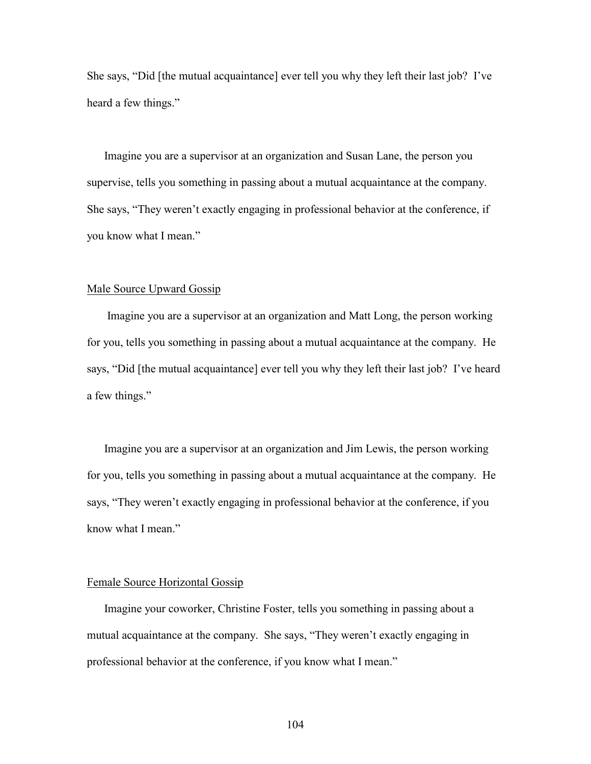She says, "Did [the mutual acquaintance] ever tell you why they left their last job? I've heard a few things."

Imagine you are a supervisor at an organization and Susan Lane, the person you supervise, tells you something in passing about a mutual acquaintance at the company. She says, "They weren't exactly engaging in professional behavior at the conference, if you know what I mean."

### Male Source Upward Gossip

 Imagine you are a supervisor at an organization and Matt Long, the person working for you, tells you something in passing about a mutual acquaintance at the company. He says, "Did [the mutual acquaintance] ever tell you why they left their last job? I've heard a few things."

Imagine you are a supervisor at an organization and Jim Lewis, the person working for you, tells you something in passing about a mutual acquaintance at the company. He says, "They weren't exactly engaging in professional behavior at the conference, if you know what I mean."

#### Female Source Horizontal Gossip

Imagine your coworker, Christine Foster, tells you something in passing about a mutual acquaintance at the company. She says, "They weren't exactly engaging in professional behavior at the conference, if you know what I mean."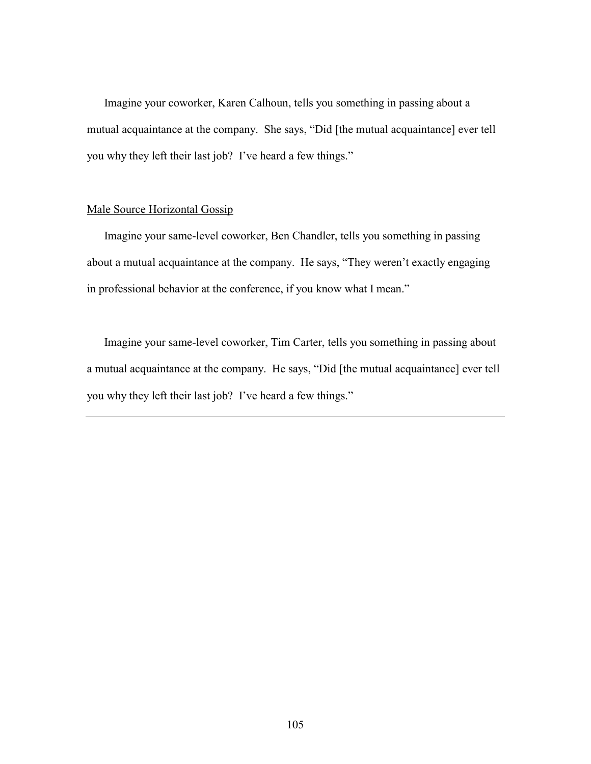Imagine your coworker, Karen Calhoun, tells you something in passing about a mutual acquaintance at the company. She says, "Did [the mutual acquaintance] ever tell you why they left their last job? I've heard a few things."

### Male Source Horizontal Gossip

Imagine your same-level coworker, Ben Chandler, tells you something in passing about a mutual acquaintance at the company. He says, "They weren't exactly engaging in professional behavior at the conference, if you know what I mean."

Imagine your same-level coworker, Tim Carter, tells you something in passing about a mutual acquaintance at the company. He says, "Did [the mutual acquaintance] ever tell you why they left their last job? I've heard a few things."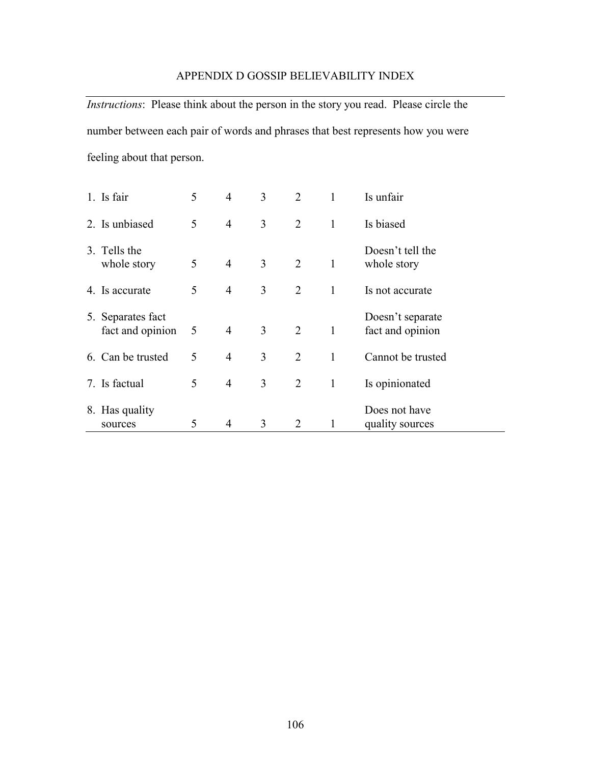## APPENDIX D GOSSIP BELIEVABILITY INDEX

*Instructions*: Please think about the person in the story you read. Please circle the number between each pair of words and phrases that best represents how you were feeling about that person.

|    | 1. Is fair                         | 5 | $\overline{4}$ | 3 | 2              | 1            | Is unfair                            |
|----|------------------------------------|---|----------------|---|----------------|--------------|--------------------------------------|
|    | 2. Is unbiased                     | 5 | $\overline{4}$ | 3 | 2              | $\mathbf{1}$ | Is biased                            |
|    | 3. Tells the<br>whole story        | 5 | $\overline{4}$ | 3 | 2              | $\mathbf{1}$ | Doesn't tell the<br>whole story      |
|    | 4. Is accurate                     | 5 | $\overline{4}$ | 3 | 2              | $\mathbf{1}$ | Is not accurate                      |
| 5. | Separates fact<br>fact and opinion | 5 | $\overline{4}$ | 3 | 2              | $\mathbf{1}$ | Doesn't separate<br>fact and opinion |
|    | 6. Can be trusted                  | 5 | 4              | 3 | $\overline{2}$ | 1            | Cannot be trusted                    |
|    | 7. Is factual                      | 5 | $\overline{4}$ | 3 | $\overline{2}$ | $\mathbf{1}$ | Is opinionated                       |
|    | 8. Has quality<br>sources          | 5 | $\overline{4}$ | 3 | $\overline{2}$ | 1            | Does not have<br>quality sources     |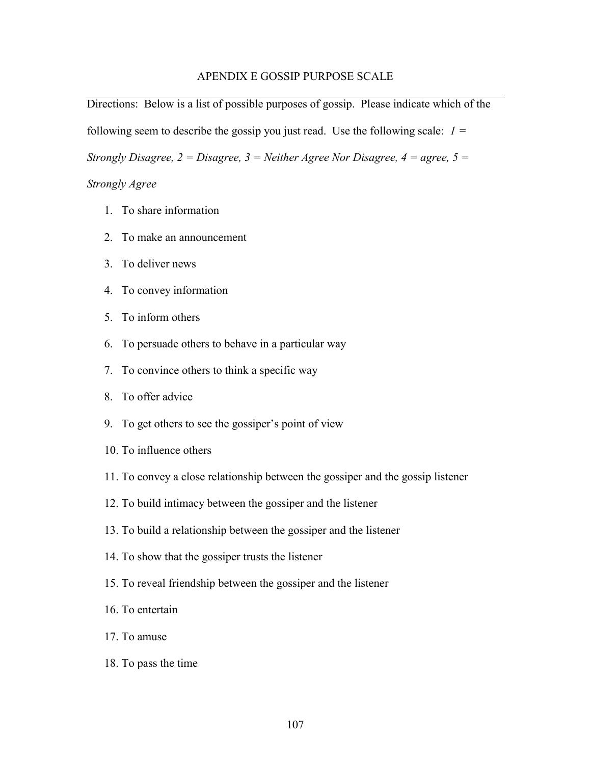## APENDIX E GOSSIP PURPOSE SCALE

Directions: Below is a list of possible purposes of gossip. Please indicate which of the following seem to describe the gossip you just read. Use the following scale: *1 = Strongly Disagree, 2 = Disagree, 3 = Neither Agree Nor Disagree, 4 = agree, 5 =* 

### *Strongly Agree*

- 1. To share information
- 2. To make an announcement
- 3. To deliver news
- 4. To convey information
- 5. To inform others
- 6. To persuade others to behave in a particular way
- 7. To convince others to think a specific way
- 8. To offer advice
- 9. To get others to see the gossiper's point of view
- 10. To influence others
- 11. To convey a close relationship between the gossiper and the gossip listener
- 12. To build intimacy between the gossiper and the listener
- 13. To build a relationship between the gossiper and the listener
- 14. To show that the gossiper trusts the listener
- 15. To reveal friendship between the gossiper and the listener
- 16. To entertain
- 17. To amuse
- 18. To pass the time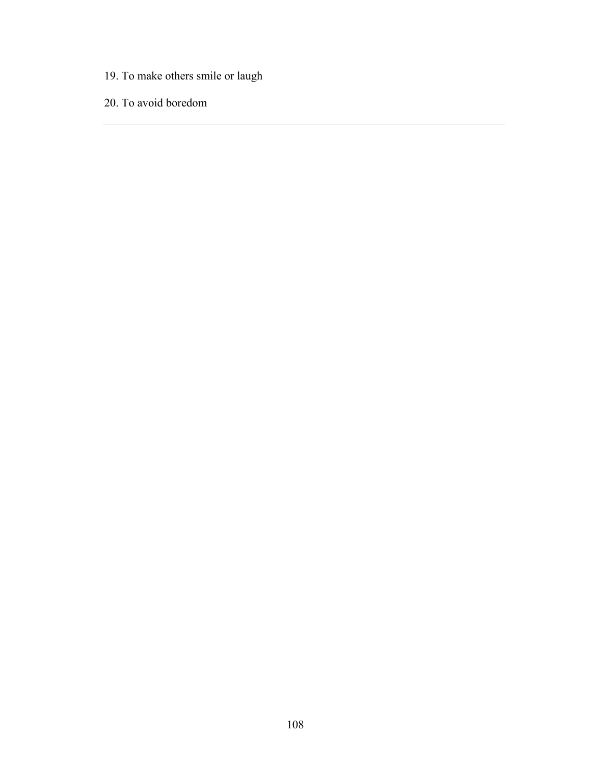- 19. To make others smile or laugh
- 20. To avoid boredom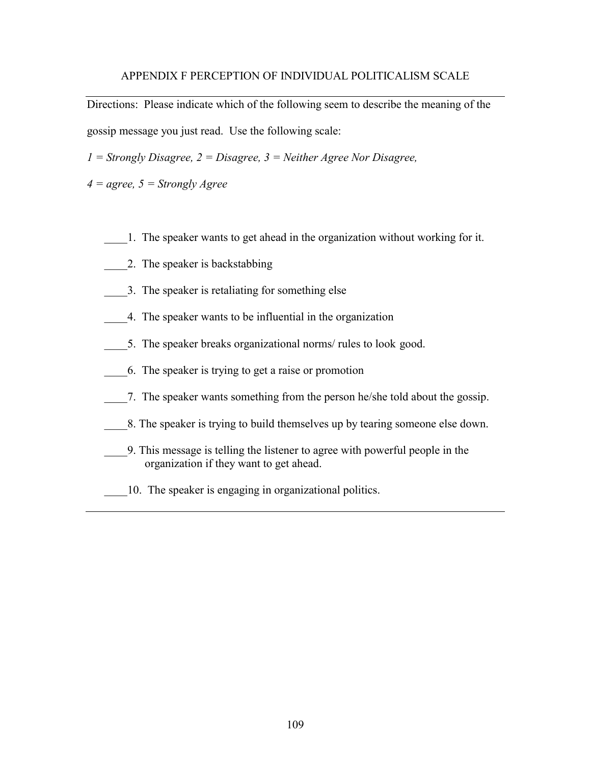### APPENDIX F PERCEPTION OF INDIVIDUAL POLITICALISM SCALE

Directions: Please indicate which of the following seem to describe the meaning of the gossip message you just read. Use the following scale:

*1 = Strongly Disagree, 2 = Disagree, 3 = Neither Agree Nor Disagree,* 

*4 = agree, 5 = Strongly Agree*

- \_\_\_\_1. The speaker wants to get ahead in the organization without working for it.
- \_\_\_\_2. The speaker is backstabbing
- \_\_\_\_3. The speaker is retaliating for something else
- \_\_\_\_4. The speaker wants to be influential in the organization
- 5. The speaker breaks organizational norms/ rules to look good.
- \_\_\_\_6. The speaker is trying to get a raise or promotion
- \_\_\_\_7. The speaker wants something from the person he/she told about the gossip.
- \_\_\_\_8. The speaker is trying to build themselves up by tearing someone else down.
- \_\_\_\_9. This message is telling the listener to agree with powerful people in the organization if they want to get ahead.
- \_\_\_\_10. The speaker is engaging in organizational politics.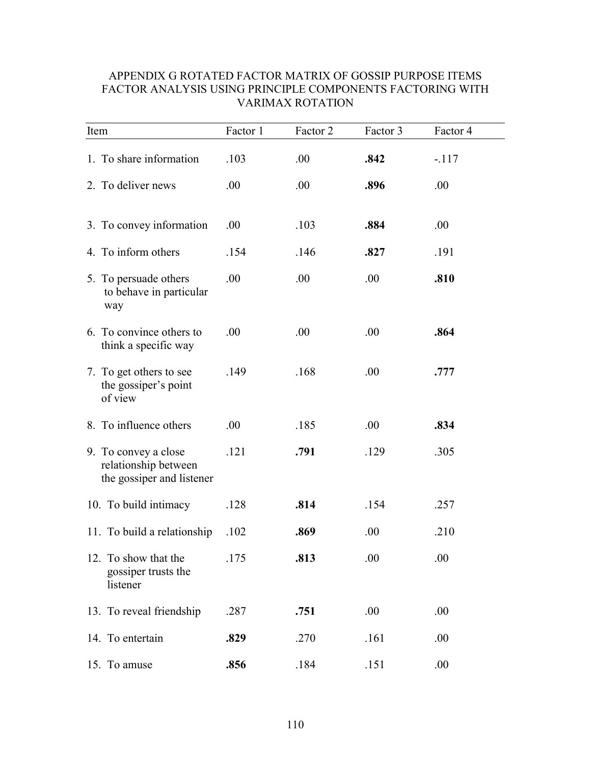| Item                                                                      | Factor 1 | Factor 2 | Factor 3 | Factor 4 |  |
|---------------------------------------------------------------------------|----------|----------|----------|----------|--|
| 1. To share information                                                   | .103     | .00.     | .842     | $-.117$  |  |
| 2. To deliver news                                                        | .00      | .00.     | .896     | .00      |  |
| 3. To convey information                                                  | .00      | .103     | .884     | .00      |  |
| 4. To inform others                                                       | .154     | .146     | .827     | .191     |  |
| 5. To persuade others<br>to behave in particular<br>way                   | .00.     | .00      | .00      | .810     |  |
| 6. To convince others to<br>think a specific way                          | .00      | .00      | .00      | .864     |  |
| 7. To get others to see<br>the gossiper's point<br>of view                | .149     | .168     | .00.     | .777     |  |
| 8. To influence others                                                    | .00      | .185     | .00      | .834     |  |
| 9. To convey a close<br>relationship between<br>the gossiper and listener | .121     | .791     | .129     | .305     |  |
| 10. To build intimacy                                                     | .128     | .814     | .154     | .257     |  |
| 11. To build a relationship                                               | .102     | .869     | .00      | .210     |  |
| 12. To show that the<br>gossiper trusts the<br>listener                   | .175     | .813     | .00      | .00      |  |
| 13. To reveal friendship                                                  | .287     | .751     | .00      | .00      |  |
| 14. To entertain                                                          | .829     | .270     | .161     | .00      |  |
| 15. To amuse                                                              | .856     | .184     | .151     | .00      |  |

# APPENDIX G ROTATED FACTOR MATRIX OF GOSSIP PURPOSE ITEMS FACTOR ANALYSIS USING PRINCIPLE COMPONENTS FACTORING WITH VARIMAX ROTATION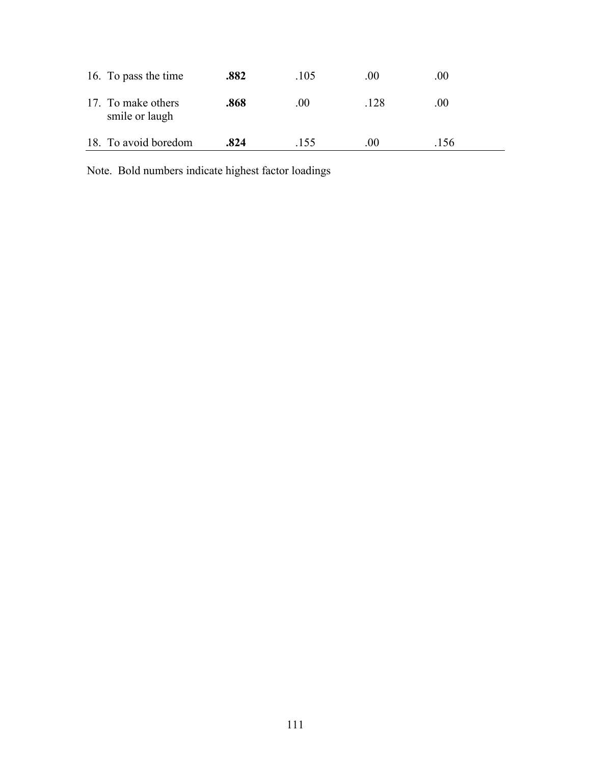| 16. To pass the time                 | .882 | .105 | .00  | .00 |
|--------------------------------------|------|------|------|-----|
| 17. To make others<br>smile or laugh | .868 | .00  | .128 | .00 |
| 18. To avoid boredom                 | .824 | -155 | 00   | 156 |

Note. Bold numbers indicate highest factor loadings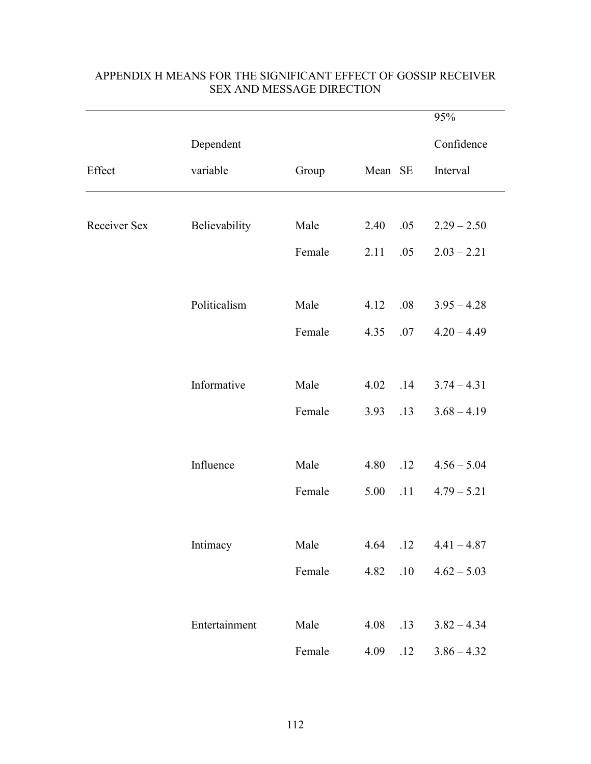|              |               |        |             | 95%           |
|--------------|---------------|--------|-------------|---------------|
|              | Dependent     |        |             | Confidence    |
| Effect       | variable      | Group  | Mean SE     | Interval      |
|              |               |        |             |               |
| Receiver Sex | Believability | Male   | 2.40<br>.05 | $2.29 - 2.50$ |
|              |               | Female | 2.11<br>.05 | $2.03 - 2.21$ |
|              |               |        |             |               |
|              | Politicalism  | Male   | .08<br>4.12 | $3.95 - 4.28$ |
|              |               | Female | 4.35<br>.07 | $4.20 - 4.49$ |
|              |               |        |             |               |
|              | Informative   | Male   | 4.02<br>.14 | $3.74 - 4.31$ |
|              |               | Female | 3.93<br>.13 | $3.68 - 4.19$ |
|              |               |        |             |               |
|              | Influence     | Male   | 4.80<br>.12 | $4.56 - 5.04$ |
|              |               | Female | 5.00<br>.11 | $4.79 - 5.21$ |
|              |               |        |             |               |
|              | Intimacy      | Male   | .12<br>4.64 | $4.41 - 4.87$ |
|              |               | Female | 4.82<br>.10 | $4.62 - 5.03$ |
|              |               |        |             |               |
|              | Entertainment | Male   | 4.08<br>.13 | $3.82 - 4.34$ |
|              |               | Female | 4.09<br>.12 | $3.86 - 4.32$ |

# APPENDIX H MEANS FOR THE SIGNIFICANT EFFECT OF GOSSIP RECEIVER SEX AND MESSAGE DIRECTION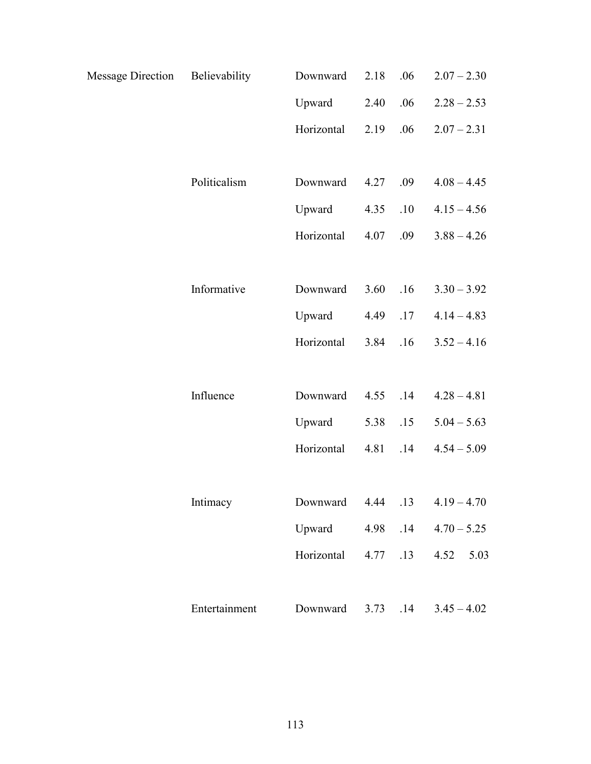| Message Direction Believability |               | Downward   | 2.18 | .06 | $2.07 - 2.30$ |
|---------------------------------|---------------|------------|------|-----|---------------|
|                                 |               | Upward     | 2.40 | .06 | $2.28 - 2.53$ |
|                                 |               | Horizontal | 2.19 | .06 | $2.07 - 2.31$ |
|                                 |               |            |      |     |               |
|                                 | Politicalism  | Downward   | 4.27 | .09 | $4.08 - 4.45$ |
|                                 |               | Upward     | 4.35 | .10 | $4.15 - 4.56$ |
|                                 |               | Horizontal | 4.07 | .09 | $3.88 - 4.26$ |
|                                 |               |            |      |     |               |
|                                 | Informative   | Downward   | 3.60 | .16 | $3.30 - 3.92$ |
|                                 |               | Upward     | 4.49 | .17 | $4.14 - 4.83$ |
|                                 |               | Horizontal | 3.84 | .16 | $3.52 - 4.16$ |
|                                 |               |            |      |     |               |
|                                 | Influence     | Downward   | 4.55 | .14 | $4.28 - 4.81$ |
|                                 |               | Upward     | 5.38 | .15 | $5.04 - 5.63$ |
|                                 |               | Horizontal | 4.81 | .14 | $4.54 - 5.09$ |
|                                 |               |            |      |     |               |
|                                 | Intimacy      | Downward   | 4.44 | .13 | $4.19 - 4.70$ |
|                                 |               | Upward     | 4.98 | .14 | $4.70 - 5.25$ |
|                                 |               | Horizontal | 4.77 | .13 | 4.52<br>5.03  |
|                                 |               |            |      |     |               |
|                                 | Entertainment | Downward   | 3.73 | .14 | $3.45 - 4.02$ |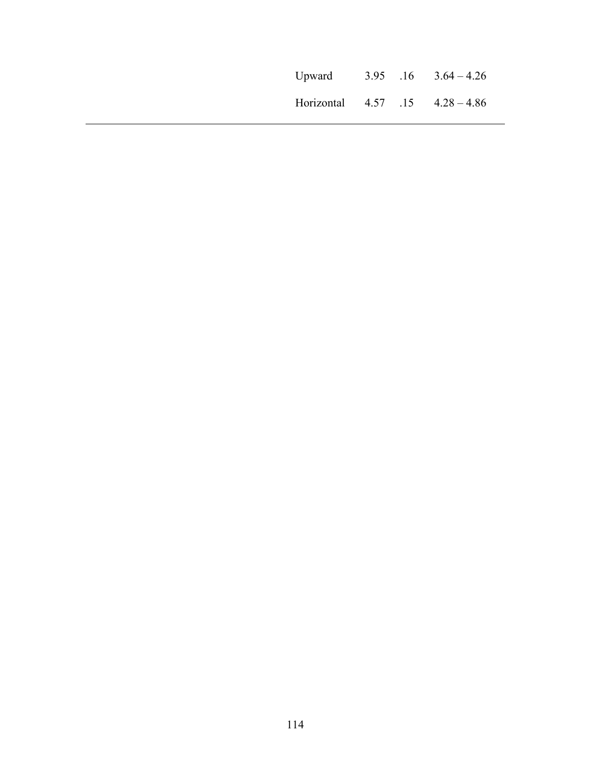|                                      |  | Upward $3.95$ $.16$ $3.64 - 4.26$ |
|--------------------------------------|--|-----------------------------------|
| Horizontal $4.57$ $15$ $4.28 - 4.86$ |  |                                   |